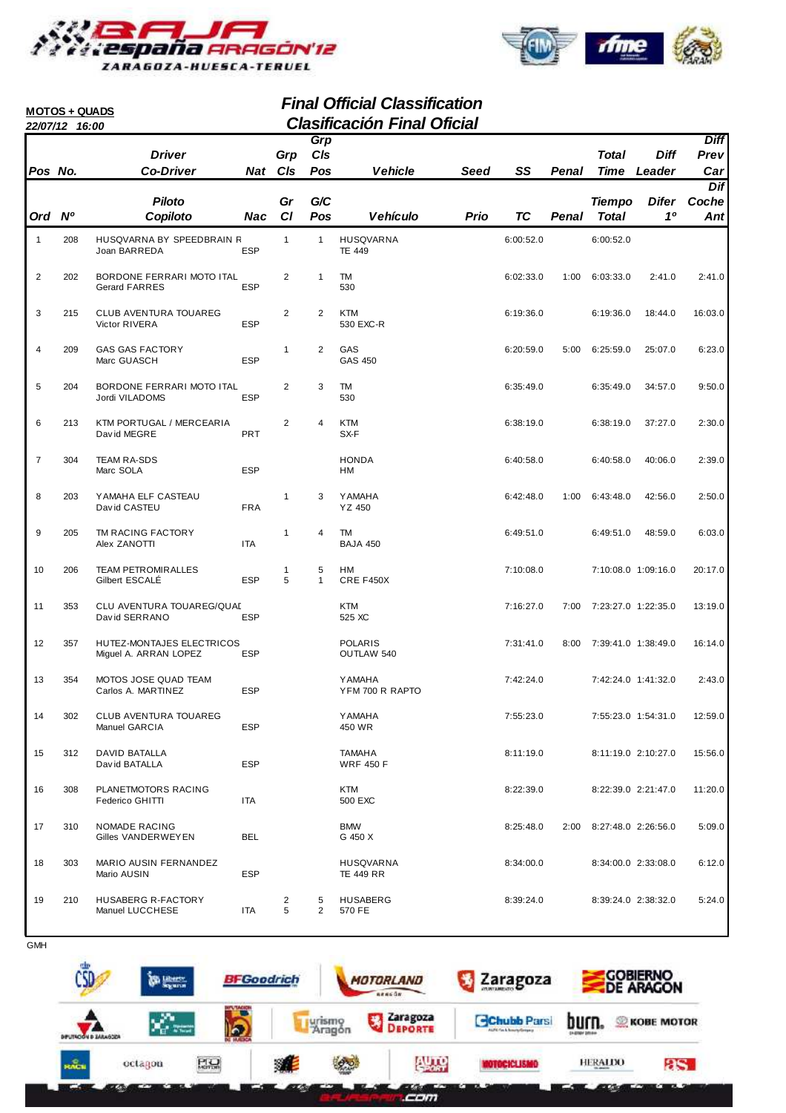



#### **Final Official Classification 22/07/12 16:00 Clasificación Final Oficial MOTOS + QUADS Pos No. Driver Co-Driver Grp Cls Ord Nº Piloto Copiloto Gr Cl Vehicle SS Cls Pos Grp Penal Time Diff Leader Prev Diff Car Vehículo Prio Pos Penal Total G/C Difer 1º**   $\overline{D}$ **Coche Ant Nat Nac Total Tiempo Seed TC** 1 208 HUSQVARNA BY SPEEDBRAIN R 1 1 HUSQVARNA 6:00:52.0 6:00:52.0 Joan BARREDA ESP TE 449 2 202 BORDONE FERRARI MOTO ITAL 2 1 TM<br>Gerard FARRES FSP 530 530 6:02:33.0 1:00 6:03:33.0 2:41.0 2:41.0 Gerard FARRES ESP 530 3 215 CLUB AVENTURA TOUAREG 2 2 KTM<br>
Victor RIVERA ESP 530 EXC-R 6:19:36.0 6:19:36.0 18:44.0 16:03.0 Victor RIVERA 4 209 GAS GAS FACTORY 1 2 GAS 6:20:59.0 6:25:59.0 6:23.0 5:00 25:07.0 Marc GUASCH 5 204 BORDONE FERRARI MOTO ITAL 2 3 TM 6:35:49.0 6:35:49.0 9:50.0 34:57.0 Jordi VILADOMS 630 6 213 KTM PORTUGAL / MERCEARIA 2 4 KTM<br>David MEGRE PRT SX-F SX-F SX-F SX-F SX-R David MEGRE **EXAMPLE PRT**BOOK PRT
SX-F 7 304 TEAM RA-SDS HONDA 6:40:58.0 6:40:58.0 2:39.0 40:06.0 Marc SOLA **ESP** HM 8 203 YAMAHA ELF CASTEAU 1 3 YAMAHA 6:42:48.0 6:43:48.0 2:50.0 1:00 42:56.0 David CASTEU FRA YZ 450 9 205 TM RACING FACTORY 1 4 TM<br>Alex 7ANOTTI 1TA BAJA 450 6:49:51.0 6:49:51.0 48:59.0 6:03.0 Alex ZANOTTI ITA ITA BAJA 450 10 206 TEAM PETROMIRALLES 1 5 HM 7:10:08.0 7:10:08.0 20:17.0 1:09:16.0 Gilbert ESCALÉ ESP 5 1 11 353 CLU AVENTURA TOUAREG/QUAD KTM KTM KTM 7:16:27.0 7:00 7:23:27.0 1:22:35.0 13:19.0<br>David SERRANO ESP 525 XC Dav id SERRANO 12 357 HUTEZ-MONTAJES ELECTRICOS POLARIS 7:31:41.0 7:39:41.0 16:14.0 8:00 1:38:49.0 Miguel A. ARRAN LOPEZ ESP OUTLAW 540 13 354 MOTOS JOSE QUAD TEAM YAMAHA 7:42:24.0 7:42:24.0 2:43.0 1:41:32.0 Carlos A. MARTINEZ 14 302 CLUB AVENTURA TOUAREG YAMAHA 7:55:23.0 7:55:23.0 12:59.0 1:54:31.0 Manuel GARCIA **ESP** 450 WR 15 312 DAVID BATALLA TAMAHA 8:11:19.0 8:11:19.0 15:56.0 2:10:27.0 Dav id BATALLA 16 308 PLANETMOTORS RACING 17A 11:20.0 KTM 6500 EXC 16.22:39.0 8:22:39.0 8:22:39.0 2:21:47.0 11:20.0 Federico GHITTI 17 310 NOMADE RACING BMW 8:25:48.0 8:27:48.0 5:09.0 2:00 2:26:56.0 Gilles VANDERWEYEN BEL G 450 X 18 303 MARIO AUSIN FERNANDEZ HUSQVARNA 8:34:00.0 8:34:00.0 6:12.0 2:33:08.0 Mario AUSIN ESP TE 449 RR 19 210 HUSABERG R-FACTORY 2 5 HUSABERG 8:39:24.0 8:39:24.0 5:24.0 2:38:32.0 Manuel LUCCHESE ITA 5 2 570 FE

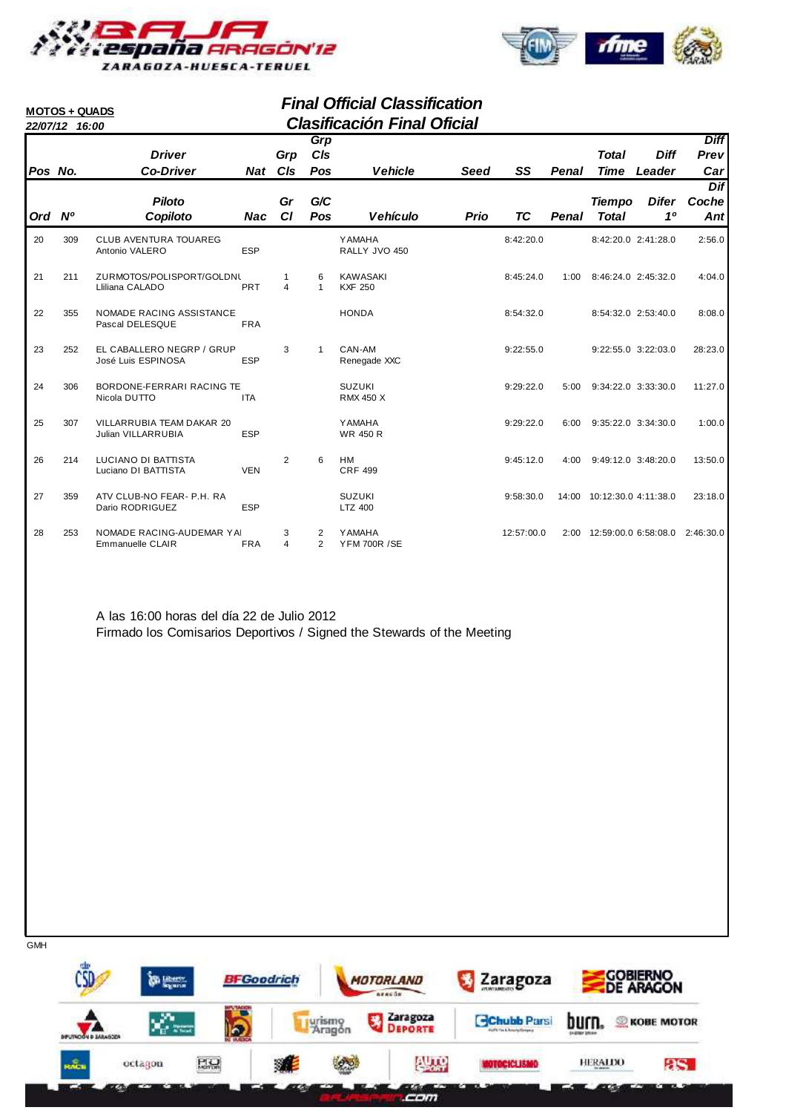



#### **Final Official Classification 22/07/12 16:00 Clasificación Final Oficial MOTOS + QUADS Grp**

| Pos No. |     | <b>Driver</b><br><b>Co-Driver</b>                      |            | Grp<br>Nat C <sub>IS</sub> | Grp<br>C/s<br>Pos   | <b>Vehicle</b>                       | <b>Seed</b> | SS         | Penal | Total<br>Time                 | <b>Diff</b><br>Leader   | <b>Diff</b><br>Prev<br>Car |
|---------|-----|--------------------------------------------------------|------------|----------------------------|---------------------|--------------------------------------|-------------|------------|-------|-------------------------------|-------------------------|----------------------------|
| Ord Nº  |     | <b>Piloto</b>                                          |            | Gr<br><b>CI</b>            | G/C<br>Pos          | <b>Vehículo</b>                      |             | ТC         | Penal | <b>Tiempo</b><br><b>Total</b> | Difer<br>1 <sup>0</sup> | Dif<br>Coche               |
|         |     | Copiloto                                               | Nac        |                            |                     |                                      | Prio        |            |       |                               |                         | Ant                        |
| 20      | 309 | <b>CLUB AVENTURA TOUAREG</b><br>Antonio VALERO         | <b>ESP</b> |                            |                     | <b>YAMAHA</b><br>RALLY JVO 450       |             | 8:42:20.0  |       | 8:42:20.0 2:41:28.0           |                         | 2:56.0                     |
| 21      | 211 | ZURMOTOS/POLISPORT/GOLDNL<br>Lliliana CALADO           | PRT        | $\overline{4}$             | 6<br>$\mathbf{1}$   | <b>KAWASAKI</b><br><b>KXF 250</b>    |             | 8:45:24.0  | 1:00  | 8:46:24.0 2:45:32.0           |                         | 4:04.0                     |
| 22      | 355 | <b>NOMADE RACING ASSISTANCE</b><br>Pascal DELESQUE     | <b>FRA</b> |                            |                     | <b>HONDA</b>                         |             | 8:54:32.0  |       | 8:54:32.0 2:53:40.0           |                         | 8:08.0                     |
| 23      | 252 | EL CABALLERO NEGRP / GRUP<br>José Luis ESPINOSA        | <b>ESP</b> | 3                          | 1                   | CAN-AM<br>Renegade XXC               |             | 9:22:55.0  |       | 9:22:55.0 3:22:03.0           |                         | 28:23.0                    |
| 24      | 306 | BORDONE-FERRARI RACING TE<br>Nicola DUTTO              | <b>ITA</b> |                            |                     | <b>SUZUKI</b><br><b>RMX 450 X</b>    |             | 9:29:22.0  | 5:00  | 9:34:22.0 3:33:30.0           |                         | 11:27.0                    |
| 25      | 307 | <b>VILLARRUBIA TEAM DAKAR 20</b><br>Julian VILLARRUBIA | <b>ESP</b> |                            |                     | <b>YAMAHA</b><br><b>WR 450 R</b>     |             | 9:29:22.0  | 6:00  | 9:35:22.0 3:34:30.0           |                         | 1:00.0                     |
| 26      | 214 | LUCIANO DI BATTISTA<br>Luciano DI BATTISTA             | <b>VEN</b> | 2                          | 6                   | <b>HM</b><br><b>CRF 499</b>          |             | 9:45:12.0  | 4:00  | 9:49:12.0 3:48:20.0           |                         | 13:50.0                    |
| 27      | 359 | ATV CLUB-NO FEAR- P.H. RA<br>Dario RODRIGUEZ           | <b>ESP</b> |                            |                     | <b>SUZUKI</b><br>LTZ 400             |             | 9:58:30.0  |       | 14:00 10:12:30.0 4:11:38.0    |                         | 23:18.0                    |
| 28      | 253 | NOMADE RACING-AUDEMAR YAI<br>Emmanuelle CLAIR          | <b>FRA</b> | 3<br>$\overline{4}$        | 2<br>$\overline{2}$ | <b>YAMAHA</b><br><b>YFM 700R /SE</b> |             | 12:57:00.0 | 2:00  | 12:59:00.0 6:58:08.0          |                         | 2:46:30.0                  |

A las 16:00 horas del día 22 de Julio 2012 Firmado los Comisarios Deportivos / Signed the Stewards of the Meeting

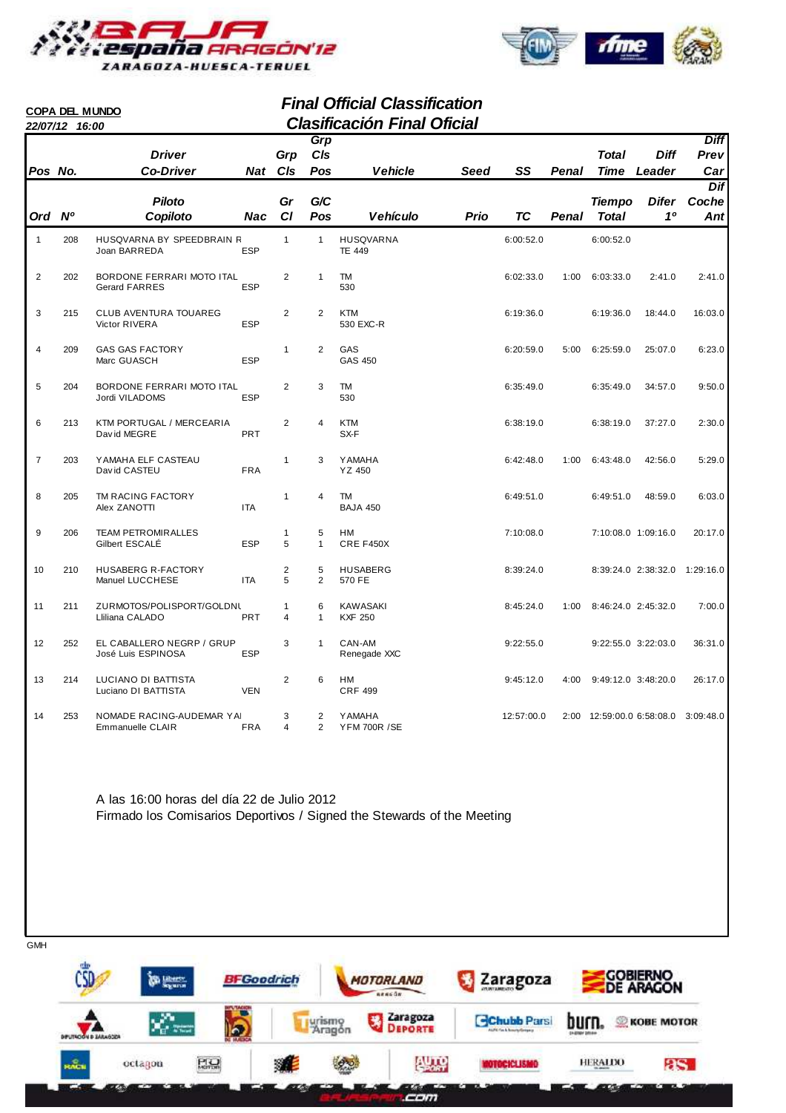



#### **Final Official Classification 22/07/12 16:00 Clasificación Final Oficial COPA DEL MUNDO Pos No. Driver Co-Driver Grp Cls Ord Nº Piloto Copiloto Gr Cl Vehicle SS Cls Pos Grp Penal Time Diff Leader Prev Diff Car Vehículo Prio Pos Penal Total G/C Difer 1º**   $\overline{D}$ **Coche Ant Nat Nac Total Tiempo Seed TC** 1 208 HUSQVARNA BY SPEEDBRAIN R 1 1 HUSQVARNA 6:00:52.0 6:00:52.0 Joan BARREDA ESP TE 449 2 202 BORDONE FERRARI MOTO ITAL 2 1 TM<br>Gerard FARRES FSP 530 530 6:02:33.0 1:00 6:03:33.0 2:41.0 2:41.0 Gerard FARRES ESP 530 3 215 CLUB AVENTURA TOUAREG 2 2 KTM<br>
Victor RIVERA ESP 530 EXC-R<br>
530 EXC-R Victor RIVERA 4 209 GAS GAS FACTORY 1 2 GAS 6:20:59.0 6:25:59.0 6:23.0 5:00 25:07.0 Marc GUASCH 5 204 BORDONE FERRARI MOTO ITAL 2 3 TM 6:35:49.0 6:35:49.0 9:50.0 34:57.0 Jordi VILADOMS 6 213 KTM PORTUGAL / MERCEARIA 2 4 KTM<br>David MEGRE PRT SX-F SX-F SX-F SX-F 2:30.0 David MEGRE **EXAMPLE PRT**BOOK PRT
SX-F 7 203 YAMAHA ELF CASTEAU 1 3 YAMAHA 1 6:42:48.0 1:00 6:43:48.0 42:56.0 5:29.0<br>David CASTEU FRA YZ 450 Dav id CASTEU 8 205 TM RACING FACTORY 1 4 TM 6:49:51.0 6:49:51.0 6:03.0 48:59.0 Alex ZANOTTI ITA ITA BAJA 450 9 206 TEAM PETROMIRALLES 1 5 HM 7:10:08.0 7:10:08.0 20:17.0 1:09:16.0 Gilbert ESCALÉ ESP 5 1 10 210 HUSABERG R-FACTORY 2 5 HUSABERG 8:39:24.0 8:39:24.0 1:29:16.0 2:38:32.0 Manuel LUCCHESE ITA 5 2 570 FE 11 211 ZURMOTOS/POLISPORT/GOLDNU 1 6 KAWASAKI 8:45:24.0 8:46:24.0 7:00.0 1:00 2:45:32.0 Lliliana CALADO **PRT** 4 1 KXF 250 12 252 EL CABALLERO NEGRP / GRUP 3 1 CAN-AM 9:22:55.0 9:22:55.0 9:22:55.0 3:22:03.0 36:31.0<br>José Luis ESPINOSA ESP Renegade XXC José Luis ESPINOSA 13 214 LUCIANO DI BATTISTA 2 6 HM<br>
Luciano DI BATTISTA VEN CRF 499 2 26:17.0 Luciano DI BATTISTA 14 253 NOMADE RACING-AUDEMAR YAI 3 2 YAMAHA 12:57:00.0 2:00 12:59:00.0 6:58:08.0 3:09:48.0<br>Emmanuelle CLAIR FRA 4 2 YFM 700R /SE

A las 16:00 horas del día 22 de Julio 2012 Firmado los Comisarios Deportivos / Signed the Stewards of the Meeting

Emmanuelle CLAIR FRA 4 2 YFM 700R / SE



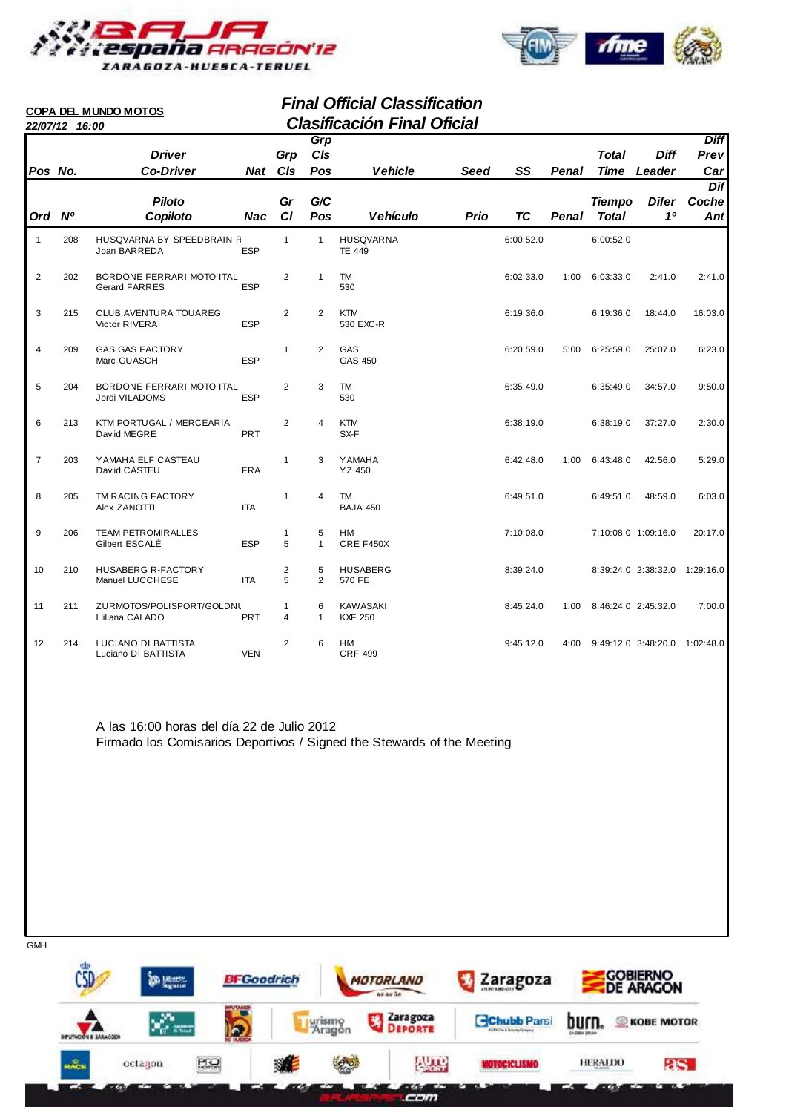

**COPA DEL MUNDO MOTOS**



#### **Final Official Classification 22/07/12 16:00 Clasificación Final Oficial**

|                | 22/07/12 16:00 |                                                   |            |                                |                   | Giasincación Final Olicial        |             |           |       |                               |                               |              |
|----------------|----------------|---------------------------------------------------|------------|--------------------------------|-------------------|-----------------------------------|-------------|-----------|-------|-------------------------------|-------------------------------|--------------|
|                |                |                                                   |            |                                | Grp               |                                   |             |           |       |                               |                               | <b>Diff</b>  |
|                |                | <b>Driver</b>                                     |            | Grp                            | C/s               |                                   |             |           |       | <b>Total</b>                  | <b>Diff</b>                   | Prev         |
| Pos No.        |                | <b>Co-Driver</b>                                  |            | Nat CIs                        | Pos               | <b>Vehicle</b>                    | <b>Seed</b> | SS        | Penal | <b>Time</b>                   | Leader                        | Car          |
|                |                | <b>Piloto</b>                                     |            | Gr                             | G/C               |                                   |             |           |       |                               | <b>Difer</b>                  | <b>Dif</b>   |
| Ord Nº         |                | Copiloto                                          | <b>Nac</b> | CI                             | Pos               | <b>Vehículo</b>                   | Prio        | <b>TC</b> | Penal | <b>Tiempo</b><br><b>Total</b> | 10                            | Coche<br>Ant |
|                |                |                                                   |            |                                |                   |                                   |             |           |       |                               |                               |              |
| $\mathbf{1}$   | 208            | HUSQVARNA BY SPEEDBRAIN R<br>Joan BARREDA         | <b>ESP</b> | $\mathbf{1}$                   | $\mathbf{1}$      | <b>HUSQVARNA</b><br><b>TE 449</b> |             | 6:00:52.0 |       | 6:00:52.0                     |                               |              |
| $\overline{2}$ | 202            | BORDONE FERRARI MOTO ITAL<br><b>Gerard FARRES</b> | <b>ESP</b> | 2                              | 1                 | <b>TM</b><br>530                  |             | 6:02:33.0 |       | 1:00 6:03:33.0                | 2:41.0                        | 2:41.0       |
| 3              | 215            | <b>CLUB AVENTURA TOUAREG</b><br>Victor RIVERA     | <b>ESP</b> | 2                              | 2                 | <b>KTM</b><br>530 EXC-R           |             | 6:19:36.0 |       | 6:19:36.0                     | 18:44.0                       | 16:03.0      |
| 4              | 209            | <b>GAS GAS FACTORY</b><br>Marc GUASCH             | <b>ESP</b> | $\mathbf{1}$                   | 2                 | GAS<br>GAS 450                    |             | 6:20:59.0 | 5:00  | 6:25:59.0                     | 25:07.0                       | 6:23.0       |
| 5              | 204            | BORDONE FERRARI MOTO ITAL<br>Jordi VILADOMS       | <b>ESP</b> | 2                              | 3                 | TM<br>530                         |             | 6:35:49.0 |       | 6:35:49.0                     | 34:57.0                       | 9:50.0       |
| 6              | 213            | KTM PORTUGAL / MERCEARIA<br>David MEGRE           | PRT        | 2                              | 4                 | <b>KTM</b><br>SX-F                |             | 6:38:19.0 |       | 6:38:19.0                     | 37:27.0                       | 2:30.0       |
| $\overline{7}$ | 203            | YAMAHA ELF CASTEAU<br>David CASTEU                | <b>FRA</b> | $\mathbf{1}$                   | 3                 | <b>YAMAHA</b><br>YZ 450           |             | 6:42:48.0 | 1:00  | 6:43:48.0                     | 42:56.0                       | 5:29.0       |
| 8              | 205            | TM RACING FACTORY<br>Alex ZANOTTI                 | <b>ITA</b> | $\mathbf{1}$                   | 4                 | <b>TM</b><br><b>BAJA 450</b>      |             | 6:49:51.0 |       | 6:49:51.0                     | 48:59.0                       | 6:03.0       |
| 9              | 206            | <b>TEAM PETROMIRALLES</b><br>Gilbert ESCALÉ       | <b>ESP</b> | $\mathbf{1}$<br>5              | 5<br>$\mathbf{1}$ | HM<br>CRE F450X                   |             | 7:10:08.0 |       |                               | 7:10:08.0 1:09:16.0           | 20:17.0      |
| 10             | 210            | <b>HUSABERG R-FACTORY</b><br>Manuel LUCCHESE      | <b>ITA</b> | 2<br>5                         | 5<br>2            | <b>HUSABERG</b><br>570 FE         |             | 8:39:24.0 |       |                               | 8:39:24.0 2:38:32.0 1:29:16.0 |              |
| 11             | 211            | ZURMOTOS/POLISPORT/GOLDNL<br>Lliliana CALADO      | <b>PRT</b> | $\mathbf{1}$<br>$\overline{4}$ | 6<br>$\mathbf{1}$ | <b>KAWASAKI</b><br><b>KXF 250</b> |             | 8:45:24.0 | 1:00  |                               | 8:46:24.0 2:45:32.0           | 7:00.0       |
| 12             | 214            | LUCIANO DI BATTISTA<br>Luciano DI BATTISTA        | <b>VEN</b> | 2                              | 6                 | HM<br><b>CRF 499</b>              |             | 9:45:12.0 | 4:00  |                               | 9:49:12.0 3:48:20.0 1:02:48.0 |              |

A las 16:00 horas del día 22 de Julio 2012 Firmado los Comisarios Deportivos / Signed the Stewards of the Meeting

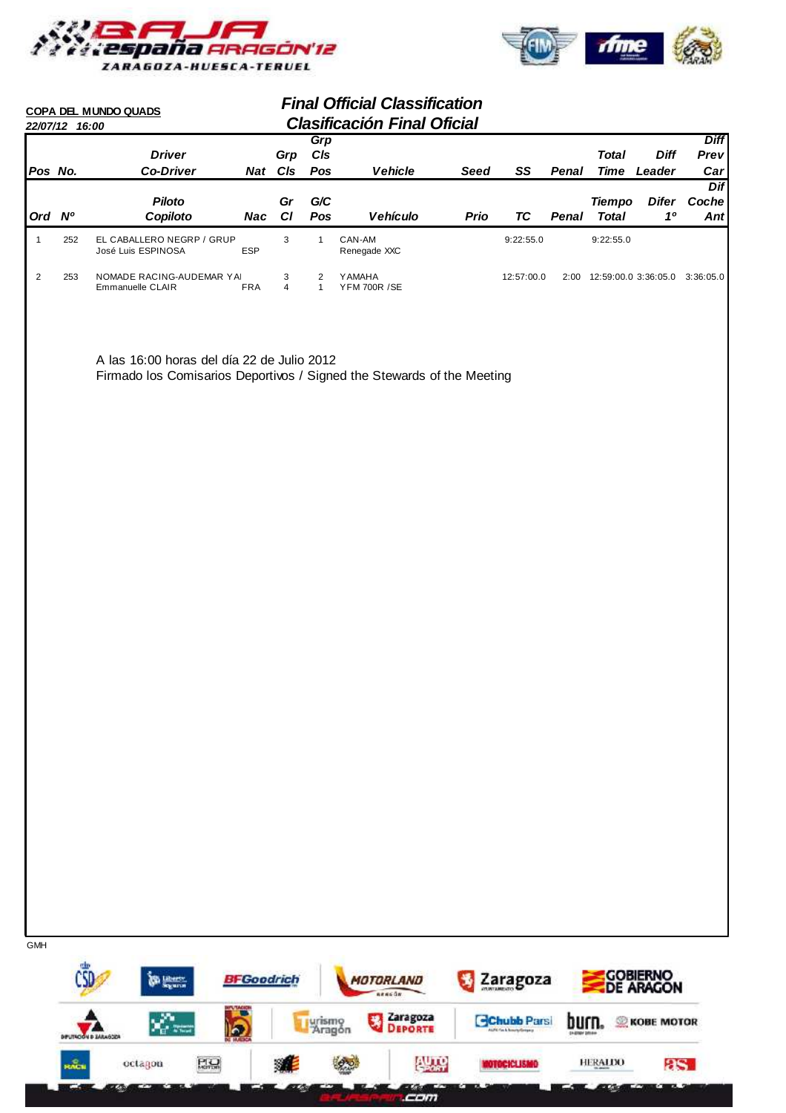



#### **Final Official Classification 22/07/12 16:00 Clasificación Final Oficial COPA DEL MUNDO QUADS Pos No. Driver Co-Driver Grp Cls Ord Nº Piloto Copiloto Gr Cl** Vehicle Seed SS **Cls Pos Grp Penal Time Diff Leader Prev Diff Car Vehículo Prio Pos Penal Total G/C Difer 1º Dif Coche Ant Nat Nac Total Tiempo Seed TC** 1 252 EL CABALLERO NEGRP / GRUP 3 1 CAN-AM 9:22:55.0 9:22:55.0 9:22:55.0 José Luis ESPINOSA 2 253 NOMADE RACING-AUDEMAR YAI 3 2 YAMAHA 12:57:00.0 2:00 12:59:00.0 3:36:05.0 3:36:05.0<br>Emmanuelle CLAIR FRA 4 1 YFM 700R /SE Emmanuelle CLAIR

A las 16:00 horas del día 22 de Julio 2012 Firmado los Comisarios Deportivos / Signed the Stewards of the Meeting

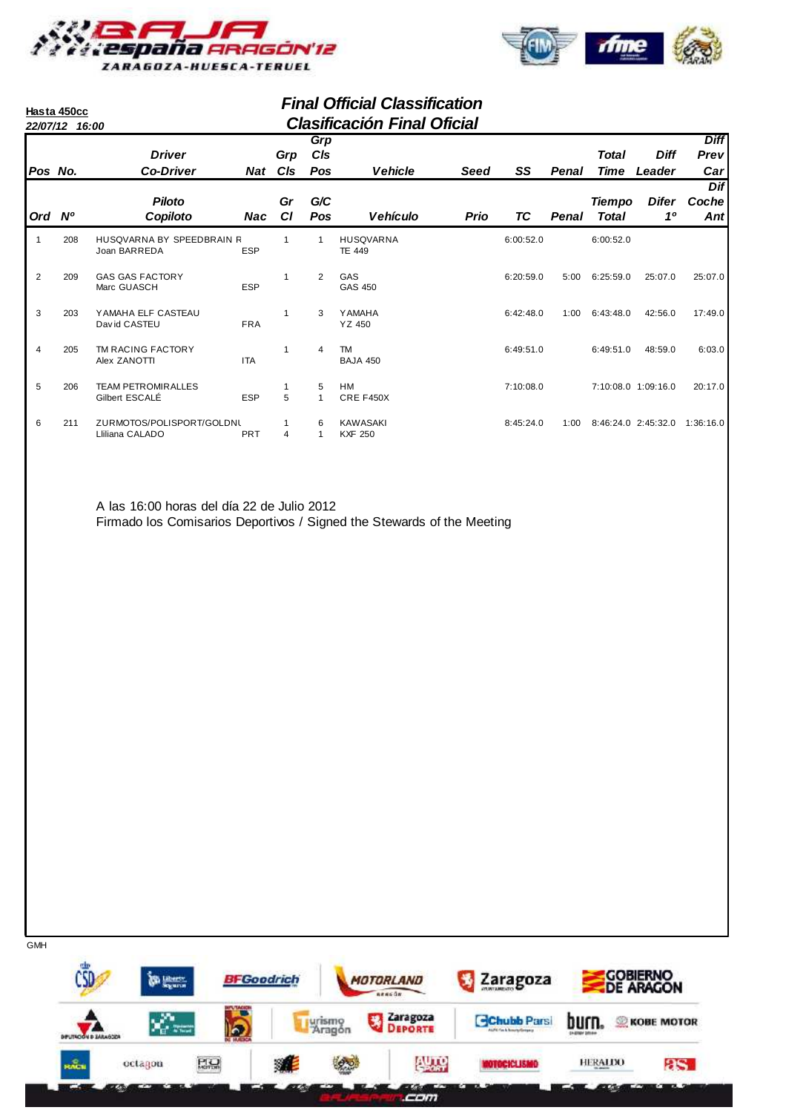

**Hasta 450cc**



## **Final Official Classification 22/07/12 16:00 Clasificación Final Oficial**

|         | 22/07/12 16:00 |                                              |            |           |            | Giasiliyaciyli Filial Olicial     |      |           |       |               |                     |                     |
|---------|----------------|----------------------------------------------|------------|-----------|------------|-----------------------------------|------|-----------|-------|---------------|---------------------|---------------------|
|         |                | <b>Driver</b>                                |            | Grp       | Grp<br>CIs |                                   |      |           |       | Total         | <b>Diff</b>         | <b>Diff</b><br>Prev |
| Pos No. |                | <b>Co-Driver</b>                             | Nat        | CIs       | Pos        | <b>Vehicle</b>                    | Seed | SS        | Penal | Time          | Leader              | Carl                |
|         |                |                                              |            |           |            |                                   |      |           |       |               |                     | <b>Dif</b>          |
|         |                | <b>Piloto</b>                                |            | Gr        | G/C        |                                   |      |           |       | <b>Tiempo</b> | <b>Difer</b>        | Coche               |
| Ord Nº  |                | Copiloto                                     | Nac        | <b>CI</b> | <b>Pos</b> | <b>Vehículo</b>                   | Prio | ТC        | Penal | <b>Total</b>  | 10                  | Ant                 |
|         | 208            | HUSQVARNA BY SPEEDBRAIN R<br>Joan BARREDA    | <b>ESP</b> |           |            | <b>HUSQVARNA</b><br><b>TE 449</b> |      | 6:00:52.0 |       | 6:00:52.0     |                     |                     |
| 2       | 209            | <b>GAS GAS FACTORY</b><br>Marc GUASCH        | <b>ESP</b> | 1         | 2          | GAS<br>GAS 450                    |      | 6:20:59.0 | 5:00  | 6:25:59.0     | 25:07.0             | 25:07.0             |
| 3       | 203            | YAMAHA ELF CASTEAU<br>David CASTEU           | <b>FRA</b> | 1         | 3          | <b>YAMAHA</b><br>YZ 450           |      | 6:42:48.0 | 1:00  | 6:43:48.0     | 42:56.0             | 17:49.0             |
| 4       | 205            | TM RACING FACTORY<br>Alex ZANOTTI            | <b>ITA</b> | 1         | 4          | TM<br><b>BAJA 450</b>             |      | 6:49:51.0 |       | 6:49:51.0     | 48:59.0             | 6:03.0              |
| 5       | 206            | <b>TEAM PETROMIRALLES</b><br>Gilbert ESCALÉ  | <b>ESP</b> | 5         | 5          | <b>HM</b><br>CRE F450X            |      | 7:10:08.0 |       |               | 7:10:08.0 1:09:16.0 | 20:17.0             |
| 6       | 211            | ZURMOTOS/POLISPORT/GOLDNU<br>Lliliana CALADO | <b>PRT</b> | 4         | 6          | <b>KAWASAKI</b><br><b>KXF 250</b> |      | 8:45:24.0 | 1:00  |               | 8:46:24.0 2:45:32.0 | 1:36:16.0           |

A las 16:00 horas del día 22 de Julio 2012 Firmado los Comisarios Deportivos / Signed the Stewards of the Meeting

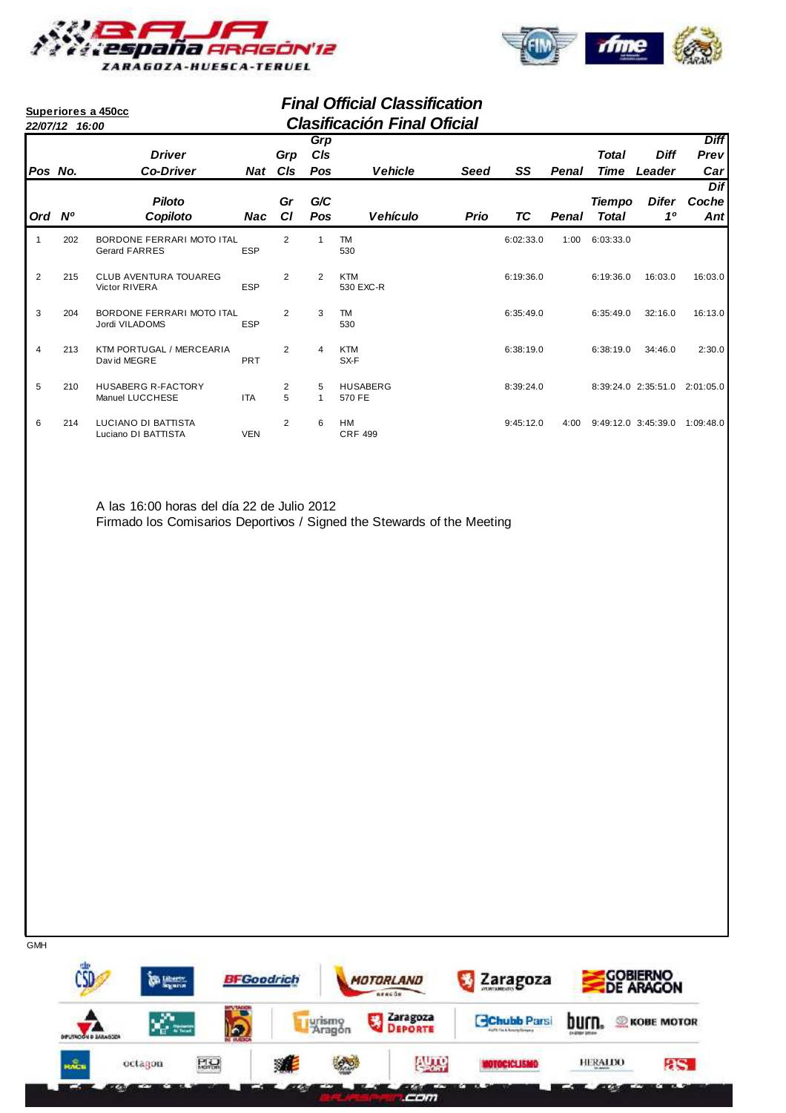



#### **Final Official Classification 22/07/12 16:00 Clasificación Final Oficial Superiores a 450cc Pos No. Driver Co-Driver Grp Cls Ord Nº Piloto Copiloto Gr Cl** Vehicle Seed SS **Cls Pos Grp Penal Time Diff Leader Prev Diff Car Vehículo Prio Pos Penal Total G/C Difer 1º Dif Coche Ant Nat Nac Total Tiempo Seed TC** 1 202 BORDONE FERRARI MOTO ITAL 2 1 TM<br>
Gerard FARRES FSP 530 530 Gerard FARRES ESP 530 2 215 CLUB AVENTURA TOUAREG 2 2 KTM 6:19:36.0 6:19:36.0 16:03.0 16:03.0 530 EXC-R 3 204 BORDONE FERRARI MOTO ITAL 2 3 TM 6:35:49.0 6:35:49.0 16:13.0 32:16.0 Jordi VILADOMS 4 213 KTM PORTUGAL / MERCEARIA 2 4 KTM<br>David MEGRE PRT SX-F SX-F SX-F 2 2:30.0 David MEGRE PRT SX-F 5 210 HUSABERG R-FACTORY 2 5 HUSABERG 8:39:24.0 8:39:24.0 8:39:24.0 2:35:51.0 2:01:05.0 Manuel LUCCHESE ITA 5 1 6 214 LUCIANO DI BATTISTA 2 6 HM<br>
Luciano DI BATTISTA VEN CRF 499 CRF 499 Luciano DI BATTISTA

A las 16:00 horas del día 22 de Julio 2012 Firmado los Comisarios Deportivos / Signed the Stewards of the Meeting

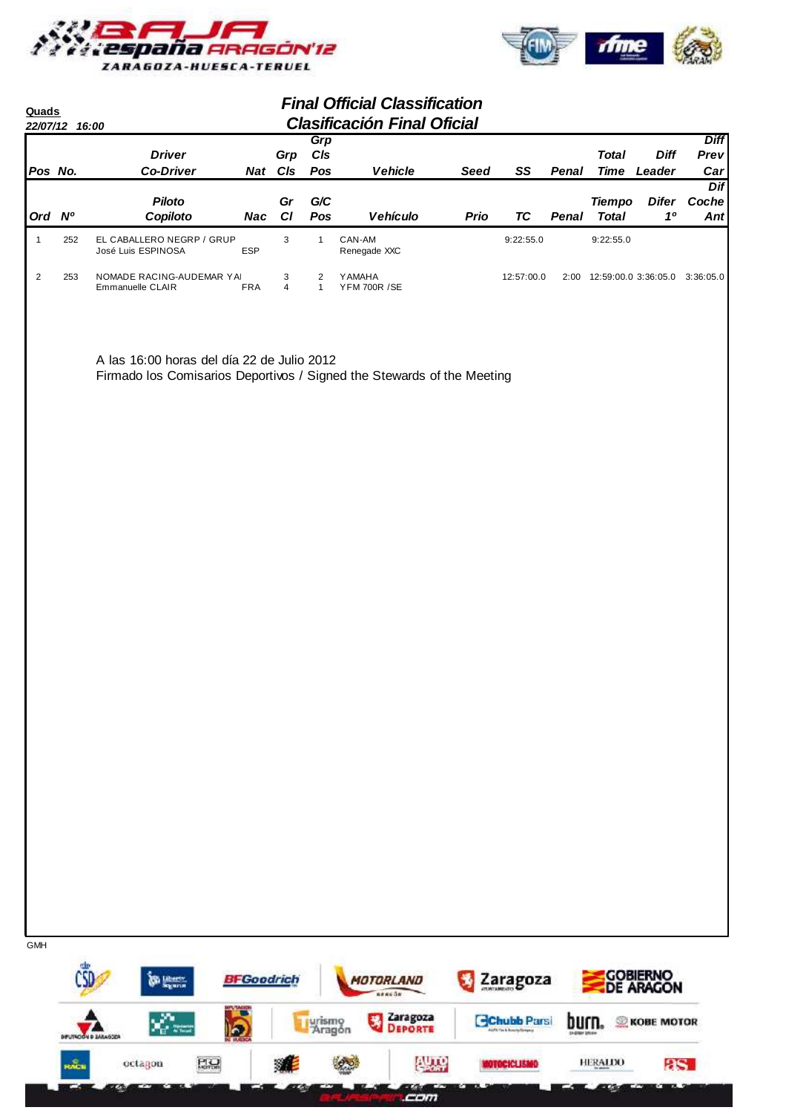



| Quads   | 22/07/12 16:00 |                                                                                                                      |            |                              |                   | <b>Final Official Classification</b><br><b>Clasificación Final Oficial</b> |      |            |       |                               |                       |                            |
|---------|----------------|----------------------------------------------------------------------------------------------------------------------|------------|------------------------------|-------------------|----------------------------------------------------------------------------|------|------------|-------|-------------------------------|-----------------------|----------------------------|
| Pos No. |                | <b>Driver</b><br><b>Co-Driver</b>                                                                                    | Nat        | Grp<br>CIs                   | Grp<br>CIs<br>Pos | <b>Vehicle</b>                                                             | Seed | SS         | Penal | Total<br>Time                 | <b>Diff</b><br>Leader | <b>Diff</b><br>Prev<br>Car |
| Ord Nº  |                | <b>Piloto</b><br>Copiloto                                                                                            | Nac        | Gr<br><b>CI</b>              | G/C<br><b>Pos</b> | <b>Vehículo</b>                                                            | Prio | TC         | Penal | <b>Tiempo</b><br><b>Total</b> | Difer<br>10           | Dif<br>Coche<br>Ant        |
|         | 252            | EL CABALLERO NEGRP / GRUP<br>José Luis ESPINOSA                                                                      | <b>ESP</b> | 3                            |                   | CAN-AM<br>Renegade XXC                                                     |      | 9:22:55.0  |       | 9:22:55.0                     |                       |                            |
| 2       | 253            | NOMADE RACING-AUDEMAR YAI<br>Emmanuelle CLAIR                                                                        | <b>FRA</b> | 3<br>$\overline{\mathbf{4}}$ | $\overline{2}$    | <b>YAMAHA</b><br><b>YFM 700R /SE</b>                                       |      | 12:57:00.0 | 2:00  | 12:59:00.0 3:36:05.0          |                       | 3:36:05.0                  |
|         |                | A las 16:00 horas del día 22 de Julio 2012<br>Firmado los Comisarios Deportivos / Signed the Stewards of the Meeting |            |                              |                   |                                                                            |      |            |       |                               |                       |                            |

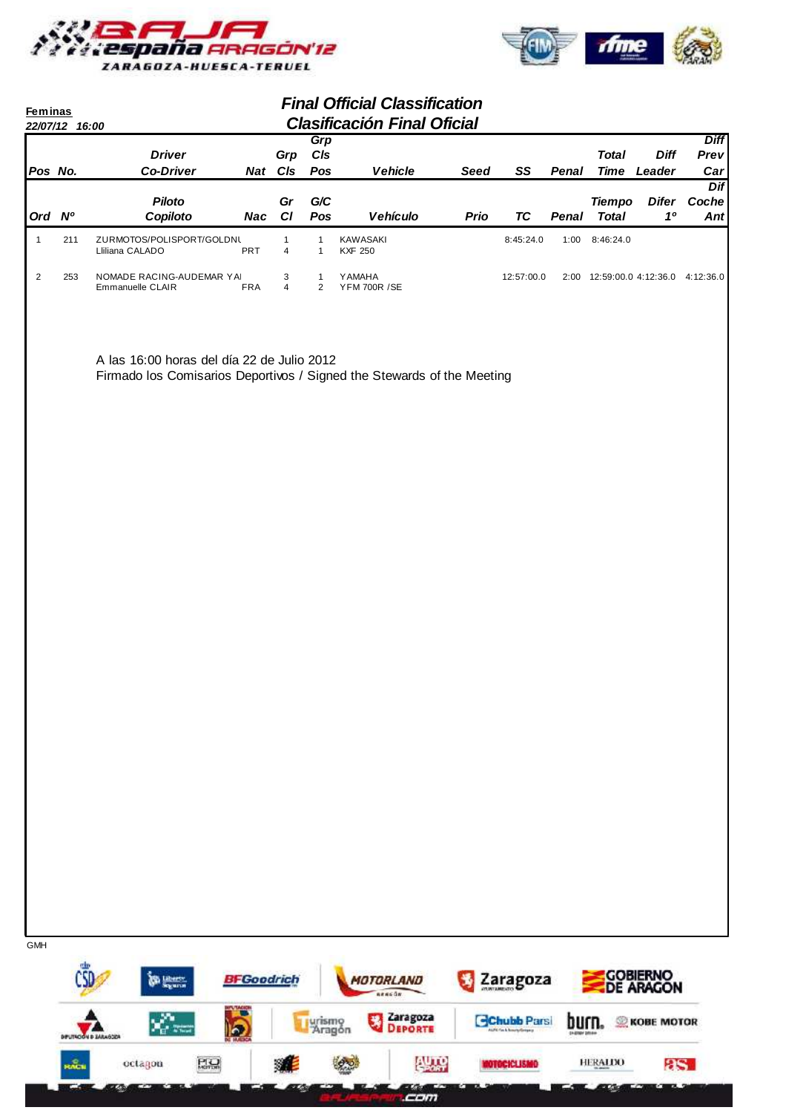



| <b>Feminas</b><br>22/07/12 16:00 |     |                                                                                                                      |            |                              |                              | <b>Final Official Classification</b><br><b>Clasificación Final Oficial</b> |             |            |       |                                     |                            |                            |
|----------------------------------|-----|----------------------------------------------------------------------------------------------------------------------|------------|------------------------------|------------------------------|----------------------------------------------------------------------------|-------------|------------|-------|-------------------------------------|----------------------------|----------------------------|
| Pos No.                          |     | <b>Driver</b><br><b>Co-Driver</b>                                                                                    |            | Grp<br>Nat CIs               | Grp<br>C/s<br>Pos            | <b>Vehicle</b>                                                             | <b>Seed</b> | SS         | Penal | <b>Total</b>                        | <b>Diff</b><br>Time Leader | <b>Diff</b><br>Prev<br>Car |
| Ord Nº                           |     | <b>Piloto</b><br>Copiloto                                                                                            | Nac        | Gr<br>C1                     | G/C<br>Pos                   | Vehículo                                                                   | Prio        | <b>TC</b>  | Penal | <b>Tiempo</b><br><b>Total</b>       | <b>Difer</b><br>10         | <b>Dif</b><br>Coche<br>Ant |
| $\mathbf{1}$                     | 211 | ZURMOTOS/POLISPORT/GOLDNL<br>Lliliana CALADO                                                                         | PRT        | $\mathbf{1}$<br>4            | $\mathbf{1}$<br>$\mathbf{1}$ | KAWASAKI<br><b>KXF 250</b>                                                 |             | 8:45:24.0  |       | 1:00  8:46:24.0                     |                            |                            |
| $\overline{2}$                   | 253 | NOMADE RACING-AUDEMAR YAI<br>Emmanuelle CLAIR                                                                        | <b>FRA</b> | 3<br>$\overline{\mathbf{4}}$ | 1<br>$\overline{2}$          | YAMAHA<br><b>YFM 700R /SE</b>                                              |             | 12:57:00.0 |       | 2:00 12:59:00.0 4:12:36.0 4:12:36.0 |                            |                            |
|                                  |     | A las 16:00 horas del día 22 de Julio 2012<br>Firmado los Comisarios Deportivos / Signed the Stewards of the Meeting |            |                              |                              |                                                                            |             |            |       |                                     |                            |                            |
| <b>GMH</b>                       |     |                                                                                                                      |            |                              |                              |                                                                            |             |            |       |                                     |                            |                            |

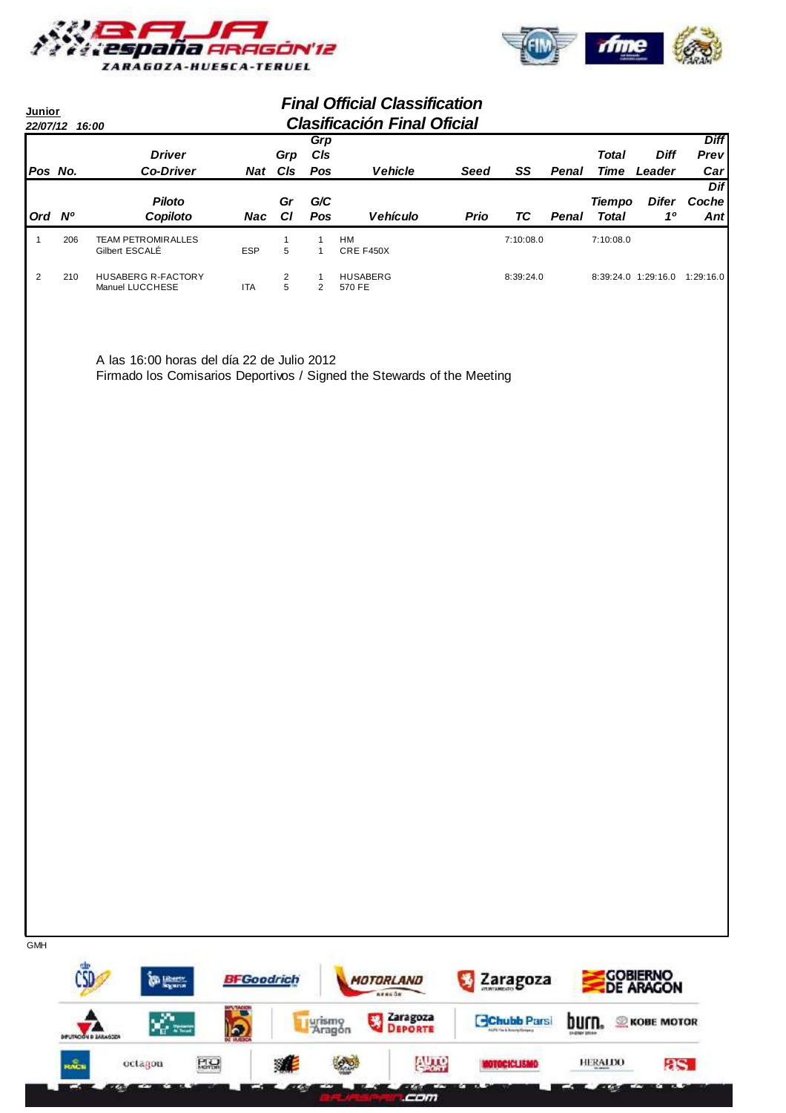



| Junior<br>22/07/12 |     | 16:00                                        | <b>Final Official Classification</b><br><b>Clasificación Final Oficial</b> |                     |                          |                           |      |           |       |                               |                       |                            |  |
|--------------------|-----|----------------------------------------------|----------------------------------------------------------------------------|---------------------|--------------------------|---------------------------|------|-----------|-------|-------------------------------|-----------------------|----------------------------|--|
| Pos No.            |     | <b>Driver</b><br><b>Co-Driver</b>            | <b>Nat</b>                                                                 | Grp<br>CIs          | Grp<br>CIs<br><b>Pos</b> | <b>Vehicle</b>            | Seed | SS        | Penal | <b>Total</b><br>Time          | <b>Diff</b><br>Leader | <b>Diff</b><br>Prev<br>Car |  |
| Ord                | N°  | <b>Piloto</b><br>Copiloto                    | Nac                                                                        | Gr<br>CI            | G/C<br><b>Pos</b>        | <b>Vehículo</b>           | Prio | ТC        | Penal | <b>Tiempo</b><br><b>Total</b> | <b>Difer</b><br>10    | Dif<br>Coche<br>Ant        |  |
|                    | 206 | <b>TEAM PETROMIRALLES</b><br>Gilbert ESCALÉ  | <b>ESP</b>                                                                 | 5                   |                          | <b>HM</b><br>CRE F450X    |      | 7:10:08.0 |       | 7:10:08.0                     |                       |                            |  |
| 2                  | 210 | <b>HUSABERG R-FACTORY</b><br>Manuel LUCCHESE | <b>ITA</b>                                                                 | $\overline{2}$<br>5 | 2                        | <b>HUSABERG</b><br>570 FE |      | 8:39:24.0 |       |                               | $8:39:24.0$ 1:29:16.0 | 1:29:16.0                  |  |

A las 16:00 horas del día 22 de Julio 2012 Firmado los Comisarios Deportivos / Signed the Stewards of the Meeting



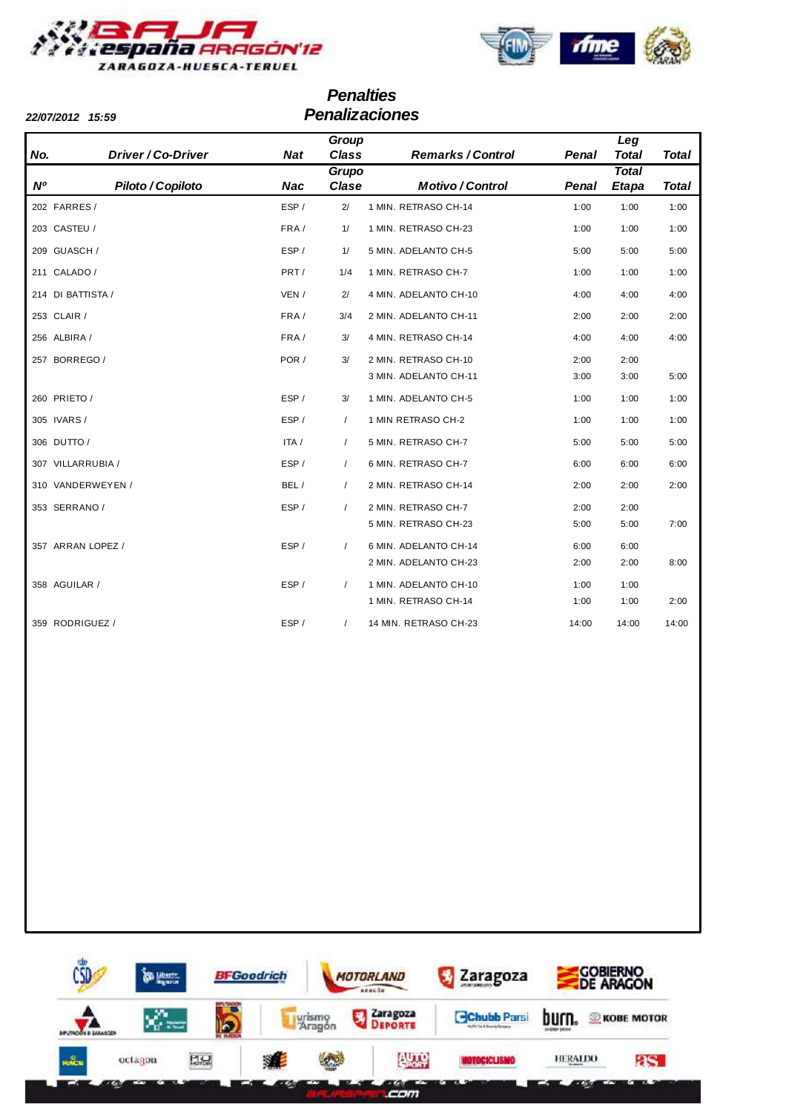



# **Penalties 22/07/2012 15:59 Penalizaciones**

| <b>22/07/2012</b><br>15:59 |  |
|----------------------------|--|
|----------------------------|--|

**No. Driver / Co-Driver Nat Nº Piloto / Copiloto Nac Remarks / Control Class Total Group Motivo / Control Clase Total Grupo Total Etapa Penal Penal Leg Total** 202 FARRES / The CHARRES / ESP / 2/ 1 MIN. RETRASO CH-14 1:00 1:00 1:00 1:00 203 CASTEU / FRA / 1 MIN. RETRASO CH-23 1:00 1:00 1/ 1:00 209 GUASCH / 
209 GUASCH / 
ESP / 1 / 5 MIN. ADELANTO CH-5 5:00 5:00 5:00 5:00 211 CALADO / 2002 211 CALADO / PRT / 1/4 1 MIN. RETRASO CH-7 2004 1:00 1:00 1:00 214 DI BATTISTA / VEN / 4 MIN. ADELANTO CH-10 4:00 4:00 2/ 4:00 253 CLAIR / CLAIR / TRA / 3/4 2 MIN. ADELANTO CH-11 2:00 2:00 2:00 2:00 256 ALBIRA / CONSERVENT AND RETRASO CH-14 4:00 4:00 4:00 4:00 4:00 257 BORREGO / 2:00 2:00 2:00 POR / 3/ 2 MIN. RETRASO CH-10 2:00 2:00 3 MIN. ADELANTO CH-11 3:00 5:00 3:00 260 PRIETO / THE SP / SALE AND A LOCAL LOCAL LOCAL LOCAL LOCAL LOCAL LOCAL LOCAL LOCAL LOCAL LOCAL LOCAL LOCAL LOCAL LOCAL LOCAL LOCAL LOCAL LOCAL LOCAL LOCAL LOCAL LOCAL LOCAL LOCAL LOCAL LOCAL LOCAL LOCAL LOCAL LOCAL LOC 305 IVARS / THE SP / 1 MIN RETRASO CH-2 1:00 1:00 1:00 1:00 306 DUTTO / ITA / 5 MIN. RETRASO CH-7 5:00 5:00 / 5:00 307 VILLARRUBIA / CONSERVENT / ESP / 6 MIN. RETRASO CH-7 / 6:00 / 6:00 / 6:00 / 6:00 310 VANDERWEYEN / BEL / 2 MIN. RETRASO CH-14 2:00 2:00 / 2:00 353 SERRANO / CONSUMING THE SP / 2 MIN. RETRASO CH-7 2:00 2:00 2:00 5 MIN. RETRASO CH-23 5:00 5:00 7:00 357 ARRAN LOPEZ / ESP / 6 MIN. ADELANTO CH-14 6:00 6:00 / 2 MIN. ADELANTO CH-23 2:00 8:00 2:00 358 AGUILAR / CONSUMING THE SP / 1 MIN. ADELANTO CH-10 0 1:00 1:00 1:00 1 MIN. RETRASO CH-14 1:00 1:00 2:00 359 RODRIGUEZ / THE SP / THE MIN. RETRASO CH-23 14:00 14:00 14:00 14:00

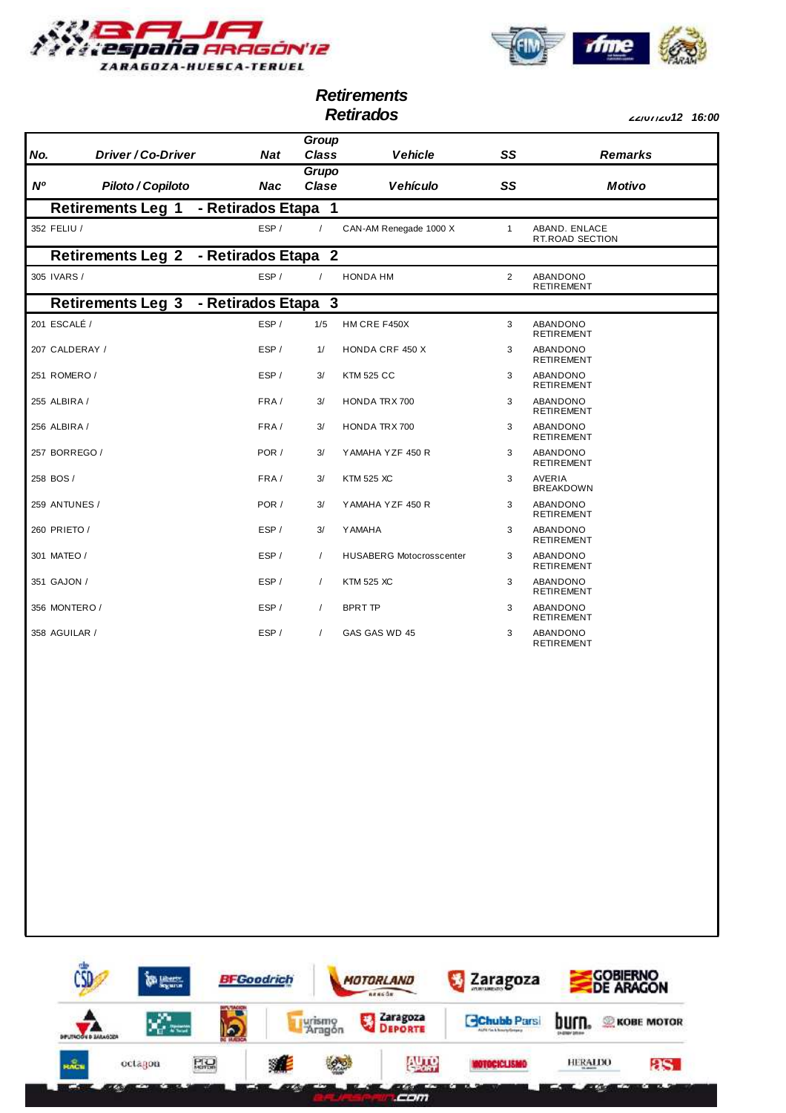



**Retirements**

**Retirados 22/07/2012 16:00**

|               |                          |                     | Group          |                                 |                |                                   |
|---------------|--------------------------|---------------------|----------------|---------------------------------|----------------|-----------------------------------|
| No.           | Driver/Co-Driver         | <b>Nat</b>          | Class          | <b>Vehicle</b>                  | SS             | <b>Remarks</b>                    |
| <b>N°</b>     | Piloto / Copiloto        | <b>Nac</b>          | Grupo<br>Clase | <b>Vehículo</b>                 | SS             | <b>Motivo</b>                     |
|               | <b>Retirements Leg 1</b> | - Retirados Etapa   | $\mathbf{1}$   |                                 |                |                                   |
| 352 FELIU /   |                          | ESP/                | $\prime$       | CAN-AM Renegade 1000 X          | $\mathbf{1}$   | ABAND. ENLACE<br>RT.ROAD SECTION  |
|               | <b>Retirements Leg 2</b> | - Retirados Etapa 2 |                |                                 |                |                                   |
| 305 IVARS /   |                          | ESP/                | $\prime$       | <b>HONDA HM</b>                 | $\overline{2}$ | ABANDONO<br><b>RETIREMENT</b>     |
|               | <b>Retirements Leg 3</b> | - Retirados Etapa 3 |                |                                 |                |                                   |
| 201 ESCALÉ /  |                          | ESP/                | 1/5            | HM CRE F450X                    | 3              | ABANDONO<br><b>RETIREMENT</b>     |
|               | 207 CALDERAY /           | ESP/                | 1/             | <b>HONDA CRF 450 X</b>          | 3              | ABANDONO<br><b>RETIREMENT</b>     |
| 251 ROMERO /  |                          | ESP/                | 3/             | <b>KTM 525 CC</b>               | 3              | ABANDONO<br><b>RETIREMENT</b>     |
| 255 ALBIRA /  |                          | FRA/                | 3/             | <b>HONDA TRX 700</b>            | 3              | ABANDONO<br><b>RETIREMENT</b>     |
| 256 ALBIRA /  |                          | FRA/                | 3/             | <b>HONDA TRX 700</b>            | 3              | ABANDONO<br><b>RETIREMENT</b>     |
|               | 257 BORREGO /            | POR /               | 3/             | YAMAHA YZF 450 R                | 3              | ABANDONO<br><b>RETIREMENT</b>     |
| 258 BOS /     |                          | FRA/                | 3/             | <b>KTM 525 XC</b>               | 3              | <b>AVERIA</b><br><b>BREAKDOWN</b> |
|               | 259 ANTUNES /            | POR /               | 3/             | YAMAHA YZF 450 R                | 3              | ABANDONO<br><b>RETIREMENT</b>     |
| 260 PRIETO /  |                          | ESP/                | 3/             | Y AMAHA                         | 3              | ABANDONO<br><b>RETIREMENT</b>     |
| 301 MATEO /   |                          | ESP/                | $\prime$       | <b>HUSABERG Motocrosscenter</b> | 3              | ABANDONO<br><b>RETIREMENT</b>     |
| 351 GAJON /   |                          | ESP/                | $\prime$       | <b>KTM 525 XC</b>               | 3              | ABANDONO<br><b>RETIREMENT</b>     |
|               | 356 MONTERO /            | ESP/                | $\sqrt{2}$     | <b>BPRT TP</b>                  | 3              | ABANDONO<br><b>RETIREMENT</b>     |
| 358 AGUILAR / |                          | ESP/                | $\sqrt{2}$     | GAS GAS WD 45                   | 3              | ABANDONO<br><b>RETIREMENT</b>     |
|               |                          |                     |                |                                 |                |                                   |

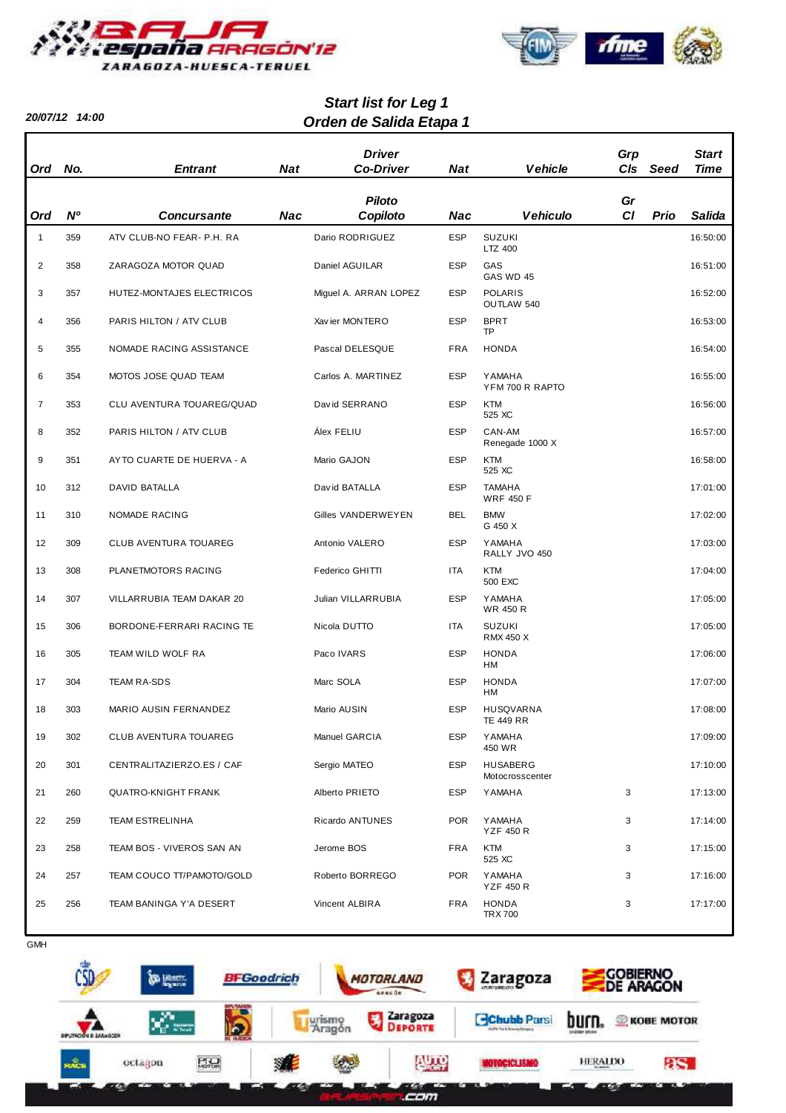

**20/07/12 14:00**



# **Orden de Salida Etapa 1 Start list for Leg 1**

| Ord            | No.       | <b>Entrant</b>             | <b>Nat</b> | <b>Driver</b><br><b>Co-Driver</b> | <b>Nat</b> | <b>Vehicle</b>                       | Grp<br>C/s | Seed | Start<br><b>Time</b> |
|----------------|-----------|----------------------------|------------|-----------------------------------|------------|--------------------------------------|------------|------|----------------------|
|                |           |                            |            | <b>Piloto</b>                     |            |                                      | Gr         |      |                      |
| Ord            | <b>N°</b> | <b>Concursante</b>         | Nac        | Copiloto                          | Nac        | <b>Vehiculo</b>                      | CI         | Prio | Salida               |
| $\mathbf{1}$   | 359       | ATV CLUB-NO FEAR- P.H. RA  |            | Dario RODRIGUEZ                   | <b>ESP</b> | <b>SUZUKI</b><br>LTZ 400             |            |      | 16:50:00             |
| 2              | 358       | ZARAGOZA MOTOR QUAD        |            | Daniel AGUILAR                    | <b>ESP</b> | GAS<br>GAS WD 45                     |            |      | 16:51:00             |
| 3              | 357       | HUTEZ-MONTAJES ELECTRICOS  |            | Miguel A. ARRAN LOPEZ             | <b>ESP</b> | <b>POLARIS</b><br>OUTLAW 540         |            |      | 16:52:00             |
| 4              | 356       | PARIS HILTON / ATV CLUB    |            | Xavier MONTERO                    | <b>ESP</b> | <b>BPRT</b><br><b>TP</b>             |            |      | 16:53:00             |
| 5              | 355       | NOMADE RACING ASSISTANCE   |            | Pascal DELESQUE                   | <b>FRA</b> | <b>HONDA</b>                         |            |      | 16:54:00             |
| 6              | 354       | MOTOS JOSE QUAD TEAM       |            | Carlos A. MARTINEZ                | <b>ESP</b> | <b>YAMAHA</b><br>YFM 700 R RAPTO     |            |      | 16:55:00             |
| $\overline{7}$ | 353       | CLU AVENTURA TOUAREG/QUAD  |            | David SERRANO                     | <b>ESP</b> | <b>KTM</b><br>525 XC                 |            |      | 16:56:00             |
| 8              | 352       | PARIS HILTON / ATV CLUB    |            | Álex FELIU                        | <b>ESP</b> | CAN-AM<br>Renegade 1000 X            |            |      | 16:57:00             |
| 9              | 351       | AYTO CUARTE DE HUERVA - A  |            | Mario GAJON                       | <b>ESP</b> | <b>KTM</b><br>525 XC                 |            |      | 16:58:00             |
| 10             | 312       | DAVID BATALLA              |            | David BATALLA                     | <b>ESP</b> | <b>TAMAHA</b><br><b>WRF 450 F</b>    |            |      | 17:01:00             |
| 11             | 310       | NOMADE RACING              |            | Gilles VANDERWEYEN                | <b>BEL</b> | <b>BMW</b><br>G 450 X                |            |      | 17:02:00             |
| 12             | 309       | CLUB AVENTURA TOUAREG      |            | Antonio VALERO                    | <b>ESP</b> | <b>YAMAHA</b><br>RALLY JVO 450       |            |      | 17:03:00             |
| 13             | 308       | PLANETMOTORS RACING        |            | Federico GHITTI                   | ITA        | <b>KTM</b><br>500 EXC                |            |      | 17:04:00             |
| 14             | 307       | VILLARRUBIA TEAM DAKAR 20  |            | Julian VILLARRUBIA                | <b>ESP</b> | <b>YAMAHA</b><br><b>WR 450 R</b>     |            |      | 17:05:00             |
| 15             | 306       | BORDONE-FERRARI RACING TE  |            | Nicola DUTTO                      | ITA        | <b>SUZUKI</b><br><b>RMX 450 X</b>    |            |      | 17:05:00             |
| 16             | 305       | TEAM WILD WOLF RA          |            | Paco IVARS                        | <b>ESP</b> | <b>HONDA</b><br><b>HM</b>            |            |      | 17:06:00             |
| 17             | 304       | <b>TEAM RA-SDS</b>         |            | Marc SOLA                         | <b>ESP</b> | <b>HONDA</b><br><b>HM</b>            |            |      | 17:07:00             |
| 18             | 303       | MARIO AUSIN FERNANDEZ      |            | Mario AUSIN                       | <b>ESP</b> | <b>HUSQVARNA</b><br><b>TE 449 RR</b> |            |      | 17:08:00             |
| 19             | 302       | CLUB AVENTURA TOUAREG      |            | Manuel GARCIA                     | <b>ESP</b> | <b>YAMAHA</b><br>450 WR              |            |      | 17:09:00             |
| 20             | 301       | CENTRALITAZIERZO.ES / CAF  |            | Sergio MATEO                      | <b>ESP</b> | <b>HUSABERG</b><br>Motocrosscenter   |            |      | 17:10:00             |
| 21             | 260       | <b>QUATRO-KNIGHT FRANK</b> |            | Alberto PRIETO                    | <b>ESP</b> | YAMAHA                               | 3          |      | 17:13:00             |
| 22             | 259       | <b>TEAM ESTRELINHA</b>     |            | Ricardo ANTUNES                   | <b>POR</b> | YAMAHA<br><b>YZF 450 R</b>           | 3          |      | 17:14:00             |
| 23             | 258       | TEAM BOS - VIVEROS SAN AN  |            | Jerome BOS                        | <b>FRA</b> | <b>KTM</b><br>525 XC                 | 3          |      | 17:15:00             |
| 24             | 257       | TEAM COUCO TT/PAMOTO/GOLD  |            | Roberto BORREGO                   | <b>POR</b> | YAMAHA<br><b>YZF 450 R</b>           | 3          |      | 17:16:00             |
| 25             | 256       | TEAM BANINGA Y'A DESERT    |            | Vincent ALBIRA                    | <b>FRA</b> | <b>HONDA</b><br><b>TRX 700</b>       | 3          |      | 17:17:00             |



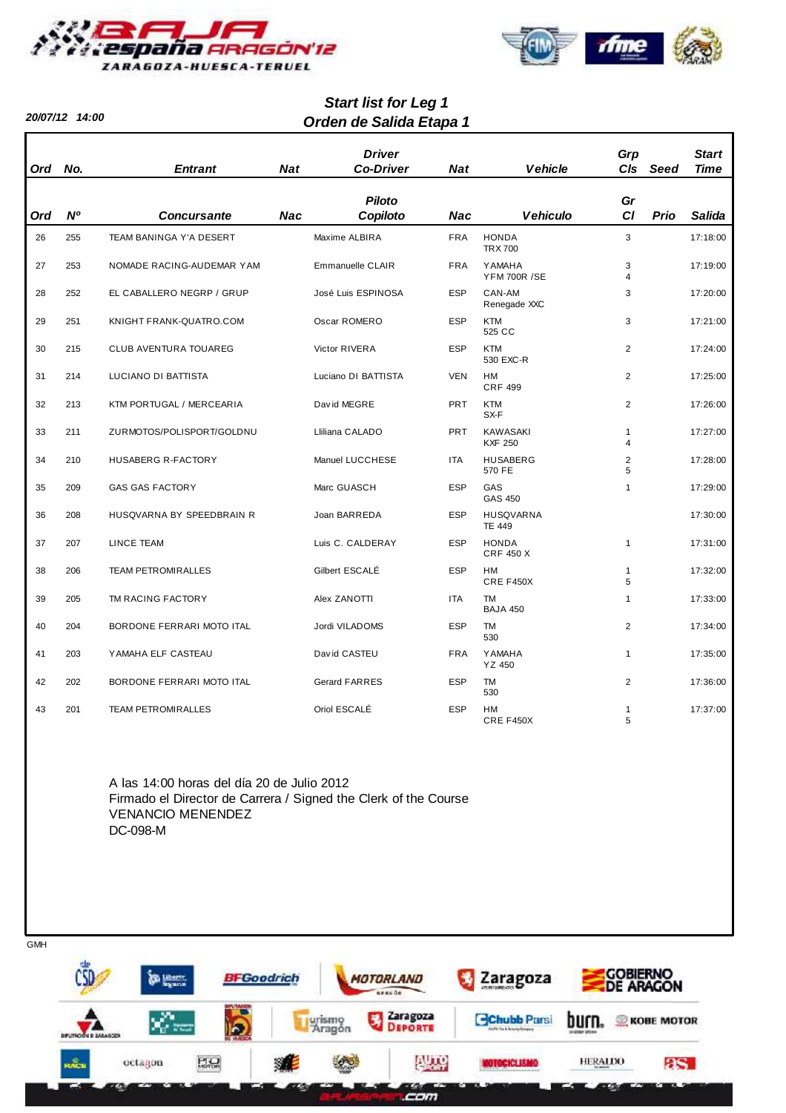

**20/07/12 14:00**

**GMH** 



# **Orden de Salida Etapa 1 Start list for Leg 1**

| <b>Ord</b> | No.            | <b>Entrant</b>               | <b>Nat</b> | <b>Driver</b><br><b>Co-Driver</b> | <b>Nat</b> | <b>Vehicle</b>                       | Grp<br>CIs                              | Seed | <b>Start</b><br><b>Time</b> |
|------------|----------------|------------------------------|------------|-----------------------------------|------------|--------------------------------------|-----------------------------------------|------|-----------------------------|
|            |                |                              |            |                                   |            |                                      |                                         |      |                             |
|            | N <sup>o</sup> | <b>Concursante</b>           | <b>Nac</b> | <b>Piloto</b><br>Copiloto         | <b>Nac</b> | <b>Vehiculo</b>                      | Gr<br>CI                                | Prio | Salida                      |
| Ord        |                |                              |            |                                   |            |                                      |                                         |      |                             |
| 26         | 255            | TEAM BANINGA Y'A DESERT      |            | Maxime ALBIRA                     | <b>FRA</b> | <b>HONDA</b><br><b>TRX 700</b>       | 3                                       |      | 17:18:00                    |
| 27         | 253            | NOMADE RACING-AUDEMAR YAM    |            | Emmanuelle CLAIR                  | <b>FRA</b> | <b>YAMAHA</b><br><b>YFM 700R /SE</b> | 3<br>$\overline{4}$                     |      | 17:19:00                    |
| 28         | 252            | EL CABALLERO NEGRP / GRUP    |            | José Luis ESPINOSA                | <b>ESP</b> | CAN-AM<br>Renegade XXC               | 3                                       |      | 17:20:00                    |
| 29         | 251            | KNIGHT FRANK-QUATRO.COM      |            | Oscar ROMERO                      | <b>ESP</b> | <b>KTM</b><br>525 CC                 | 3                                       |      | 17:21:00                    |
| 30         | 215            | <b>CLUB AVENTURA TOUAREG</b> |            | Victor RIVERA                     | <b>ESP</b> | <b>KTM</b><br>530 EXC-R              | $\overline{2}$                          |      | 17:24:00                    |
| 31         | 214            | LUCIANO DI BATTISTA          |            | Luciano DI BATTISTA               | <b>VEN</b> | <b>HM</b><br><b>CRF 499</b>          | $\overline{2}$                          |      | 17:25:00                    |
| 32         | 213            | KTM PORTUGAL / MERCEARIA     |            | David MEGRE                       | <b>PRT</b> | <b>KTM</b><br>SX-F                   | $\overline{2}$                          |      | 17:26:00                    |
| 33         | 211            | ZURMOTOS/POLISPORT/GOLDNU    |            | Lliliana CALADO                   | <b>PRT</b> | <b>KAWASAKI</b><br><b>KXF 250</b>    | $\mathbf{1}$<br>$\overline{\mathbf{A}}$ |      | 17:27:00                    |
| 34         | 210            | <b>HUSABERG R-FACTORY</b>    |            | Manuel LUCCHESE                   | <b>ITA</b> | <b>HUSABERG</b><br>570 FE            | $\overline{2}$<br>5                     |      | 17:28:00                    |
| 35         | 209            | <b>GAS GAS FACTORY</b>       |            | Marc GUASCH                       | <b>ESP</b> | GAS<br><b>GAS 450</b>                | $\mathbf{1}$                            |      | 17:29:00                    |
| 36         | 208            | HUSQVARNA BY SPEEDBRAIN R    |            | Joan BARREDA                      | <b>ESP</b> | <b>HUSQVARNA</b><br><b>TE 449</b>    |                                         |      | 17:30:00                    |
| 37         | 207            | <b>LINCE TEAM</b>            |            | Luis C. CALDERAY                  | <b>ESP</b> | <b>HONDA</b><br><b>CRF 450 X</b>     | $\mathbf{1}$                            |      | 17:31:00                    |
| 38         | 206            | <b>TEAM PETROMIRALLES</b>    |            | Gilbert ESCALÉ                    | <b>ESP</b> | <b>HM</b><br>CRE F450X               | $\mathbf{1}$<br>5                       |      | 17:32:00                    |
| 39         | 205            | TM RACING FACTORY            |            | Alex ZANOTTI                      | <b>ITA</b> | <b>TM</b><br><b>BAJA 450</b>         | $\mathbf{1}$                            |      | 17:33:00                    |
| 40         | 204            | BORDONE FERRARI MOTO ITAL    |            | Jordi VILADOMS                    | <b>ESP</b> | <b>TM</b><br>530                     | $\overline{2}$                          |      | 17:34:00                    |
| 41         | 203            | YAMAHA ELF CASTEAU           |            | David CASTEU                      | <b>FRA</b> | <b>YAMAHA</b><br>YZ 450              | $\mathbf{1}$                            |      | 17:35:00                    |
| 42         | 202            | BORDONE FERRARI MOTO ITAL    |            | <b>Gerard FARRES</b>              | <b>ESP</b> | TM<br>530                            | $\overline{c}$                          |      | 17:36:00                    |
| 43         | 201            | <b>TEAM PETROMIRALLES</b>    |            | Oriol ESCALÉ                      | <b>ESP</b> | HM<br>CRE F450X                      | $\mathbf{1}$<br>5                       |      | 17:37:00                    |

A las 14:00 horas del día 20 de Julio 2012 Firmado el Director de Carrera / Signed the Clerk of the Course VENANCIO MENENDEZ DC-098-M

**COBIERNO**<br>DE ARAGON **BFGoodrich** Zaragoza MOTORLAND ing, Lab  $88860$ Zaragoza<br>Deporte y, Lurismo<br>Aragón **Chubb Parsi DUFT.** *R* KOBE MOTOR u Ю Auro **MOTOCICLISMO HERALDO PLO as.** octagon зÆ RACH **District** ment of the local division in the con-**EXAM** com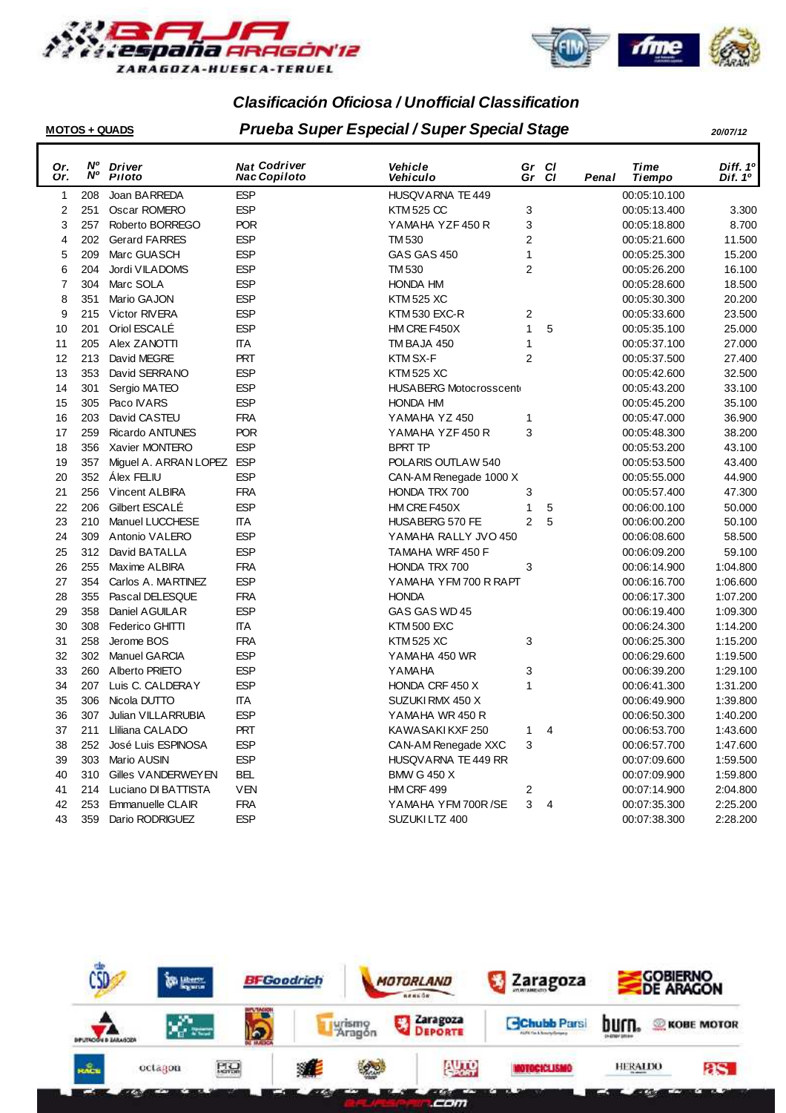



# **Clasificación Oficiosa / Unofficial Classification**

# **MOTOS + QUADS Prueba Super Especial / Super Special Stage 20/07/12**

| Or.            | N°<br>N°   | <b>Driver</b>                           | <b>Nat Codriver</b>      | Vehicle                               | Gr             | <b>CI</b> |       | Time                         | Diff. 1º            |
|----------------|------------|-----------------------------------------|--------------------------|---------------------------------------|----------------|-----------|-------|------------------------------|---------------------|
| Or.            |            | Piloto                                  | <b>Nac Copiloto</b>      | Vehiculo                              | Gr             | <b>CI</b> | Penal | Tiempo                       | Dif. 1 <sup>o</sup> |
| $\mathbf{1}$   | 208<br>251 | Joan BARREDA<br>Oscar ROMERO            | <b>ESP</b><br><b>ESP</b> | HUSQVARNA TE 449<br><b>KTM 525 CC</b> |                |           |       | 00:05:10.100                 |                     |
| $\overline{2}$ | 257        |                                         | <b>POR</b>               | YAMAHA YZF 450 R                      | 3<br>3         |           |       | 00:05:13.400                 | 3.300               |
| 3<br>4         | 202        | Roberto BORREGO<br><b>Gerard FARRES</b> | <b>ESP</b>               | TM 530                                | $\overline{2}$ |           |       | 00:05:18.800<br>00:05:21.600 | 8.700<br>11.500     |
| 5              | 209        | Marc GUASCH                             | <b>ESP</b>               | GAS GAS 450                           | $\mathbf{1}$   |           |       | 00:05:25.300                 | 15.200              |
| 6              | 204        | Jordi VILADOMS                          | <b>ESP</b>               | <b>TM 530</b>                         | $\overline{2}$ |           |       | 00:05:26.200                 | 16.100              |
| 7              | 304        | Marc SOLA                               | <b>ESP</b>               | <b>HONDA HM</b>                       |                |           |       | 00:05:28.600                 | 18.500              |
| 8              | 351        | Mario GAJON                             | <b>ESP</b>               | <b>KTM 525 XC</b>                     |                |           |       | 00:05:30.300                 | 20.200              |
| 9              | 215        | Victor RIVERA                           | <b>ESP</b>               | KTM 530 EXC-R                         | $\mathbf 2$    |           |       | 00:05:33.600                 | 23.500              |
| 10             | 201        | Oriol ESCALÉ                            | <b>ESP</b>               | HM CRE F450X                          | $\mathbf{1}$   | 5         |       | 00:05:35.100                 | 25.000              |
| 11             | 205        | Alex ZANOTTI                            | <b>ITA</b>               | TM BAJA 450                           | $\mathbf{1}$   |           |       | 00:05:37.100                 | 27.000              |
| 12             | 213        | David MEGRE                             | <b>PRT</b>               | KTM SX-F                              | $\overline{2}$ |           |       | 00:05:37.500                 | 27.400              |
| 13             | 353        | David SERRANO                           | <b>ESP</b>               | <b>KTM 525 XC</b>                     |                |           |       | 00:05:42.600                 | 32.500              |
| 14             | 301        | Sergio MATEO                            | <b>ESP</b>               | <b>HUSABERG Motocrosscent</b>         |                |           |       | 00:05:43.200                 | 33.100              |
| 15             | 305        | Paco IVARS                              | <b>ESP</b>               | <b>HONDA HM</b>                       |                |           |       | 00:05:45.200                 | 35.100              |
| 16             | 203        | David CASTEU                            | <b>FRA</b>               | YAMAHA YZ 450                         | $\mathbf{1}$   |           |       | 00:05:47.000                 | 36.900              |
| 17             | 259        | <b>Ricardo ANTUNES</b>                  | <b>POR</b>               | YAMAHA YZF 450 R                      | 3              |           |       | 00:05:48.300                 | 38.200              |
| 18             | 356        | Xavier MONTERO                          | <b>ESP</b>               | <b>BPRT TP</b>                        |                |           |       | 00:05:53.200                 | 43.100              |
| 19             | 357        | Miguel A. ARRAN LOPEZ ESP               |                          | POLARIS OUTLAW 540                    |                |           |       | 00:05:53.500                 | 43.400              |
| 20             | 352        | Álex FELIU                              | <b>ESP</b>               | CAN-AM Renegade 1000 X                |                |           |       | 00:05:55.000                 | 44.900              |
| 21             | 256        | <b>Vincent ALBIRA</b>                   | <b>FRA</b>               | HONDA TRX 700                         | 3              |           |       | 00:05:57.400                 | 47.300              |
| 22             | 206        | Gilbert ESCALÉ                          | <b>ESP</b>               | HM CRE F450X                          | 1              | 5         |       | 00:06:00.100                 | 50.000              |
| 23             | 210        | Manuel LUCCHESE                         | <b>ITA</b>               | HUSABERG 570 FE                       | 2              | 5         |       | 00:06:00.200                 | 50.100              |
| 24             | 309        | Antonio VALERO                          | <b>ESP</b>               | YAMAHA RALLY JVO 450                  |                |           |       | 00:06:08.600                 | 58.500              |
| 25             | 312        | David BATALLA                           | <b>ESP</b>               | TAMAHA WRF 450 F                      |                |           |       | 00:06:09.200                 | 59.100              |
| 26             | 255        | Maxime ALBIRA                           | <b>FRA</b>               | HONDA TRX 700                         | 3              |           |       | 00:06:14.900                 | 1:04.800            |
| 27             | 354        | Carlos A. MARTINEZ                      | <b>ESP</b>               | YAMAHA YEM 700 R RAPT                 |                |           |       | 00:06:16.700                 | 1:06.600            |
| 28             | 355        | Pascal DELESQUE                         | <b>FRA</b>               | <b>HONDA</b>                          |                |           |       | 00:06:17.300                 | 1:07.200            |
| 29             | 358        | Daniel AGUILAR                          | <b>ESP</b>               | GAS GAS WD 45                         |                |           |       | 00:06:19.400                 | 1:09.300            |
| 30             | 308        | Federico GHITTI                         | <b>ITA</b>               | <b>KTM 500 EXC</b>                    |                |           |       | 00:06:24.300                 | 1:14.200            |
| 31             | 258        | Jerome BOS                              | <b>FRA</b>               | <b>KTM 525 XC</b>                     | 3              |           |       | 00:06:25.300                 | 1:15.200            |
| 32             | 302        | <b>Manuel GARCIA</b>                    | <b>ESP</b>               | YAMAHA 450 WR                         |                |           |       | 00:06:29.600                 | 1:19.500            |
| 33             | 260        | Alberto PRIETO                          | <b>ESP</b>               | YAMAHA                                | 3              |           |       | 00:06:39.200                 | 1:29.100            |
| 34             | 207        | Luis C. CALDERAY                        | <b>ESP</b>               | HONDA CRF 450 X                       | $\mathbf{1}$   |           |       | 00:06:41.300                 | 1:31.200            |
| 35             | 306        | Nicola DUTTO                            | <b>ITA</b>               | SUZUKI RMX 450 X                      |                |           |       | 00:06:49.900                 | 1:39.800            |
| 36             | 307        | <b>Julian VILLARRUBIA</b>               | <b>ESP</b>               | YAMAHA WR 450 R                       |                |           |       | 00:06:50.300                 | 1:40.200            |
| 37             | 211        | Lliliana CALADO                         | <b>PRT</b>               | KAWASAKI KXF 250                      | 1              | 4         |       | 00:06:53.700                 | 1:43.600            |
| 38             | 252        | José Luis ESPINOSA                      | <b>ESP</b>               | CAN-AM Renegade XXC                   | 3              |           |       | 00:06:57.700                 | 1:47.600            |
| 39             | 303        | Mario AUSIN                             | <b>ESP</b>               | HUSQVARNA TE 449 RR                   |                |           |       | 00:07:09.600                 | 1:59.500            |
| 40             | 310        | Gilles VANDERWEYEN                      | <b>BEL</b>               | <b>BMW G 450 X</b>                    |                |           |       | 00:07:09.900                 | 1:59.800            |
| 41             | 214        | Luciano DI BATTISTA                     | <b>VEN</b>               | HM CRF 499                            | $\mathbf 2$    |           |       | 00:07:14.900                 | 2:04.800            |
| 42             | 253        | Emmanuelle CLAIR                        | <b>FRA</b>               | YAMAHA YFM 700R/SE                    | 3              | 4         |       | 00:07:35.300                 | 2:25.200            |
| 43             | 359        | Dario RODRIGUEZ                         | <b>ESP</b>               | SUZUKI LTZ 400                        |                |           |       | 00:07:38.300                 | 2:28.200            |
|                |            |                                         |                          |                                       |                |           |       |                              |                     |

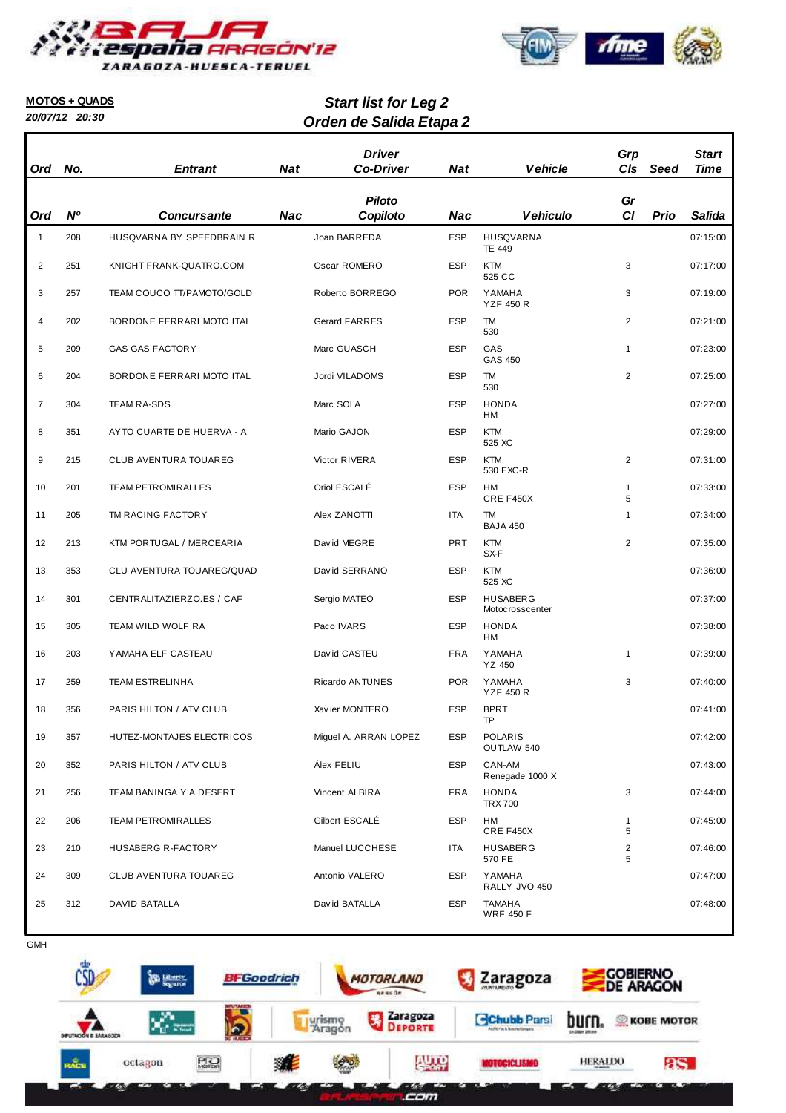



## **MOTOS + QUADS**

**20/07/12 20:30**

**Orden de Salida Etapa 2 Start list for Leg 2**

| Ord            | No.       | <b>Entrant</b>            | <b>Nat</b> | <b>Driver</b><br><b>Co-Driver</b> | <b>Nat</b> | <b>Vehicle</b>                     | Grp<br>CIs          | Seed        | <b>Start</b><br><b>Time</b> |
|----------------|-----------|---------------------------|------------|-----------------------------------|------------|------------------------------------|---------------------|-------------|-----------------------------|
| Ord            | <b>N°</b> | <b>Concursante</b>        | <b>Nac</b> | <b>Piloto</b><br>Copiloto         | <b>Nac</b> | <b>Vehiculo</b>                    | Gr<br>CI            | <b>Prio</b> | Salida                      |
| $\mathbf{1}$   | 208       | HUSQVARNA BY SPEEDBRAIN R |            | Joan BARREDA                      | <b>ESP</b> | <b>HUSQVARNA</b><br><b>TE 449</b>  |                     |             | 07:15:00                    |
| 2              | 251       | KNIGHT FRANK-QUATRO.COM   |            | Oscar ROMERO                      | <b>ESP</b> | <b>KTM</b><br>525 CC               | 3                   |             | 07:17:00                    |
| 3              | 257       | TEAM COUCO TT/PAMOTO/GOLD |            | Roberto BORREGO                   | <b>POR</b> | YAMAHA<br><b>YZF 450 R</b>         | 3                   |             | 07:19:00                    |
| $\overline{4}$ | 202       | BORDONE FERRARI MOTO ITAL |            | <b>Gerard FARRES</b>              | <b>ESP</b> | TM<br>530                          | 2                   |             | 07:21:00                    |
| 5              | 209       | <b>GAS GAS FACTORY</b>    |            | Marc GUASCH                       | <b>ESP</b> | GAS<br>GAS 450                     | $\mathbf{1}$        |             | 07:23:00                    |
| 6              | 204       | BORDONE FERRARI MOTO ITAL |            | Jordi VILADOMS                    | <b>ESP</b> | TM<br>530                          | $\overline{2}$      |             | 07:25:00                    |
| $\overline{7}$ | 304       | <b>TEAM RA-SDS</b>        |            | Marc SOLA                         | <b>ESP</b> | <b>HONDA</b><br><b>HM</b>          |                     |             | 07:27:00                    |
| 8              | 351       | AYTO CUARTE DE HUERVA - A |            | Mario GAJON                       | <b>ESP</b> | <b>KTM</b><br>525 XC               |                     |             | 07:29:00                    |
| 9              | 215       | CLUB AVENTURA TOUAREG     |            | Victor RIVERA                     | <b>ESP</b> | <b>KTM</b><br>530 EXC-R            | $\overline{2}$      |             | 07:31:00                    |
| 10             | 201       | <b>TEAM PETROMIRALLES</b> |            | Oriol ESCALÉ                      | <b>ESP</b> | HM<br>CRE F450X                    | $\mathbf{1}$<br>5   |             | 07:33:00                    |
| 11             | 205       | TM RACING FACTORY         |            | Alex ZANOTTI                      | <b>ITA</b> | TM<br><b>BAJA 450</b>              | 1                   |             | 07:34:00                    |
| 12             | 213       | KTM PORTUGAL / MERCEARIA  |            | David MEGRE                       | <b>PRT</b> | <b>KTM</b><br>SX-F                 | $\overline{2}$      |             | 07:35:00                    |
| 13             | 353       | CLU AVENTURA TOUAREG/QUAD |            | David SERRANO                     | <b>ESP</b> | <b>KTM</b><br>525 XC               |                     |             | 07:36:00                    |
| 14             | 301       | CENTRALITAZIERZO.ES / CAF |            | Sergio MATEO                      | <b>ESP</b> | <b>HUSABERG</b><br>Motocrosscenter |                     |             | 07:37:00                    |
| 15             | 305       | TEAM WILD WOLF RA         |            | Paco IVARS                        | <b>ESP</b> | <b>HONDA</b><br>HM                 |                     |             | 07:38:00                    |
| 16             | 203       | YAMAHA ELF CASTEAU        |            | David CASTEU                      | <b>FRA</b> | <b>YAMAHA</b><br>YZ 450            | $\mathbf{1}$        |             | 07:39:00                    |
| 17             | 259       | <b>TEAM ESTRELINHA</b>    |            | Ricardo ANTUNES                   | <b>POR</b> | YAMAHA<br><b>YZF 450 R</b>         | 3                   |             | 07:40:00                    |
| 18             | 356       | PARIS HILTON / ATV CLUB   |            | Xav ier MONTERO                   | <b>ESP</b> | <b>BPRT</b><br>TP                  |                     |             | 07:41:00                    |
| 19             | 357       | HUTEZ-MONTAJES ELECTRICOS |            | Miguel A. ARRAN LOPEZ             | ESP        | <b>POLARIS</b><br>OUTLAW 540       |                     |             | 07:42:00                    |
| 20             | 352       | PARIS HILTON / ATV CLUB   |            | Álex FELIU                        | <b>ESP</b> | CAN-AM<br>Renegade 1000 X          |                     |             | 07:43:00                    |
| 21             | 256       | TEAM BANINGA Y'A DESERT   |            | Vincent ALBIRA                    | <b>FRA</b> | <b>HONDA</b><br><b>TRX 700</b>     | 3                   |             | 07:44:00                    |
| 22             | 206       | <b>TEAM PETROMIRALLES</b> |            | Gilbert ESCALÉ                    | <b>ESP</b> | HM<br>CRE F450X                    | 1<br>5              |             | 07:45:00                    |
| 23             | 210       | HUSABERG R-FACTORY        |            | Manuel LUCCHESE                   | ITA        | <b>HUSABERG</b><br>570 FE          | $\overline{c}$<br>5 |             | 07:46:00                    |
| 24             | 309       | CLUB AVENTURA TOUAREG     |            | Antonio VALERO                    | <b>ESP</b> | YAMAHA<br>RALLY JVO 450            |                     |             | 07:47:00                    |
| 25             | 312       | DAVID BATALLA             |            | David BATALLA                     | <b>ESP</b> | <b>TAMAHA</b><br><b>WRF 450 F</b>  |                     |             | 07:48:00                    |



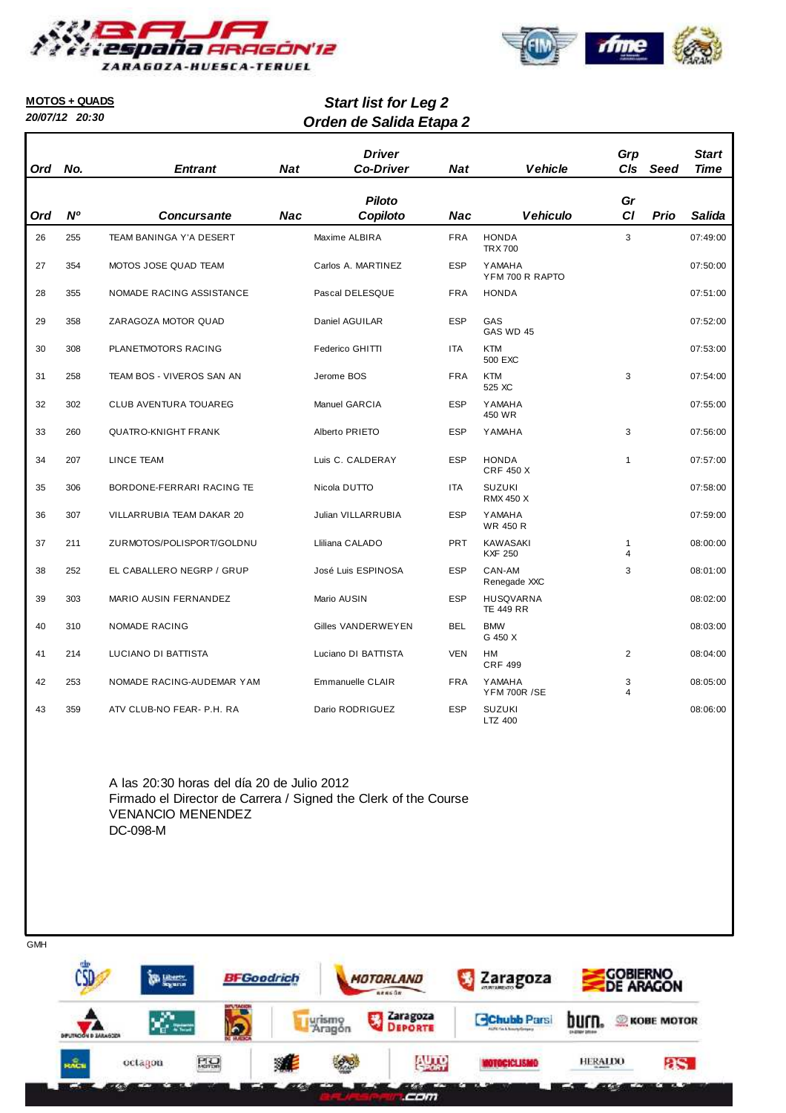



#### **MOTOS + QUADS**

**20/07/12 20:30**

# **Orden de Salida Etapa 2 Start list for Leg 2**

| Ord | No.       | <b>Entrant</b>             | <b>Nat</b> | <b>Driver</b><br><b>Co-Driver</b> | <b>Nat</b> | <b>Vehicle</b>                       | Grp<br>CIs          | Seed | <b>Start</b><br><b>Time</b> |
|-----|-----------|----------------------------|------------|-----------------------------------|------------|--------------------------------------|---------------------|------|-----------------------------|
| Ord | <b>N°</b> | <b>Concursante</b>         | <b>Nac</b> | <b>Piloto</b><br>Copiloto         | <b>Nac</b> | <b>Vehiculo</b>                      | Gr<br><b>CI</b>     | Prio | <b>Salida</b>               |
| 26  | 255       | TEAM BANINGA Y'A DESERT    |            | Maxime ALBIRA                     | <b>FRA</b> | <b>HONDA</b><br><b>TRX 700</b>       | 3                   |      | 07:49:00                    |
| 27  | 354       | MOTOS JOSE QUAD TEAM       |            | Carlos A. MARTINEZ                | <b>ESP</b> | <b>YAMAHA</b><br>YFM 700 R RAPTO     |                     |      | 07:50:00                    |
| 28  | 355       | NOMADE RACING ASSISTANCE   |            | Pascal DELESQUE                   | <b>FRA</b> | <b>HONDA</b>                         |                     |      | 07:51:00                    |
| 29  | 358       | ZARAGOZA MOTOR QUAD        |            | Daniel AGUILAR                    | <b>ESP</b> | GAS<br>GAS WD 45                     |                     |      | 07:52:00                    |
| 30  | 308       | PLANETMOTORS RACING        |            | Federico GHITTI                   | <b>ITA</b> | <b>KTM</b><br>500 EXC                |                     |      | 07:53:00                    |
| 31  | 258       | TEAM BOS - VIVEROS SAN AN  |            | Jerome BOS                        | <b>FRA</b> | <b>KTM</b><br>525 XC                 | 3                   |      | 07:54:00                    |
| 32  | 302       | CLUB AVENTURA TOUAREG      |            | Manuel GARCIA                     | <b>ESP</b> | <b>YAMAHA</b><br>450 WR              |                     |      | 07:55:00                    |
| 33  | 260       | <b>QUATRO-KNIGHT FRANK</b> |            | Alberto PRIETO                    | <b>ESP</b> | YAMAHA                               | 3                   |      | 07:56:00                    |
| 34  | 207       | LINCE TEAM                 |            | Luis C. CALDERAY                  | <b>ESP</b> | <b>HONDA</b><br><b>CRF 450 X</b>     | $\mathbf{1}$        |      | 07:57:00                    |
| 35  | 306       | BORDONE-FERRARI RACING TE  |            | Nicola DUTTO                      | <b>ITA</b> | <b>SUZUKI</b><br><b>RMX 450 X</b>    |                     |      | 07:58:00                    |
| 36  | 307       | VILLARRUBIA TEAM DAKAR 20  |            | Julian VILLARRUBIA                | <b>ESP</b> | <b>YAMAHA</b><br><b>WR 450 R</b>     |                     |      | 07:59:00                    |
| 37  | 211       | ZURMOTOS/POLISPORT/GOLDNU  |            | Lliliana CALADO                   | <b>PRT</b> | <b>KAWASAKI</b><br><b>KXF 250</b>    | 1<br>$\overline{4}$ |      | 08:00:00                    |
| 38  | 252       | EL CABALLERO NEGRP / GRUP  |            | José Luis ESPINOSA                | <b>ESP</b> | CAN-AM<br>Renegade XXC               | 3                   |      | 08:01:00                    |
| 39  | 303       | MARIO AUSIN FERNANDEZ      |            | Mario AUSIN                       | <b>ESP</b> | <b>HUSQVARNA</b><br><b>TE 449 RR</b> |                     |      | 08:02:00                    |
| 40  | 310       | <b>NOMADE RACING</b>       |            | Gilles VANDERWEYEN                | <b>BEL</b> | <b>BMW</b><br>G 450 X                |                     |      | 08:03:00                    |
| 41  | 214       | LUCIANO DI BATTISTA        |            | Luciano DI BATTISTA               | <b>VEN</b> | HM<br><b>CRF 499</b>                 | 2                   |      | 08:04:00                    |
| 42  | 253       | NOMADE RACING-AUDEMAR YAM  |            | Emmanuelle CLAIR                  | <b>FRA</b> | <b>YAMAHA</b><br><b>YFM 700R /SE</b> | 3<br>4              |      | 08:05:00                    |
| 43  | 359       | ATV CLUB-NO FEAR- P.H. RA  |            | Dario RODRIGUEZ                   | <b>ESP</b> | <b>SUZUKI</b><br>LTZ 400             |                     |      | 08:06:00                    |

A las 20:30 horas del día 20 de Julio 2012 Firmado el Director de Carrera / Signed the Clerk of the Course VENANCIO MENENDEZ DC-098-M

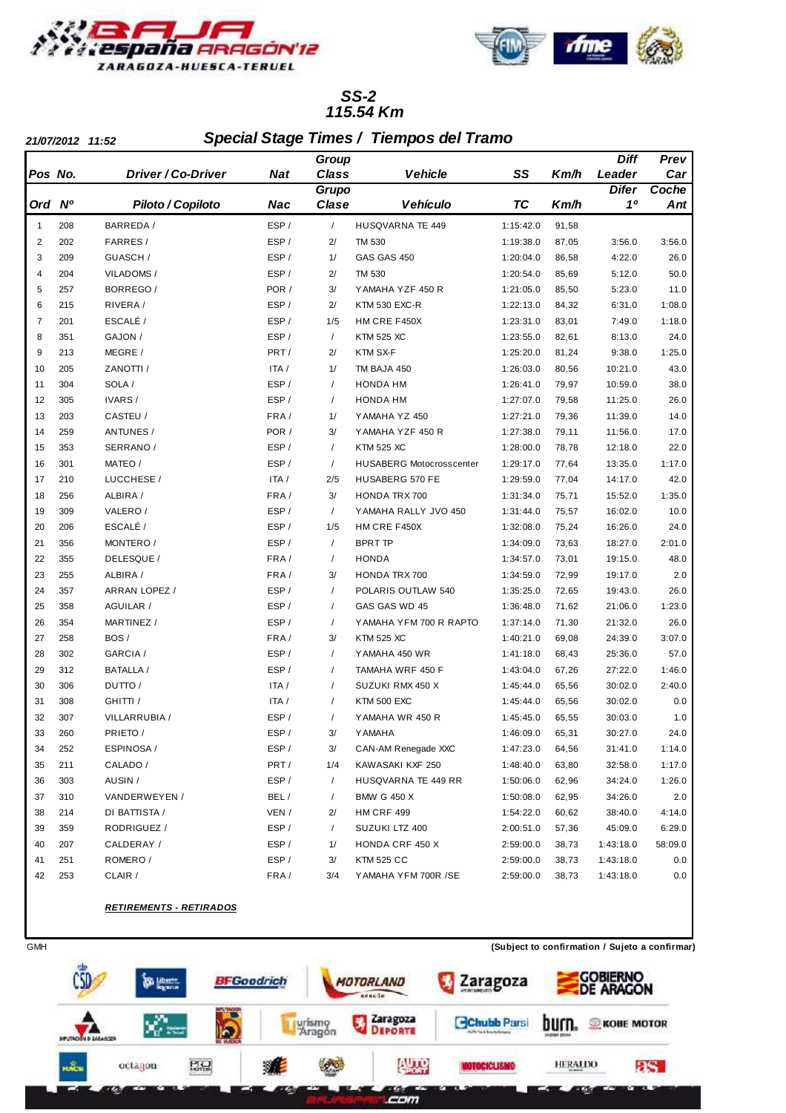



#### **115.54 Km SS-2**

ľ

**21/07/2012 11:52 Special Stage Times / Tiempos del Tramo**

|         |           |                          |            | Group      |                                 |           |       | Diff         | Prev    |
|---------|-----------|--------------------------|------------|------------|---------------------------------|-----------|-------|--------------|---------|
| Pos No. |           | Driver / Co-Driver       | <b>Nat</b> | Class      | <b>Vehicle</b>                  | SS        | Km/h  | Leader       | Car     |
|         |           |                          |            | Grupo      |                                 |           |       | <b>Difer</b> | Coche   |
| Ord     | <b>N°</b> | <b>Piloto / Copiloto</b> | Nac        | Clase      | <b>Vehículo</b>                 | <b>TC</b> | Km/h  | 10           | Ant     |
| 1       | 208       | BARREDA /                | ESP/       | $\sqrt{ }$ | HUSQVARNA TE 449                | 1:15:42.0 | 91,58 |              |         |
| 2       | 202       | FARRES/                  | ESP/       | 2/         | <b>TM 530</b>                   | 1:19:38.0 | 87,05 | 3:56.0       | 3:56.0  |
| 3       | 209       | GUASCH /                 | ESP/       | 1/         | GAS GAS 450                     | 1:20:04.0 | 86,58 | 4:22.0       | 26.0    |
| 4       | 204       | VILADOMS /               | ESP/       | 2/         | <b>TM 530</b>                   | 1:20:54.0 | 85,69 | 5:12.0       | 50.0    |
| 5       | 257       | BORREGO/                 | POR /      | 3/         | YAMAHA YZF 450 R                | 1:21:05.0 | 85,50 | 5:23.0       | 11.0    |
| 6       | 215       | RIVERA/                  | ESP/       | 2/         | <b>KTM 530 EXC-R</b>            | 1:22:13.0 | 84,32 | 6:31.0       | 1:08.0  |
| 7       | 201       | ESCALÉ /                 | ESP/       | 1/5        | HM CRE F450X                    | 1:23:31.0 | 83,01 | 7:49.0       | 1:18.0  |
| 8       | 351       | GAJON /                  | ESP/       | $\sqrt{2}$ | <b>KTM 525 XC</b>               | 1:23:55.0 | 82,61 | 8:13.0       | 24.0    |
| 9       | 213       | MEGRE /                  | PRT/       | 2/         | KTM SX-F                        | 1:25:20.0 | 81,24 | 9:38.0       | 1:25.0  |
| 10      | 205       | ZANOTTI /                | ITA /      | 1/         | TM BAJA 450                     | 1:26:03.0 | 80,56 | 10:21.0      | 43.0    |
| 11      | 304       | SOLA /                   | ESP/       | $\sqrt{2}$ | <b>HONDA HM</b>                 | 1:26:41.0 | 79,97 | 10:59.0      | 38.0    |
| 12      | 305       | IVARS/                   | ESP/       | $\sqrt{2}$ | <b>HONDA HM</b>                 | 1:27:07.0 | 79,58 | 11:25.0      | 26.0    |
| 13      | 203       | CASTEU /                 | FRA/       | 1/         | YAMAHA YZ 450                   | 1:27:21.0 | 79,36 | 11:39.0      | 14.0    |
| 14      | 259       | <b>ANTUNES/</b>          | POR /      | 3/         | YAMAHA YZF 450 R                | 1:27:38.0 | 79,11 | 11:56.0      | 17.0    |
| 15      | 353       | SERRANO /                | ESP/       | $\sqrt{2}$ | <b>KTM 525 XC</b>               | 1:28:00.0 | 78,78 | 12:18.0      | 22.0    |
| 16      | 301       | MATEO /                  | ESP/       | $\sqrt{2}$ | <b>HUSABERG Motocrosscenter</b> | 1:29:17.0 | 77,64 | 13:35.0      | 1:17.0  |
| 17      | 210       | LUCCHESE /               | ITA /      | 2/5        | HUSABERG 570 FE                 | 1:29:59.0 | 77,04 | 14:17.0      | 42.0    |
| 18      | 256       | ALBIRA /                 | FRA/       | 3/         | <b>HONDA TRX 700</b>            | 1:31:34.0 | 75,71 | 15:52.0      | 1:35.0  |
| 19      | 309       | VALERO/                  | ESP/       | $\sqrt{2}$ | YAMAHA RALLY JVO 450            | 1:31:44.0 | 75,57 | 16:02.0      | 10.0    |
| 20      | 206       | ESCALÉ /                 | ESP/       | 1/5        | HM CRE F450X                    | 1:32:08.0 | 75,24 | 16:26.0      | 24.0    |
| 21      | 356       | MONTERO /                | ESP/       | $\sqrt{2}$ | <b>BPRT TP</b>                  | 1:34:09.0 | 73,63 | 18:27.0      | 2:01.0  |
| 22      | 355       | DELESQUE /               | FRA/       | $\sqrt{2}$ | <b>HONDA</b>                    | 1:34:57.0 | 73,01 | 19:15.0      | 48.0    |
| 23      | 255       | ALBIRA /                 | FRA/       | 3/         | <b>HONDA TRX 700</b>            | 1:34:59.0 | 72,99 | 19:17.0      | 2.0     |
| 24      | 357       | ARRAN LOPEZ /            | ESP/       | $\prime$   | POLARIS OUTLAW 540              | 1:35:25.0 | 72,65 | 19:43.0      | 26.0    |
| 25      | 358       | AGUILAR /                | ESP/       | $\sqrt{2}$ | GAS GAS WD 45                   | 1:36:48.0 | 71,62 | 21:06.0      | 1:23.0  |
| 26      | 354       | MARTINEZ /               | ESP/       | $\sqrt{2}$ | YAMAHA YFM 700 R RAPTO          | 1:37:14.0 | 71,30 | 21:32.0      | 26.0    |
| 27      | 258       | BOS/                     | FRA/       | 3/         | <b>KTM 525 XC</b>               | 1:40:21.0 | 69,08 | 24:39.0      | 3:07.0  |
| 28      | 302       | GARCIA /                 | ESP/       | $\sqrt{2}$ | YAMAHA 450 WR                   | 1:41:18.0 | 68,43 | 25:36.0      | 57.0    |
| 29      | 312       | <b>BATALLA /</b>         | ESP/       | $\sqrt{2}$ | TAMAHA WRF 450 F                | 1:43:04.0 | 67,26 | 27:22.0      | 1:46.0  |
| 30      | 306       | DUTTO/                   | ITA /      | $\sqrt{2}$ | SUZUKI RMX 450 X                | 1:45:44.0 | 65,56 | 30:02.0      | 2:40.0  |
| 31      | 308       | GHITTI /                 | ITA /      | $\sqrt{2}$ | <b>KTM 500 EXC</b>              | 1:45:44.0 | 65,56 | 30:02.0      | 0.0     |
| 32      | 307       | VILLARRUBIA /            | ESP/       | $\sqrt{2}$ | YAMAHA WR 450 R                 | 1:45:45.0 | 65,55 | 30:03.0      | 1.0     |
| 33      | 260       | PRIETO /                 | ESP/       | 3/         | <b>YAMAHA</b>                   | 1:46:09.0 | 65,31 | 30:27.0      | 24.0    |
| 34      | 252       | ESPINOSA /               | ESP/       | 3/         | CAN-AM Renegade XXC             | 1:47:23.0 | 64,56 | 31:41.0      | 1:14.0  |
| 35      | 211       | CALADO /                 | PRT/       | 1/4        | KAWASAKI KXF 250                | 1:48:40.0 | 63,80 | 32:58.0      | 1:17.0  |
| 36      | 303       | AUSIN /                  | ESP/       | $\sqrt{2}$ | HUSQVARNA TE 449 RR             | 1:50:06.0 | 62,96 | 34:24.0      | 1:26.0  |
| 37      | 310       | VANDERWEYEN /            | BEL/       | $\sqrt{2}$ | <b>BMW G 450 X</b>              | 1:50:08.0 | 62,95 | 34:26.0      | 2.0     |
| 38      | 214       | DI BATTISTA /            | VEN /      | 2/         | <b>HM CRF 499</b>               | 1:54:22.0 | 60,62 | 38:40.0      | 4:14.0  |
| 39      | 359       | RODRIGUEZ /              | ESP/       | $\sqrt{2}$ | SUZUKI LTZ 400                  | 2:00:51.0 | 57,36 | 45:09.0      | 6:29.0  |
| 40      | 207       | CALDERAY /               | ESP/       | 1/         | HONDA CRF 450 X                 | 2:59:00.0 | 38,73 | 1:43:18.0    | 58:09.0 |
| 41      | 251       | ROMERO /                 | ESP/       | 3/         | <b>KTM 525 CC</b>               | 2:59:00.0 | 38,73 | 1:43:18.0    | 0.0     |
| 42      | 253       | CLAIR /                  | FRA/       | 3/4        | YAMAHA YFM 700R /SE             | 2:59:00.0 | 38,73 | 1:43:18.0    | 0.0     |
|         |           |                          |            |            |                                 |           |       |              |         |

#### **RETIREMENTS - RETIRADOS**

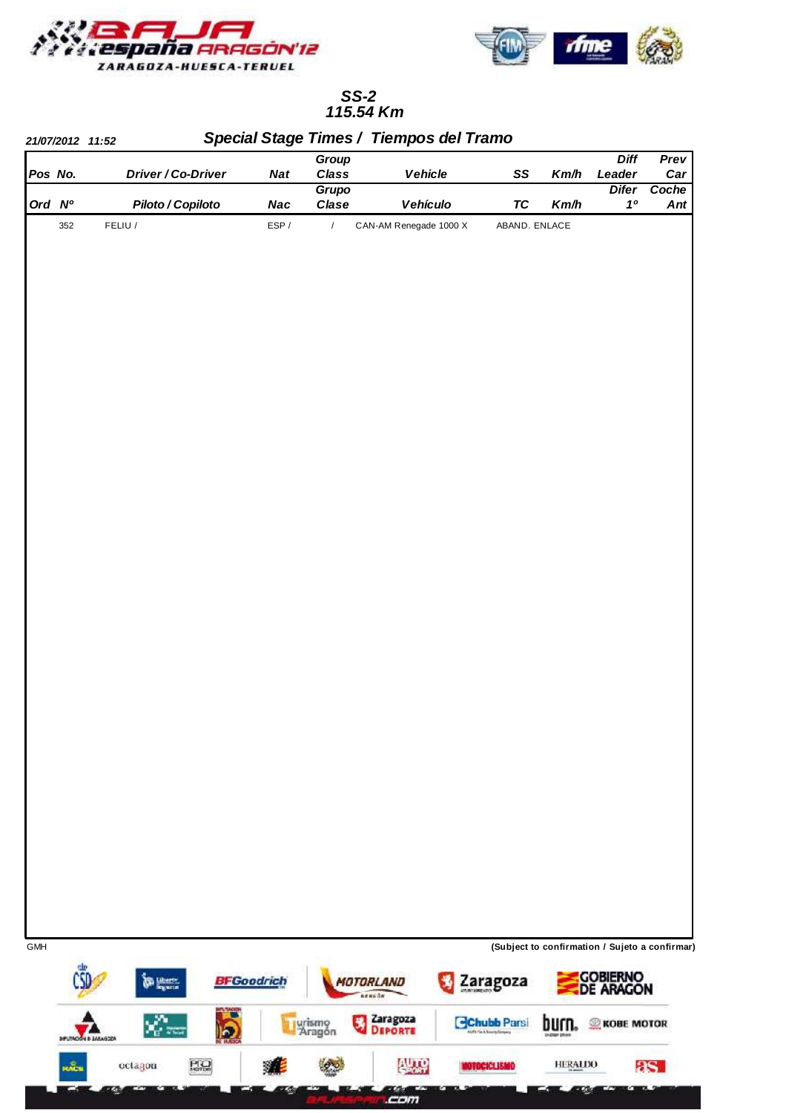



## **115.54 Km SS-2**

|            |                              |                    |                                                   |                               | Group                  |                                             |                                                                       |                      | <b>Diff</b>                                    | Prev         |
|------------|------------------------------|--------------------|---------------------------------------------------|-------------------------------|------------------------|---------------------------------------------|-----------------------------------------------------------------------|----------------------|------------------------------------------------|--------------|
|            | Pos No.                      |                    | Driver / Co-Driver                                | <b>Nat</b>                    | Class                  | Vehicle                                     | SS                                                                    | Km/h                 | Leader                                         | Car          |
|            | Ord Nº                       |                    | Piloto / Copiloto                                 | <b>Nac</b>                    | Grupo<br>Clase         | Vehículo                                    | <b>TC</b>                                                             | Km/h                 | <b>Difer</b><br>10                             | Coche<br>Ant |
|            | 352                          | FELIU /            |                                                   | $\ensuremath{\mathsf{ESP}}$ / | $\boldsymbol{I}$       | CAN-AM Renegade 1000 X                      |                                                                       | ABAND. ENLACE        |                                                |              |
|            |                              |                    |                                                   |                               |                        |                                             |                                                                       |                      |                                                |              |
|            |                              |                    |                                                   |                               |                        |                                             |                                                                       |                      |                                                |              |
|            |                              |                    |                                                   |                               |                        |                                             |                                                                       |                      |                                                |              |
| <b>GMH</b> |                              |                    |                                                   |                               |                        |                                             |                                                                       |                      | (Subject to confirmation / Sujeto a confirmar) |              |
|            | <b>DIFUTACIÓN D ZARAGOZA</b> | <b>The Liberty</b> | <b>MATAGE</b><br>$\vert \mathbf{z} \vert$<br>ಕ ಸಾ | <b>BFGoodrich</b>             | 福<br>urismo<br>Paragón | MOTORLAND<br>nencām.<br>Zaragoza<br>Deporte | Zaragoza<br><b>Chubb Parsi</b><br><b>UPS Fix &amp; Nourty Grossey</b> | burn.<br>SHOWY DRIVE | Gobierno<br>De Aragon<br><b>KOBE MOTOR</b>     |              |
|            | <b>RACK</b>                  | octagon            | PQ                                                | 駠                             |                        | <b>AUTO</b>                                 | <b>NOTOCICLISMIO</b>                                                  | <b>HERALDO</b>       |                                                | 8S.          |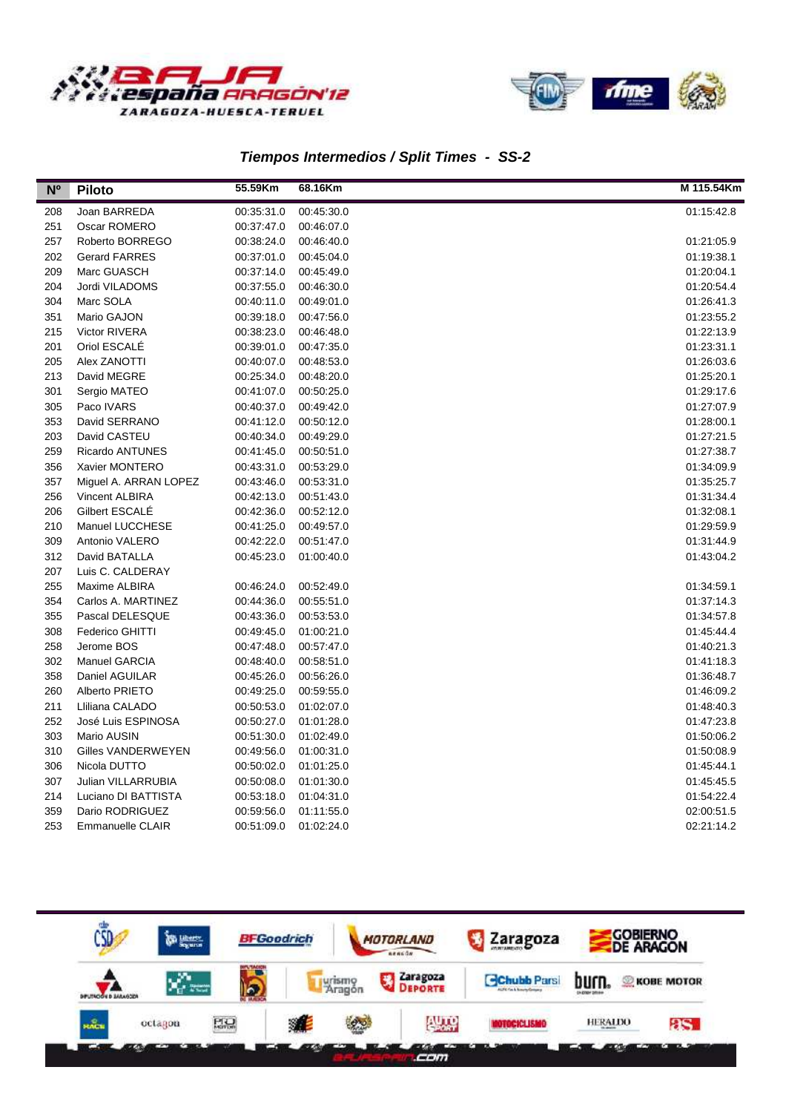



# **Tiempos Intermedios / Split Times - SS-2**

| N <sup>o</sup> | <b>Piloto</b>          | 55.59Km    | 68.16Km    | M 115.54Km |
|----------------|------------------------|------------|------------|------------|
| 208            | Joan BARREDA           | 00:35:31.0 | 00:45:30.0 | 01:15:42.8 |
| 251            | Oscar ROMERO           | 00:37:47.0 | 00:46:07.0 |            |
| 257            | Roberto BORREGO        | 00:38:24.0 | 00:46:40.0 | 01:21:05.9 |
| 202            | <b>Gerard FARRES</b>   | 00:37:01.0 | 00:45:04.0 | 01:19:38.1 |
| 209            | Marc GUASCH            | 00:37:14.0 | 00:45:49.0 | 01:20:04.1 |
| 204            | Jordi VILADOMS         | 00:37:55.0 | 00:46:30.0 | 01:20:54.4 |
| 304            | Marc SOLA              | 00:40:11.0 | 00:49:01.0 | 01:26:41.3 |
| 351            | Mario GAJON            | 00:39:18.0 | 00:47:56.0 | 01:23:55.2 |
| 215            | Victor RIVERA          | 00:38:23.0 | 00:46:48.0 | 01:22:13.9 |
| 201            | Oriol ESCALE           | 00:39:01.0 | 00:47:35.0 | 01:23:31.1 |
| 205            | Alex ZANOTTI           | 00:40:07.0 | 00:48:53.0 | 01:26:03.6 |
| 213            | David MEGRE            | 00:25:34.0 | 00:48:20.0 | 01:25:20.1 |
| 301            | Sergio MATEO           | 00:41:07.0 | 00:50:25.0 | 01:29:17.6 |
| 305            | Paco IVARS             | 00:40:37.0 | 00:49:42.0 | 01:27:07.9 |
| 353            | David SERRANO          | 00:41:12.0 | 00:50:12.0 | 01:28:00.1 |
| 203            | David CASTEU           | 00:40:34.0 | 00:49:29.0 | 01:27:21.5 |
| 259            | <b>Ricardo ANTUNES</b> | 00:41:45.0 | 00:50:51.0 | 01:27:38.7 |
| 356            | Xavier MONTERO         | 00:43:31.0 | 00:53:29.0 | 01:34:09.9 |
| 357            | Miguel A. ARRAN LOPEZ  | 00:43:46.0 | 00:53:31.0 | 01:35:25.7 |
| 256            | <b>Vincent ALBIRA</b>  | 00:42:13.0 | 00:51:43.0 | 01:31:34.4 |
| 206            | Gilbert ESCALE         | 00:42:36.0 | 00:52:12.0 | 01:32:08.1 |
| 210            | Manuel LUCCHESE        | 00:41:25.0 | 00:49:57.0 | 01:29:59.9 |
| 309            | Antonio VALERO         | 00:42:22.0 | 00:51:47.0 | 01:31:44.9 |
| 312            | David BATALLA          | 00:45:23.0 | 01:00:40.0 | 01:43:04.2 |
| 207            | Luis C. CALDERAY       |            |            |            |
| 255            | Maxime ALBIRA          | 00:46:24.0 | 00:52:49.0 | 01:34:59.1 |
| 354            | Carlos A. MARTINEZ     | 00:44:36.0 | 00:55:51.0 | 01:37:14.3 |
| 355            | Pascal DELESQUE        | 00:43:36.0 | 00:53:53.0 | 01:34:57.8 |
| 308            | Federico GHITTI        | 00:49:45.0 | 01:00:21.0 | 01:45:44.4 |
| 258            | Jerome BOS             | 00:47:48.0 | 00:57:47.0 | 01:40:21.3 |
| 302            | Manuel GARCIA          | 00:48:40.0 | 00:58:51.0 | 01:41:18.3 |
| 358            | Daniel AGUILAR         | 00:45:26.0 | 00:56:26.0 | 01:36:48.7 |
| 260            | Alberto PRIETO         | 00:49:25.0 | 00:59:55.0 | 01:46:09.2 |
| 211            | Lliliana CALADO        | 00:50:53.0 | 01:02:07.0 | 01:48:40.3 |
| 252            | José Luis ESPINOSA     | 00:50:27.0 | 01:01:28.0 | 01:47:23.8 |
| 303            | Mario AUSIN            | 00:51:30.0 | 01:02:49.0 | 01:50:06.2 |
| 310            | Gilles VANDERWEYEN     | 00:49:56.0 | 01:00:31.0 | 01:50:08.9 |
| 306            | Nicola DUTTO           | 00:50:02.0 | 01:01:25.0 | 01:45:44.1 |
| 307            | Julian VILLARRUBIA     | 00:50:08.0 | 01:01:30.0 | 01:45:45.5 |
| 214            | Luciano DI BATTISTA    | 00:53:18.0 | 01:04:31.0 | 01:54:22.4 |
| 359            | Dario RODRIGUEZ        | 00:59:56.0 | 01:11:55.0 | 02:00:51.5 |
| 253            | Emmanuelle CLAIR       | 00:51:09.0 | 01:02:24.0 | 02:21:14.2 |

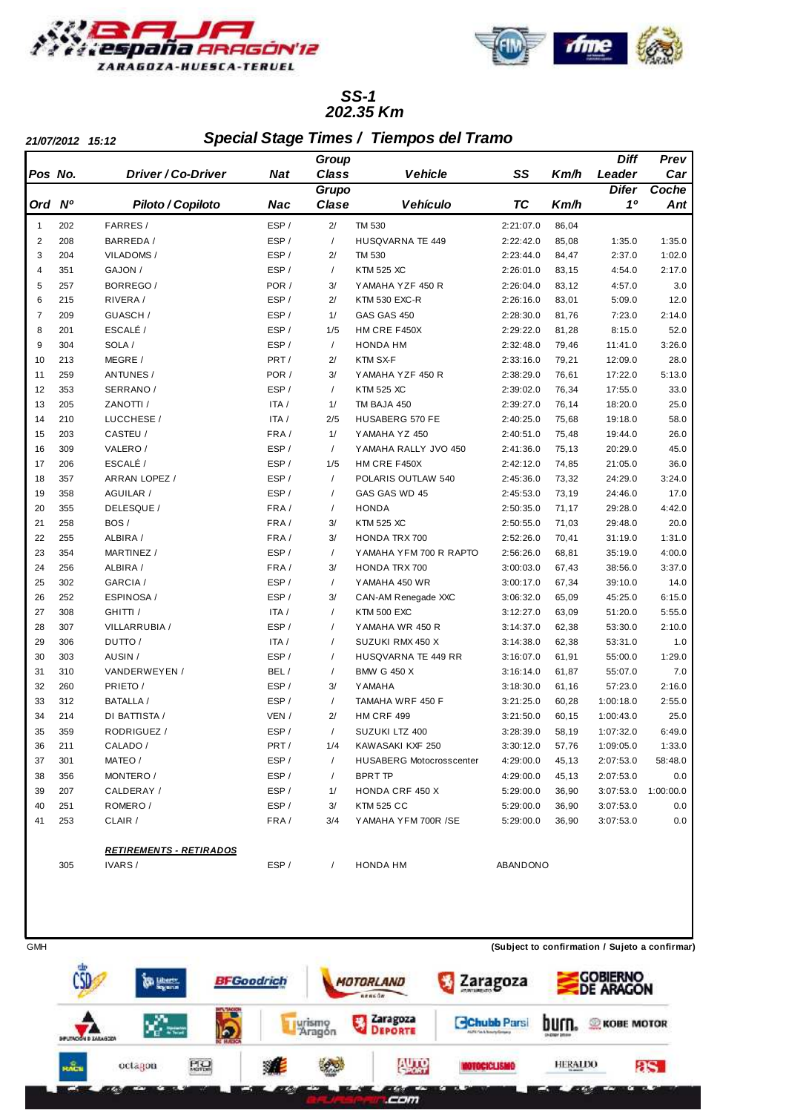



#### **202.35 Km SS-1**

ľ

**21/07/2012 15:12 Special Stage Times / Tiempos del Tramo**

|                |                |                                |            | Group        |                                 |           |       | Diff         | Prev      |
|----------------|----------------|--------------------------------|------------|--------------|---------------------------------|-----------|-------|--------------|-----------|
| Pos No.        |                | Driver / Co-Driver             | <b>Nat</b> | <b>Class</b> | <b>Vehicle</b>                  | SS        | Km/h  | Leader       | Car       |
|                |                |                                |            | Grupo        |                                 |           |       | <b>Difer</b> | Coche     |
| Ord            | N <sup>o</sup> | Piloto / Copiloto              | Nac        | Clase        | <b>Vehículo</b>                 | <b>TC</b> | Km/h  | 10           | Ant       |
| $\mathbf{1}$   | 202            | FARRES/                        | ESP/       | 2/           | TM 530                          | 2:21:07.0 | 86,04 |              |           |
| $\overline{2}$ | 208            | BARREDA /                      | ESP/       | $\sqrt{2}$   | <b>HUSQVARNA TE 449</b>         | 2:22:42.0 | 85,08 | 1:35.0       | 1:35.0    |
| 3              | 204            | VILADOMS/                      | ESP/       | 2/           | <b>TM 530</b>                   | 2:23:44.0 | 84,47 | 2:37.0       | 1:02.0    |
| $\overline{4}$ | 351            | GAJON /                        | ESP/       | $\prime$     | <b>KTM 525 XC</b>               | 2:26:01.0 | 83,15 | 4:54.0       | 2:17.0    |
| 5              | 257            | BORREGO/                       | POR /      | 3/           | YAMAHA YZF 450 R                | 2:26:04.0 | 83,12 | 4:57.0       | 3.0       |
| 6              | 215            | RIVERA/                        | ESP/       | 2/           | <b>KTM 530 EXC-R</b>            | 2:26:16.0 | 83,01 | 5:09.0       | 12.0      |
| $\overline{7}$ | 209            | GUASCH /                       | ESP/       | 1/           | GAS GAS 450                     | 2:28:30.0 | 81,76 | 7:23.0       | 2:14.0    |
| 8              | 201            | ESCALÉ /                       | ESP/       | 1/5          | HM CRE F450X                    | 2:29:22.0 | 81,28 | 8:15.0       | 52.0      |
| 9              | 304            | SOLA /                         | ESP/       | $\sqrt{2}$   | <b>HONDA HM</b>                 | 2:32:48.0 | 79,46 | 11:41.0      | 3:26.0    |
| 10             | 213            | MEGRE /                        | PRT/       | 2/           | KTM SX-F                        | 2:33:16.0 | 79,21 | 12:09.0      | 28.0      |
| 11             | 259            | ANTUNES /                      | POR /      | 3/           | YAMAHA YZF 450 R                | 2:38:29.0 | 76,61 | 17:22.0      | 5:13.0    |
| 12             | 353            | SERRANO /                      | ESP/       | $\sqrt{2}$   | <b>KTM 525 XC</b>               | 2:39:02.0 | 76,34 | 17:55.0      | 33.0      |
| 13             | 205            | ZANOTTI /                      | ITA /      | 1/           | TM BAJA 450                     | 2:39:27.0 | 76,14 | 18:20.0      | 25.0      |
| 14             | 210            | LUCCHESE /                     | ITA /      | 2/5          | HUSABERG 570 FE                 | 2:40:25.0 | 75,68 | 19:18.0      | 58.0      |
| 15             | 203            | CASTEU /                       | FRA/       | 1/           | YAMAHA YZ 450                   | 2:40:51.0 | 75,48 | 19:44.0      | 26.0      |
| 16             | 309            | VALERO /                       | ESP/       | $\sqrt{2}$   | YAMAHA RALLY JVO 450            | 2:41:36.0 | 75,13 | 20:29.0      | 45.0      |
| 17             | 206            | ESCALÉ /                       | ESP/       | 1/5          | HM CRE F450X                    | 2:42:12.0 | 74,85 | 21:05.0      | 36.0      |
| 18             | 357            | ARRAN LOPEZ /                  | ESP/       | $\sqrt{2}$   | POLARIS OUTLAW 540              | 2:45:36.0 | 73,32 | 24:29.0      | 3:24.0    |
| 19             | 358            | AGUILAR /                      | ESP/       | $\sqrt{2}$   | GAS GAS WD 45                   | 2:45:53.0 | 73,19 | 24:46.0      | 17.0      |
| 20             | 355            | DELESQUE /                     | FRA/       | $\sqrt{2}$   | <b>HONDA</b>                    | 2:50:35.0 | 71,17 | 29:28.0      | 4:42.0    |
| 21             | 258            | BOS/                           | FRA/       | 3/           | <b>KTM 525 XC</b>               | 2:50:55.0 | 71,03 | 29:48.0      | 20.0      |
| 22             | 255            | ALBIRA /                       | FRA/       | 3/           | <b>HONDA TRX 700</b>            | 2:52:26.0 | 70,41 | 31:19.0      | 1:31.0    |
| 23             | 354            | MARTINEZ /                     | ESP/       | $\sqrt{2}$   | YAMAHA YFM 700 R RAPTO          | 2:56:26.0 | 68,81 | 35:19.0      | 4:00.0    |
| 24             | 256            | ALBIRA /                       | FRA/       | 3/           | <b>HONDA TRX 700</b>            | 3:00:03.0 | 67,43 | 38:56.0      | 3:37.0    |
| 25             | 302            | GARCIA /                       | ESP/       | $\sqrt{2}$   | YAMAHA 450 WR                   | 3:00:17.0 | 67,34 | 39:10.0      | 14.0      |
| 26             | 252            | ESPINOSA /                     | ESP/       | 3/           | CAN-AM Renegade XXC             | 3:06:32.0 | 65,09 | 45:25.0      | 6:15.0    |
| 27             | 308            | GHITTI /                       | ITA /      | $\sqrt{2}$   | <b>KTM 500 EXC</b>              | 3:12:27.0 | 63,09 | 51:20.0      | 5:55.0    |
| 28             | 307            | VILLARRUBIA /                  | ESP/       | $\prime$     | YAMAHA WR 450 R                 | 3:14:37.0 | 62,38 | 53:30.0      | 2:10.0    |
| 29             | 306            | DUTTO/                         | ITA /      | $\prime$     | SUZUKI RMX 450 X                | 3:14:38.0 | 62,38 | 53:31.0      | 1.0       |
| 30             | 303            | AUSIN /                        | ESP/       | $\sqrt{2}$   | HUSQVARNA TE 449 RR             | 3:16:07.0 | 61,91 | 55:00.0      | 1:29.0    |
| 31             | 310            | VANDERWEYEN /                  | BEL/       | $\prime$     | <b>BMW G 450 X</b>              | 3:16:14.0 | 61,87 | 55:07.0      | 7.0       |
| 32             | 260            | PRIETO /                       | ESP/       | 3/           | <b>Y AMAHA</b>                  | 3:18:30.0 | 61,16 | 57:23.0      | 2:16.0    |
| 33             | 312            | <b>BATALLA /</b>               | ESP/       | $\sqrt{2}$   | TAMAHA WRF 450 F                | 3:21:25.0 | 60,28 | 1:00:18.0    | 2:55.0    |
| 34             | 214            | DI BATTISTA /                  | VEN /      | 2/           | <b>HM CRF 499</b>               | 3:21:50.0 | 60,15 | 1:00:43.0    | 25.0      |
| 35             | 359            | RODRIGUEZ /                    | ESP/       | $\sqrt{2}$   | SUZUKI LTZ 400                  | 3:28:39.0 | 58,19 | 1:07:32.0    | 6:49.0    |
| 36             | 211            | CALADO /                       | PRT/       | 1/4          | KAWASAKI KXF 250                | 3:30:12.0 | 57,76 | 1:09:05.0    | 1:33.0    |
| 37             | 301            | MATEO /                        | ESP/       | $\sqrt{2}$   | <b>HUSABERG Motocrosscenter</b> | 4:29:00.0 | 45,13 | 2:07:53.0    | 58:48.0   |
| 38             | 356            | MONTERO /                      | ESP/       | $\sqrt{2}$   | <b>BPRT TP</b>                  | 4:29:00.0 | 45,13 | 2:07:53.0    | 0.0       |
| 39             | 207            | CALDERAY /                     | ESP/       | 1/           | HONDA CRF 450 X                 | 5:29:00.0 | 36,90 | 3:07:53.0    | 1:00:00.0 |
| 40             | 251            | ROMERO/                        | ESP/       | 3/           | <b>KTM 525 CC</b>               | 5:29:00.0 | 36,90 | 3:07:53.0    | 0.0       |
| 41             | 253            | CLAIR /                        | FRA/       | 3/4          | YAMAHA YFM 700R /SE             | 5:29:00.0 | 36,90 | 3:07:53.0    | 0.0       |
|                |                |                                |            |              |                                 |           |       |              |           |
|                |                | <b>RETIREMENTS - RETIRADOS</b> |            |              |                                 |           |       |              |           |
|                | 305            | IVARS/                         | ESP/       |              | HONDA HM                        | ABANDONO  |       |              |           |

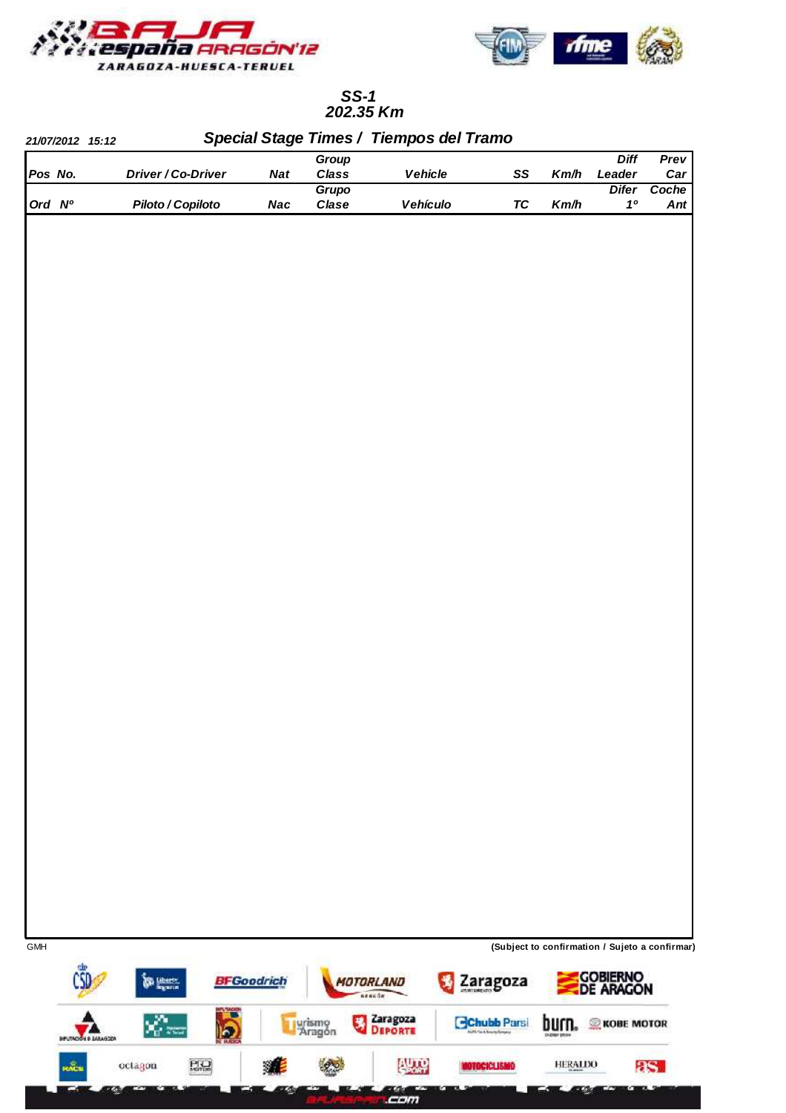



## **202.35 Km SS-1**

|         | 21/07/2012 15:12              |                                                                                   |    |                   | Group                          |                                            |                                |                   | <b>Diff</b>                                        | Prev  |
|---------|-------------------------------|-----------------------------------------------------------------------------------|----|-------------------|--------------------------------|--------------------------------------------|--------------------------------|-------------------|----------------------------------------------------|-------|
| Pos No. |                               | Driver / Co-Driver                                                                |    | <b>Nat</b>        | Class                          | Vehicle                                    | SS                             | Km/h              | Leader                                             | Car   |
| Ord Nº  |                               |                                                                                   |    |                   | Grupo                          |                                            |                                |                   | <b>Difer</b><br>10                                 | Coche |
|         |                               | Piloto / Copiloto                                                                 |    | <b>Nac</b>        | Clase                          | Vehículo                                   | <b>TC</b>                      | Km/h              |                                                    | Ant   |
|         |                               |                                                                                   |    |                   |                                |                                            |                                |                   |                                                    |       |
| GMH     |                               |                                                                                   |    |                   |                                |                                            |                                |                   | (Subject to confirmation / Sujeto a confirmar)     |       |
|         |                               | <b>Support</b><br>$\mathbf{x}^{\prime}_{\mathbf{r}^{\prime} \mathbf{x}^{\prime}}$ | lo | <b>BFGoodrich</b> | 男<br><b>Llurismo</b><br>Aragón | MOTORLAND<br>nencon<br>Zaragoza<br>Deporte | Zaragoza<br><b>Chubb Parsi</b> | pntu <sup>.</sup> | <b>GOBIERNO<br/>DE ARAGON</b><br><b>KOBE MOTOR</b> |       |
|         | <b>DEUTION &amp; SALASCOA</b> |                                                                                   |    |                   |                                |                                            |                                |                   |                                                    |       |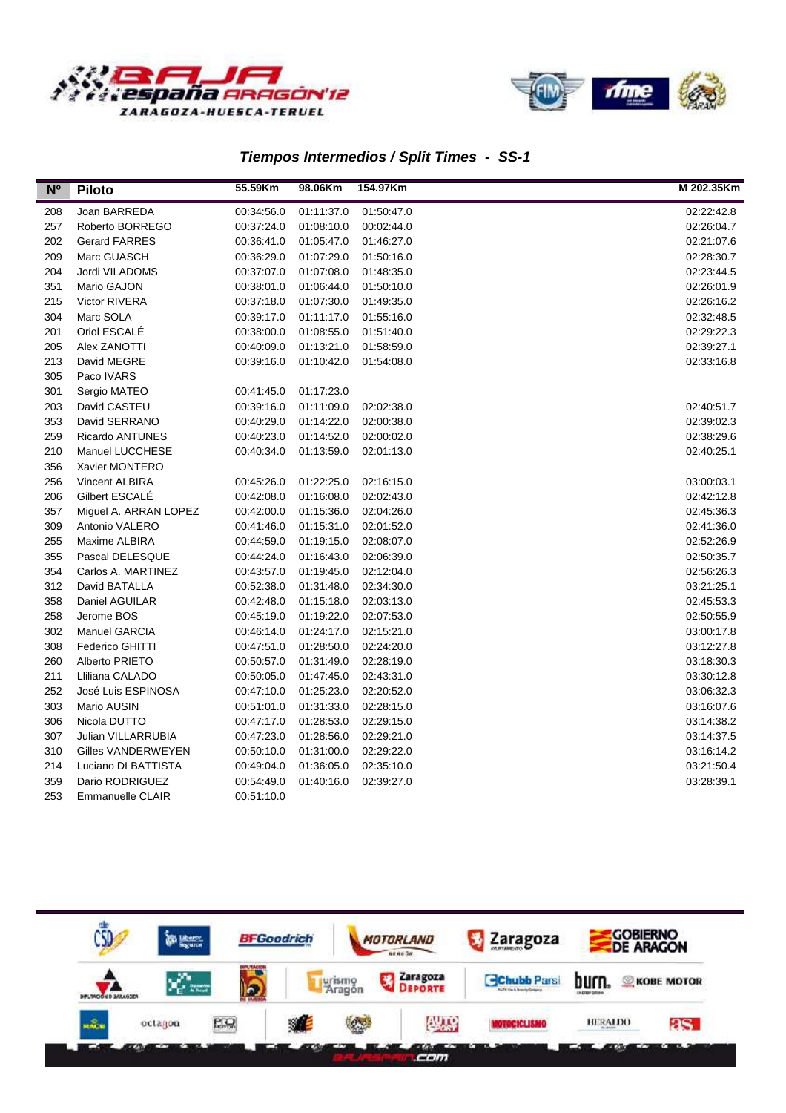



#### **Tiempos Intermedios / Split Times - SS-1**

| N <sup>o</sup> | <b>Piloto</b>          | 55.59Km    | 98.06Km    | 154.97Km   | M 202.35Km |
|----------------|------------------------|------------|------------|------------|------------|
| 208            | Joan BARREDA           | 00:34:56.0 | 01:11:37.0 | 01:50:47.0 | 02:22:42.8 |
| 257            | Roberto BORREGO        | 00:37:24.0 | 01:08:10.0 | 00:02:44.0 | 02:26:04.7 |
| 202            | <b>Gerard FARRES</b>   | 00:36:41.0 | 01:05:47.0 | 01:46:27.0 | 02:21:07.6 |
| 209            | Marc GUASCH            | 00:36:29.0 | 01:07:29.0 | 01:50:16.0 | 02:28:30.7 |
| 204            | Jordi VILADOMS         | 00:37:07.0 | 01:07:08.0 | 01:48:35.0 | 02:23:44.5 |
| 351            | Mario GAJON            | 00:38:01.0 | 01:06:44.0 | 01:50:10.0 | 02:26:01.9 |
| 215            | Victor RIVERA          | 00:37:18.0 | 01:07:30.0 | 01:49:35.0 | 02:26:16.2 |
| 304            | Marc SOLA              | 00:39:17.0 | 01:11:17.0 | 01:55:16.0 | 02:32:48.5 |
| 201            | Oriol ESCALÉ           | 00:38:00.0 | 01:08:55.0 | 01:51:40.0 | 02:29:22.3 |
| 205            | Alex ZANOTTI           | 00:40:09.0 | 01:13:21.0 | 01:58:59.0 | 02:39:27.1 |
| 213            | David MEGRE            | 00:39:16.0 | 01:10:42.0 | 01:54:08.0 | 02:33:16.8 |
| 305            | Paco IVARS             |            |            |            |            |
| 301            | Sergio MATEO           | 00:41:45.0 | 01:17:23.0 |            |            |
| 203            | David CASTEU           | 00:39:16.0 | 01:11:09.0 | 02:02:38.0 | 02:40:51.7 |
| 353            | David SERRANO          | 00:40:29.0 | 01:14:22.0 | 02:00:38.0 | 02:39:02.3 |
| 259            | <b>Ricardo ANTUNES</b> | 00:40:23.0 | 01:14:52.0 | 02:00:02.0 | 02:38:29.6 |
| 210            | Manuel LUCCHESE        | 00:40:34.0 | 01:13:59.0 | 02:01:13.0 | 02:40:25.1 |
| 356            | Xavier MONTERO         |            |            |            |            |
| 256            | Vincent ALBIRA         | 00:45:26.0 | 01:22:25.0 | 02:16:15.0 | 03:00:03.1 |
| 206            | Gilbert ESCALE         | 00:42:08.0 | 01:16:08.0 | 02:02:43.0 | 02:42:12.8 |
| 357            | Miguel A. ARRAN LOPEZ  | 00:42:00.0 | 01:15:36.0 | 02:04:26.0 | 02:45:36.3 |
| 309            | Antonio VALERO         | 00:41:46.0 | 01:15:31.0 | 02:01:52.0 | 02:41:36.0 |
| 255            | Maxime ALBIRA          | 00:44:59.0 | 01:19:15.0 | 02:08:07.0 | 02:52:26.9 |
| 355            | Pascal DELESQUE        | 00:44:24.0 | 01:16:43.0 | 02:06:39.0 | 02:50:35.7 |
| 354            | Carlos A. MARTINEZ     | 00:43:57.0 | 01:19:45.0 | 02:12:04.0 | 02:56:26.3 |
| 312            | David BATALLA          | 00:52:38.0 | 01:31:48.0 | 02:34:30.0 | 03:21:25.1 |
| 358            | Daniel AGUILAR         | 00:42:48.0 | 01:15:18.0 | 02:03:13.0 | 02:45:53.3 |
| 258            | Jerome BOS             | 00:45:19.0 | 01:19:22.0 | 02:07:53.0 | 02:50:55.9 |
| 302            | Manuel GARCIA          | 00:46:14.0 | 01:24:17.0 | 02:15:21.0 | 03:00:17.8 |
| 308            | Federico GHITTI        | 00:47:51.0 | 01:28:50.0 | 02:24:20.0 | 03:12:27.8 |
| 260            | Alberto PRIETO         | 00:50:57.0 | 01:31:49.0 | 02:28:19.0 | 03:18:30.3 |
| 211            | Lliliana CALADO        | 00:50:05.0 | 01:47:45.0 | 02:43:31.0 | 03:30:12.8 |
| 252            | José Luis ESPINOSA     | 00:47:10.0 | 01:25:23.0 | 02:20:52.0 | 03:06:32.3 |
| 303            | Mario AUSIN            | 00:51:01.0 | 01:31:33.0 | 02:28:15.0 | 03:16:07.6 |
| 306            | Nicola DUTTO           | 00:47:17.0 | 01:28:53.0 | 02:29:15.0 | 03:14:38.2 |
| 307            | Julian VILLARRUBIA     | 00:47:23.0 | 01:28:56.0 | 02:29:21.0 | 03:14:37.5 |
| 310            | Gilles VANDERWEYEN     | 00:50:10.0 | 01:31:00.0 | 02:29:22.0 | 03:16:14.2 |
| 214            | Luciano DI BATTISTA    | 00:49:04.0 | 01:36:05.0 | 02:35:10.0 | 03:21:50.4 |
| 359            | Dario RODRIGUEZ        | 00:54:49.0 | 01:40:16.0 | 02:39:27.0 | 03:28:39.1 |
| 253            | Emmanuelle CLAIR       | 00:51:10.0 |            |            |            |

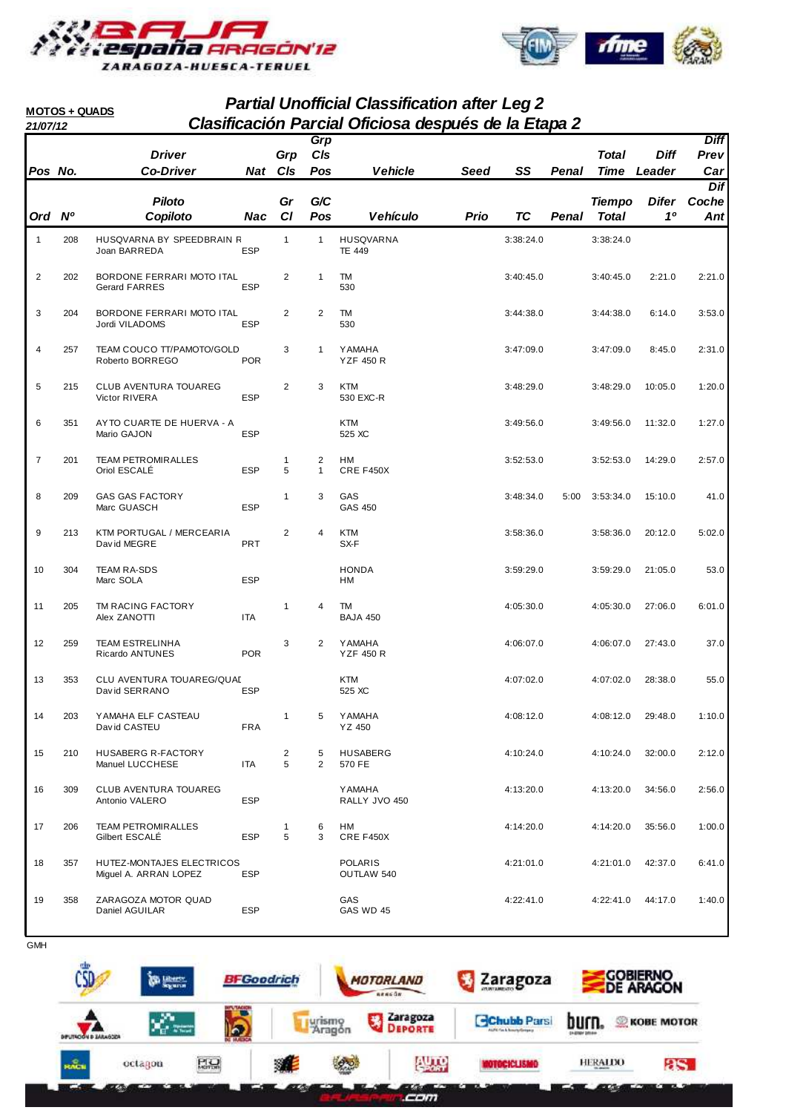



#### **Partial Unofficial Classification after Leg 2 21/07/12 Clasificación Parcial Oficiosa después de la Etapa 2 MOTOS + QUADS**

|                |     | <b>Driver</b>                                      |            | Grp                          | Grp<br>C/s        |                                    |      |           |       | Total                         | <b>Diff</b>             | <b>Diff</b><br>Prev |
|----------------|-----|----------------------------------------------------|------------|------------------------------|-------------------|------------------------------------|------|-----------|-------|-------------------------------|-------------------------|---------------------|
| Pos No.        |     | <b>Co-Driver</b>                                   | Nat Cls    |                              | Pos               | <b>Vehicle</b>                     | Seed | SS        | Penal | <b>Time</b>                   | Leader                  | Car                 |
|                |     |                                                    |            |                              |                   |                                    |      |           |       |                               |                         | Dif                 |
| Ord Nº         |     | <b>Piloto</b><br>Copiloto                          | Nac        | Gr<br>CI                     | G/C<br>Pos        | <b>Vehículo</b>                    | Prio | TC        | Penal | <b>Tiempo</b><br><b>Total</b> | Difer<br>1 <sup>0</sup> | Coche<br>Ant        |
| $\overline{1}$ | 208 | HUSQVARNA BY SPEEDBRAIN R<br>Joan BARREDA          | ESP        | $\mathbf{1}$                 | $\mathbf{1}$      | <b>HUSQVARNA</b><br><b>TE 449</b>  |      | 3:38:24.0 |       | 3:38:24.0                     |                         |                     |
| $\overline{2}$ | 202 | BORDONE FERRARI MOTO ITAL<br><b>Gerard FARRES</b>  | ESP        | $\overline{\mathbf{c}}$      | $\mathbf{1}$      | TM<br>530                          |      | 3:40:45.0 |       | 3:40:45.0                     | 2:21.0                  | 2:21.0              |
| 3              | 204 | BORDONE FERRARI MOTO ITAL<br>Jordi VILADOMS        | ESP        | $\overline{c}$               | 2                 | TM<br>530                          |      | 3:44:38.0 |       | 3:44:38.0                     | 6:14.0                  | 3:53.0              |
| 4              | 257 | TEAM COUCO TT/PAMOTO/GOLD<br>Roberto BORREGO       | <b>POR</b> | 3                            | $\mathbf{1}$      | <b>Y AMAHA</b><br><b>YZF 450 R</b> |      | 3:47:09.0 |       | 3:47:09.0                     | 8:45.0                  | 2:31.0              |
| 5              | 215 | <b>CLUB AVENTURA TOUAREG</b><br>Victor RIVERA      | <b>ESP</b> | $\mathbf{2}$                 | 3                 | <b>KTM</b><br>530 EXC-R            |      | 3:48:29.0 |       | 3:48:29.0                     | 10:05.0                 | 1:20.0              |
| 6              | 351 | AYTO CUARTE DE HUERVA - A<br>Mario GAJON           | <b>ESP</b> |                              |                   | <b>KTM</b><br>525 XC               |      | 3:49:56.0 |       | 3:49:56.0                     | 11:32.0                 | 1:27.0              |
| $\overline{7}$ | 201 | <b>TEAM PETROMIRALLES</b><br>Oriol ESCALE          | ESP        | $\mathbf{1}$<br>5            | 2<br>$\mathbf{1}$ | HM<br>CRE F450X                    |      | 3:52:53.0 |       | 3:52:53.0                     | 14:29.0                 | 2:57.0              |
| 8              | 209 | <b>GAS GAS FACTORY</b><br>Marc GUASCH              | <b>ESP</b> | 1                            | 3                 | GAS<br>GAS 450                     |      | 3:48:34.0 | 5:00  | 3:53:34.0                     | 15:10.0                 | 41.0                |
| 9              | 213 | KTM PORTUGAL / MERCEARIA<br>David MEGRE            | PRT        | $\overline{\mathbf{c}}$      | 4                 | <b>KTM</b><br>SX-F                 |      | 3:58:36.0 |       | 3:58:36.0                     | 20:12.0                 | 5:02.0              |
| 10             | 304 | <b>TEAM RA-SDS</b><br>Marc SOLA                    | <b>ESP</b> |                              |                   | <b>HONDA</b><br><b>HM</b>          |      | 3:59:29.0 |       | 3:59:29.0                     | 21:05.0                 | 53.0                |
| 11             | 205 | TM RACING FACTORY<br>Alex ZANOTTI                  | ITA        | $\mathbf{1}$                 | 4                 | TM<br><b>BAJA 450</b>              |      | 4:05:30.0 |       | 4:05:30.0                     | 27:06.0                 | 6:01.0              |
| 12             | 259 | <b>TEAM ESTRELINHA</b><br>Ricardo ANTUNES          | <b>POR</b> | 3                            | 2                 | <b>Y AMAHA</b><br><b>YZF 450 R</b> |      | 4:06:07.0 |       | 4:06:07.0                     | 27:43.0                 | 37.0                |
| 13             | 353 | CLU AVENTURA TOUAREG/QUAL<br>David SERRANO         | ESP        |                              |                   | KTM<br>525 XC                      |      | 4:07:02.0 |       | 4:07:02.0                     | 28:38.0                 | 55.0                |
| 14             | 203 | Y AMAHA ELF CASTEAU<br>David CASTEU                | FRA        | 1                            | 5                 | <b>Y AMAHA</b><br>YZ 450           |      | 4:08:12.0 |       | 4:08:12.0                     | 29:48.0                 | 1:10.0              |
| 15             | 210 | HUSABERG R-FACTORY<br>Manuel LUCCHESE              | ITA        | $\overline{\mathbf{c}}$<br>5 | 5<br>2            | <b>HUSABERG</b><br>570 FE          |      | 4:10:24.0 |       | 4:10:24.0                     | 32:00.0                 | 2:12.0              |
| 16             | 309 | CLUB AVENTURA TOUAREG<br>Antonio VALERO            | <b>ESP</b> |                              |                   | <b>Y AMAHA</b><br>RALLY JVO 450    |      | 4:13:20.0 |       | 4:13:20.0                     | 34:56.0                 | 2:56.0              |
| 17             | 206 | <b>TEAM PETROMIRALLES</b><br>Gilbert ESCALÉ        | ESP        | 1<br>5                       | 6<br>3            | HM<br>CRE F450X                    |      | 4:14:20.0 |       | 4:14:20.0                     | 35:56.0                 | 1:00.0              |
| 18             | 357 | HUTEZ-MONTAJES ELECTRICOS<br>Miguel A. ARRAN LOPEZ | ESP        |                              |                   | <b>POLARIS</b><br>OUTLAW 540       |      | 4:21:01.0 |       | 4:21:01.0                     | 42:37.0                 | 6:41.0              |
| 19             | 358 | ZARAGOZA MOTOR QUAD<br>Daniel AGUILAR              | ESP        |                              |                   | GAS<br>GAS WD 45                   |      | 4:22:41.0 |       | 4:22:41.0                     | 44:17.0                 | 1:40.0              |

**GMH** 

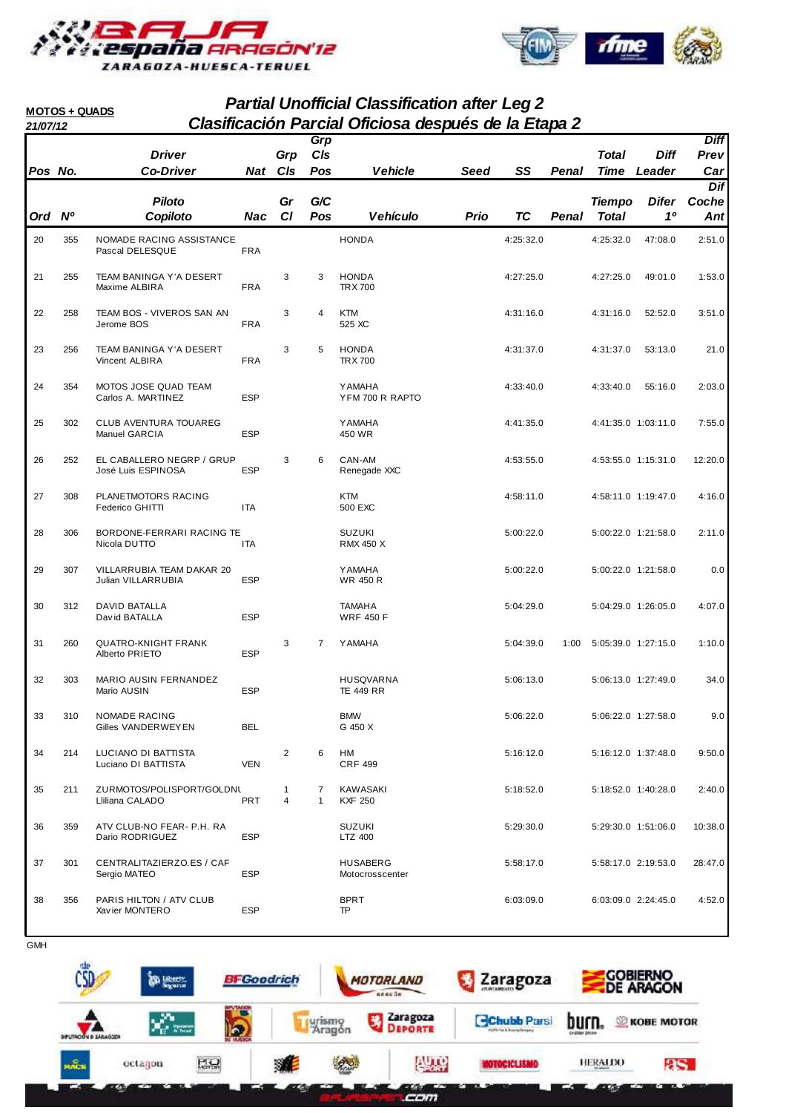



I

#### **Partial Unofficial Classification after Leg 2 21/07/12 Clasificación Parcial Oficiosa después de la Etapa 2 MOTOS + QUADS**

| 21/07/12 |     |                                                 |            |                     |                   | Clasificación Farcial Officiosa después de la Llapa Z |      |           |       |                               |                                |                            |
|----------|-----|-------------------------------------------------|------------|---------------------|-------------------|-------------------------------------------------------|------|-----------|-------|-------------------------------|--------------------------------|----------------------------|
| Pos No.  |     | <b>Driver</b><br><b>Co-Driver</b>               | Nat Cls    | Grp                 | Grp<br>C/s<br>Pos | <b>Vehicle</b>                                        | Seed | SS        | Penal | Total                         | <b>Diff</b><br>Time Leader     | <b>Diff</b><br>Prev<br>Car |
|          |     |                                                 |            |                     |                   |                                                       |      |           |       |                               |                                | Dif                        |
| Ord Nº   |     | <b>Piloto</b><br>Copiloto                       | Nac        | Gr<br>CI            | G/C<br>Pos        | <b>Vehículo</b>                                       | Prio | <b>TC</b> | Penal | <b>Tiempo</b><br><b>Total</b> | <b>Difer</b><br>1 <sup>0</sup> | Coche<br>Ant               |
| 20       | 355 | NOMADE RACING ASSISTANCE<br>Pascal DELESQUE     | <b>FRA</b> |                     |                   | <b>HONDA</b>                                          |      | 4:25:32.0 |       | 4:25:32.0                     | 47:08.0                        | 2:51.0                     |
| 21       | 255 | <b>TEAM BANINGA Y'A DESERT</b><br>Maxime ALBIRA | <b>FRA</b> | 3                   | 3                 | <b>HONDA</b><br><b>TRX700</b>                         |      | 4:27:25.0 |       | 4:27:25.0                     | 49:01.0                        | 1:53.0                     |
| 22       | 258 | TEAM BOS - VIVEROS SAN AN<br>Jerome BOS         | <b>FRA</b> | 3                   | 4                 | <b>KTM</b><br>525 XC                                  |      | 4:31:16.0 |       | 4:31:16.0                     | 52:52.0                        | 3:51.0                     |
| 23       | 256 | TEAM BANINGA Y'A DESERT<br>Vincent ALBIRA       | <b>FRA</b> | 3                   | 5                 | <b>HONDA</b><br><b>TRX 700</b>                        |      | 4:31:37.0 |       | 4:31:37.0                     | 53:13.0                        | 21.0                       |
| 24       | 354 | MOTOS JOSE QUAD TEAM<br>Carlos A. MARTINEZ      | <b>ESP</b> |                     |                   | <b>YAMAHA</b><br>YFM 700 R RAPTO                      |      | 4:33:40.0 |       | 4:33:40.0                     | 55:16.0                        | 2:03.0                     |
| 25       | 302 | CLUB AVENTURA TOUAREG<br>Manuel GARCIA          | <b>ESP</b> |                     |                   | <b>YAMAHA</b><br>450 WR                               |      | 4:41:35.0 |       |                               | 4:41:35.0 1:03:11.0            | 7:55.0                     |
| 26       | 252 | EL CABALLERO NEGRP / GRUP<br>José Luis ESPINOSA | <b>ESP</b> | 3                   | 6                 | CAN-AM<br>Renegade XXC                                |      | 4:53:55.0 |       |                               | 4:53:55.0 1:15:31.0            | 12:20.0                    |
| 27       | 308 | PLANETMOTORS RACING<br>Federico GHITTI          | ITA        |                     |                   | <b>KTM</b><br>500 EXC                                 |      | 4:58:11.0 |       |                               | 4:58:11.0 1:19:47.0            | 4:16.0                     |
| 28       | 306 | BORDONE-FERRARI RACING TE<br>Nicola DUTTO       | ITA        |                     |                   | <b>SUZUKI</b><br><b>RMX 450 X</b>                     |      | 5:00:22.0 |       |                               | 5:00:22.0 1:21:58.0            | 2:11.0                     |
| 29       | 307 | VILLARRUBIA TEAM DAKAR 20<br>Julian VILLARRUBIA | <b>ESP</b> |                     |                   | <b>Y AMAHA</b><br>WR 450 R                            |      | 5:00:22.0 |       |                               | 5:00:22.0 1:21:58.0            | 0.0                        |
| 30       | 312 | DAVID BATALLA<br>David BATALLA                  | <b>ESP</b> |                     |                   | <b>TAMAHA</b><br><b>WRF 450 F</b>                     |      | 5:04:29.0 |       |                               | 5:04:29.0 1:26:05.0            | 4:07.0                     |
| 31       | 260 | <b>QUATRO-KNIGHT FRANK</b><br>Alberto PRIETO    | <b>ESP</b> | 3                   | $\overline{7}$    | <b>YAMAHA</b>                                         |      | 5:04:39.0 | 1:00  |                               | 5:05:39.0 1:27:15.0            | 1:10.0                     |
| 32       | 303 | MARIO AUSIN FERNANDEZ<br>Mario AUSIN            | <b>ESP</b> |                     |                   | <b>HUSQVARNA</b><br><b>TE 449 RR</b>                  |      | 5:06:13.0 |       |                               | 5:06:13.0 1:27:49.0            | 34.0                       |
| 33       | 310 | NOMADE RACING<br>Gilles VANDERWEYEN             | BEL        |                     |                   | <b>BMW</b><br>G 450 X                                 |      | 5:06:22.0 |       |                               | 5:06:22.0 1:27:58.0            | 9.0                        |
| 34       | 214 | LUCIANO DI BATTISTA<br>Luciano DI BATTISTA      | <b>VEN</b> | 2                   | 6                 | HМ<br><b>CRF 499</b>                                  |      | 5:16:12.0 |       |                               | 5:16:12.0 1:37:48.0            | 9:50.0                     |
| 35       | 211 | ZURMOTOS/POLISPORT/GOLDNL<br>Lliliana CALADO    | <b>PRT</b> | 1<br>$\overline{4}$ | 7<br>$\mathbf{1}$ | KAWASAKI<br><b>KXF 250</b>                            |      | 5:18:52.0 |       |                               | 5:18:52.0 1:40:28.0            | 2:40.0                     |
| 36       | 359 | ATV CLUB-NO FEAR- P.H. RA<br>Dario RODRIGUEZ    | <b>ESP</b> |                     |                   | <b>SUZUKI</b><br>LTZ 400                              |      | 5:29:30.0 |       |                               | 5:29:30.0 1:51:06.0            | 10:38.0                    |
| 37       | 301 | CENTRALITAZIERZO.ES / CAF<br>Sergio MATEO       | <b>ESP</b> |                     |                   | <b>HUSABERG</b><br>Motocrosscenter                    |      | 5:58:17.0 |       |                               | 5:58:17.0 2:19:53.0            | 28:47.0                    |
| 38       | 356 | PARIS HILTON / ATV CLUB<br>Xavier MONTERO       | <b>ESP</b> |                     |                   | <b>BPRT</b><br>TP                                     |      | 6:03:09.0 |       |                               | 6:03:09.0 2:24:45.0            | 4:52.0                     |

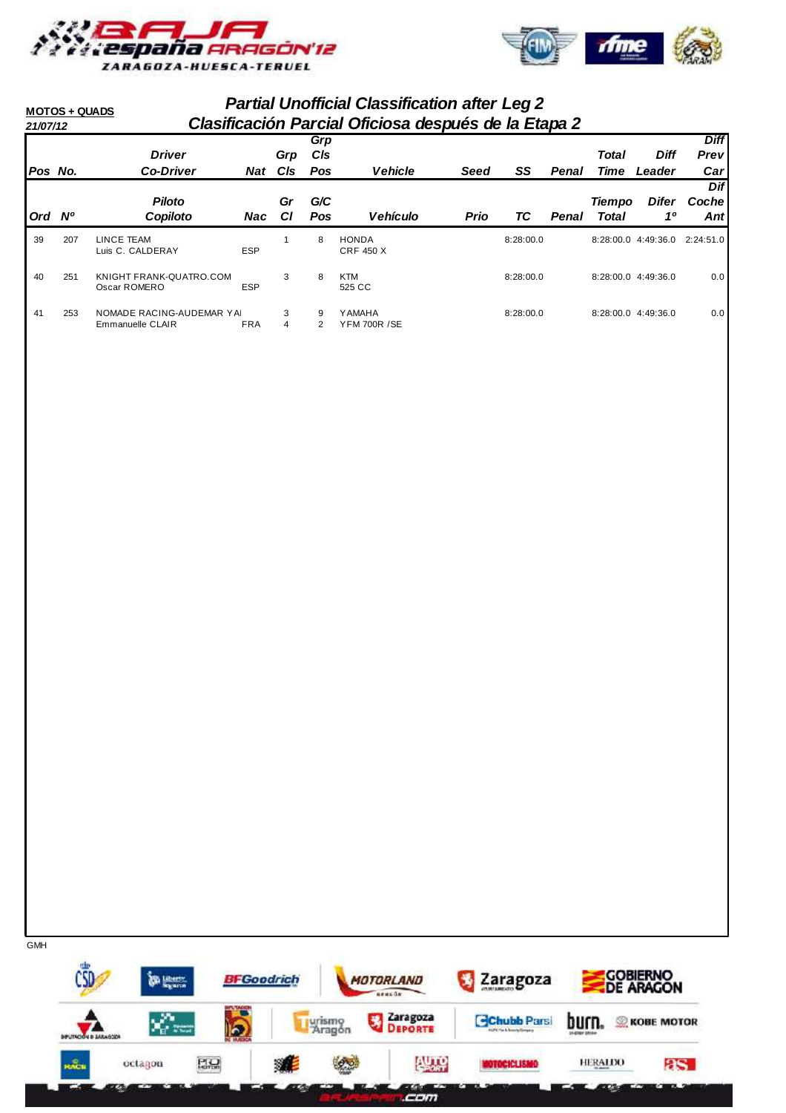



| 21/07/12 | <b>MOTOS + QUADS</b> |                                | <b>Partial Unofficial Classification after Leg 2</b><br>Clasificación Parcial Oficiosa después de la Etapa 2 |                 |            |                                  |             |           |       |               |                       |             |
|----------|----------------------|--------------------------------|--------------------------------------------------------------------------------------------------------------|-----------------|------------|----------------------------------|-------------|-----------|-------|---------------|-----------------------|-------------|
|          |                      |                                |                                                                                                              |                 | Grp        |                                  |             |           |       |               |                       | <b>Diff</b> |
|          |                      | <b>Driver</b>                  |                                                                                                              | Grp             | <b>CIs</b> |                                  |             |           |       | <b>Total</b>  | <b>Diff</b>           | Prev        |
| Pos No.  |                      | <b>Co-Driver</b>               | Nat                                                                                                          | C <sub>ls</sub> | <b>Pos</b> | <b>Vehicle</b>                   | Seed        | SS        | Penal | Time          | Leader                | Car         |
|          |                      |                                |                                                                                                              |                 |            |                                  |             |           |       |               |                       | Dif         |
|          |                      | <b>Piloto</b>                  |                                                                                                              | Gr              | G/C        |                                  |             |           |       | <b>Tiempo</b> | <b>Difer</b>          | Coche       |
| Ord .    | <b>N°</b>            | Copiloto                       | Nac                                                                                                          | СI              | <b>Pos</b> | <b>Vehículo</b>                  | <b>Prio</b> | ТC        | Penal | Total         | 10                    | Ant         |
| 39       | 207                  | LINCE TEAM<br>Luis C. CALDERAY | <b>ESP</b>                                                                                                   |                 | 8          | <b>HONDA</b><br><b>CRF 450 X</b> |             | 8:28:00.0 |       |               | 8:28:00.0 4:49:36.0   | 2:24:51.0   |
| 40       | 251                  | KNIGHT FRANK-QUATRO.COM        |                                                                                                              | 3               | 8          | <b>KTM</b>                       |             | 8:28:00.0 |       |               | $8:28:00.0$ 4:49:36.0 | 0.0         |
|          |                      | Oscar ROMERO                   | <b>ESP</b>                                                                                                   |                 |            | 525 CC                           |             |           |       |               |                       |             |

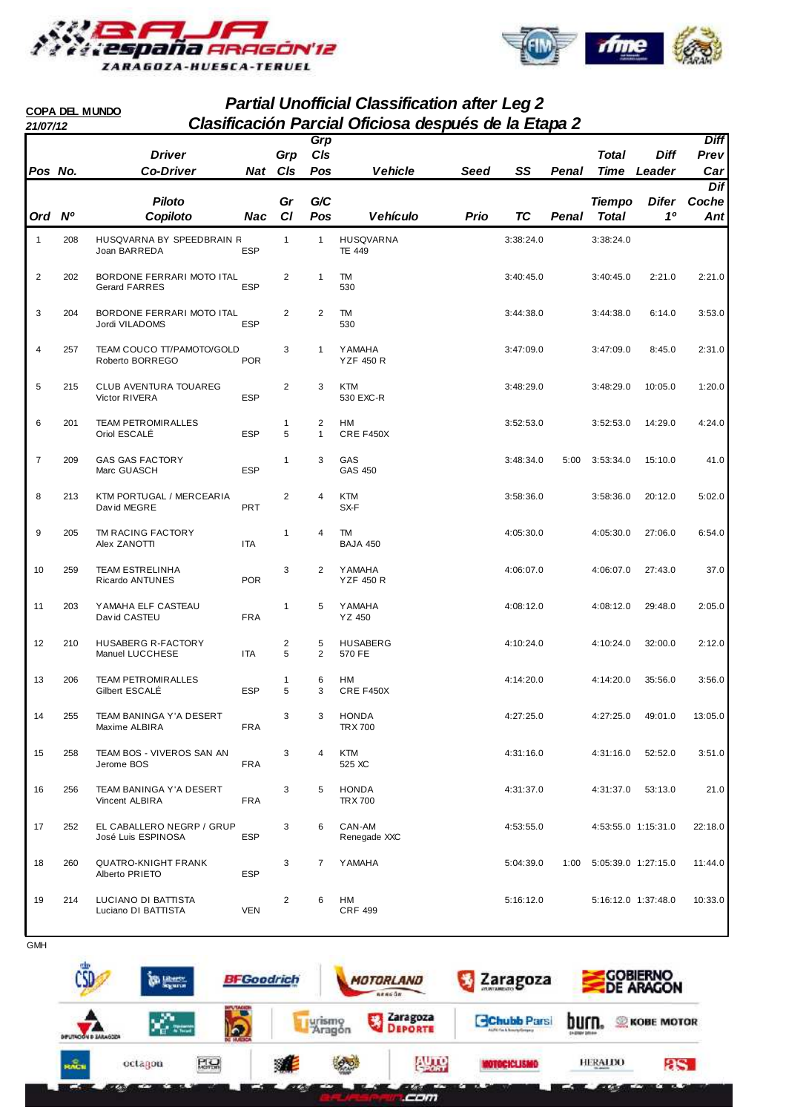



#### **Partial Unofficial Classification after Leg 2 21/07/12 Clasificación Parcial Oficiosa después de la Etapa 2 COPA DEL MUNDO**

|                         |     | <b>Driver</b>                                   |            | Grp                 | Grp<br>C/s        |                                    |             |           |              | <b>Total</b>                  | <b>Diff</b> | <b>Diff</b><br>Prev |
|-------------------------|-----|-------------------------------------------------|------------|---------------------|-------------------|------------------------------------|-------------|-----------|--------------|-------------------------------|-------------|---------------------|
| Pos No.                 |     | <b>Co-Driver</b>                                | Nat CIs    |                     | Pos               | <b>Vehicle</b>                     | <b>Seed</b> | SS        | <b>Penal</b> | Time                          | Leader      | Car                 |
| Ord Nº                  |     | <b>Piloto</b><br>Copiloto                       | Nac        | Gr<br>C1            | G/C<br>Pos        | <b>Vehículo</b>                    | Prio        | <b>TC</b> | Penal        | <b>Tiempo</b><br><b>Total</b> | Difer<br>10 | Dif<br>Coche<br>Ant |
|                         |     |                                                 |            |                     |                   |                                    |             |           |              |                               |             |                     |
| 1                       | 208 | HUSQVARNA BY SPEEDBRAIN R<br>Joan BARREDA       | <b>ESP</b> | $\mathbf{1}$        | $\mathbf{1}$      | <b>HUSQVARNA</b><br><b>TE 449</b>  |             | 3:38:24.0 |              | 3:38:24.0                     |             |                     |
| $\overline{\mathbf{c}}$ | 202 | BORDONE FERRARI MOTO ITAL<br>Gerard FARRES      | <b>ESP</b> | 2                   | $\mathbf{1}$      | TM<br>530                          |             | 3:40:45.0 |              | 3:40:45.0                     | 2:21.0      | 2:21.0              |
| 3                       | 204 | BORDONE FERRARI MOTO ITAL<br>Jordi VILADOMS     | <b>ESP</b> | 2                   | 2                 | TM<br>530                          |             | 3:44:38.0 |              | 3:44:38.0                     | 6:14.0      | 3:53.0              |
| 4                       | 257 | TEAM COUCO TT/PAMOTO/GOLD<br>Roberto BORREGO    | <b>POR</b> | 3                   | 1                 | <b>YAMAHA</b><br><b>YZF 450 R</b>  |             | 3:47:09.0 |              | 3:47:09.0                     | 8:45.0      | 2:31.0              |
| 5                       | 215 | CLUB AVENTURA TOUAREG<br>Victor RIVERA          | <b>ESP</b> | $\overline{2}$      | 3                 | <b>KTM</b><br>530 EXC-R            |             | 3:48:29.0 |              | 3:48:29.0                     | 10:05.0     | 1:20.0              |
| 6                       | 201 | <b>TEAM PETROMIRALLES</b><br>Oriol ESCALÉ       | <b>ESP</b> | $\mathbf{1}$<br>5   | 2<br>$\mathbf{1}$ | НM<br>CRE F450X                    |             | 3:52:53.0 |              | 3:52:53.0                     | 14:29.0     | 4:24.0              |
| $\overline{7}$          | 209 | <b>GAS GAS FACTORY</b><br>Marc GUASCH           | <b>ESP</b> | 1                   | 3                 | GAS<br><b>GAS 450</b>              |             | 3:48:34.0 | 5:00         | 3:53:34.0                     | 15:10.0     | 41.0                |
| 8                       | 213 | KTM PORTUGAL / MERCEARIA<br>David MEGRE         | <b>PRT</b> | $\overline{2}$      | 4                 | <b>KTM</b><br>SX-F                 |             | 3:58:36.0 |              | 3:58:36.0                     | 20:12.0     | 5:02.0              |
| 9                       | 205 | TM RACING FACTORY<br>Alex ZANOTTI               | ITA        | $\mathbf{1}$        | 4                 | TM<br><b>BAJA 450</b>              |             | 4:05:30.0 |              | 4:05:30.0                     | 27:06.0     | 6:54.0              |
| 10                      | 259 | <b>TEAM ESTRELINHA</b><br>Ricardo ANTUNES       | <b>POR</b> | 3                   | 2                 | <b>Y AMAHA</b><br><b>YZF 450 R</b> |             | 4:06:07.0 |              | 4:06:07.0                     | 27:43.0     | 37.0                |
| 11                      | 203 | YAMAHA ELF CASTEAU<br>David CASTEU              | <b>FRA</b> | 1                   | 5                 | <b>Y AMAHA</b><br>YZ 450           |             | 4:08:12.0 |              | 4:08:12.0                     | 29:48.0     | 2:05.0              |
| 12                      | 210 | HUSABERG R-FACTORY<br>Manuel LUCCHESE           | <b>ITA</b> | $\overline{2}$<br>5 | 5<br>2            | <b>HUSABERG</b><br>570 FE          |             | 4:10:24.0 |              | 4:10:24.0                     | 32:00.0     | 2:12.0              |
| 13                      | 206 | <b>TEAM PETROMIRALLES</b><br>Gilbert ESCALÉ     | <b>ESP</b> | $\mathbf{1}$<br>5   | 6<br>3            | HМ<br>CRE F450X                    |             | 4:14:20.0 |              | 4:14:20.0                     | 35:56.0     | 3:56.0              |
| 14                      | 255 | TEAM BANINGA Y'A DESERT<br>Maxime ALBIRA        | FRA        | 3                   | 3                 | <b>HONDA</b><br>TRX 700            |             | 4:27:25.0 |              | 4:27:25.0                     | 49:01.0     | 13:05.0             |
| 15                      | 258 | TEAM BOS - VIVEROS SAN AN<br>Jerome BOS         | <b>FRA</b> | 3                   | 4                 | <b>KTM</b><br>525 XC               |             | 4:31:16.0 |              | 4:31:16.0                     | 52:52.0     | 3:51.0              |
| 16                      | 256 | TEAM BANINGA Y'A DESERT<br>Vincent ALBIRA       | <b>FRA</b> | 3                   | 5                 | <b>HONDA</b><br><b>TRX 700</b>     |             | 4:31:37.0 |              | 4:31:37.0                     | 53:13.0     | 21.0                |
| 17                      | 252 | EL CABALLERO NEGRP / GRUP<br>José Luis ESPINOSA | <b>ESP</b> | 3                   | 6                 | CAN-AM<br>Renegade XXC             |             | 4:53:55.0 |              | 4:53:55.0 1:15:31.0           |             | 22:18.0             |
| 18                      | 260 | <b>QUATRO-KNIGHT FRANK</b><br>Alberto PRIETO    | <b>ESP</b> | 3                   | $\overline{7}$    | <b>Y AMAHA</b>                     |             | 5:04:39.0 | 1:00         | 5:05:39.0 1:27:15.0           |             | 11:44.0             |
| 19                      | 214 | LUCIANO DI BATTISTA<br>Luciano DI BATTISTA      | <b>VEN</b> | $\overline{2}$      | 6                 | HМ<br><b>CRF 499</b>               |             | 5:16:12.0 |              | 5:16:12.0 1:37:48.0           |             | 10:33.0             |

**GMH** 

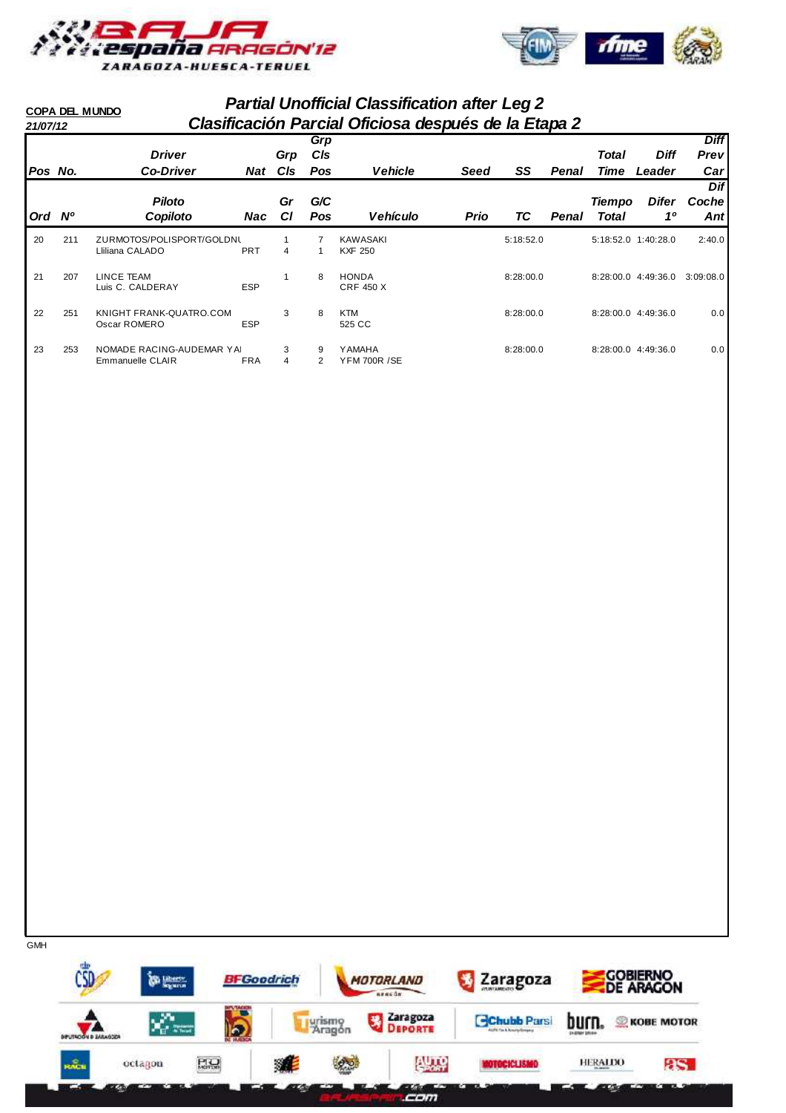



#### **Partial Unofficial Classification after Leg 2 21/07/12 Clasificación Parcial Oficiosa después de la Etapa 2 COPA DEL MUNDO Grp**

|         |     |                                               |            |           | Grp    |                                      |             |           |       |                     |                     | <b>Diff</b> |
|---------|-----|-----------------------------------------------|------------|-----------|--------|--------------------------------------|-------------|-----------|-------|---------------------|---------------------|-------------|
|         |     | <b>Driver</b>                                 |            | Grp       | CIs    |                                      |             |           |       | <b>Total</b>        | <b>Diff</b>         | Prev        |
| Pos No. |     | <b>Co-Driver</b>                              | Nat        | CIs       | Pos    | <b>Vehicle</b>                       | <b>Seed</b> | SS        | Penal | Time                | Leader              | Car         |
|         |     |                                               |            |           |        |                                      |             |           |       |                     |                     | Dif         |
|         |     | <b>Piloto</b>                                 |            | Gr        | G/C    |                                      |             |           |       | <b>Tiempo</b>       | Difer               | Coche       |
| Ord Nº  |     | Copiloto                                      | <b>Nac</b> | <b>CI</b> | Pos    | <b>Vehículo</b>                      | <b>Prio</b> | ТC        | Penal | <b>Total</b>        | $1^{\circ}$         | Ant         |
| 20      | 211 | ZURMOTOS/POLISPORT/GOLDNL<br>Lliliana CALADO  | <b>PRT</b> | 4         |        | <b>KAWASAKI</b><br><b>KXF 250</b>    |             | 5:18:52.0 |       |                     | 5:18:52.0 1:40:28.0 | 2:40.0      |
| 21      | 207 | LINCE TEAM<br>Luis C. CALDERAY                | <b>ESP</b> |           | 8      | <b>HONDA</b><br><b>CRF 450 X</b>     |             | 8:28:00.0 |       | 8:28:00.0           | 4:49:36.0           | 3:09:08.0   |
| 22      | 251 | KNIGHT FRANK-QUATRO.COM<br>Oscar ROMERO       | <b>ESP</b> | 3         | 8      | <b>KTM</b><br>525 CC                 |             | 8:28:00.0 |       | 8:28:00.0 4:49:36.0 |                     | 0.0         |
| 23      | 253 | NOMADE RACING-AUDEMAR YAI<br>Emmanuelle CLAIR | <b>FRA</b> | 3<br>4    | 9<br>2 | <b>YAMAHA</b><br><b>YFM 700R /SE</b> |             | 8:28:00.0 |       | 8:28:00.0 4:49:36.0 |                     | 0.0         |

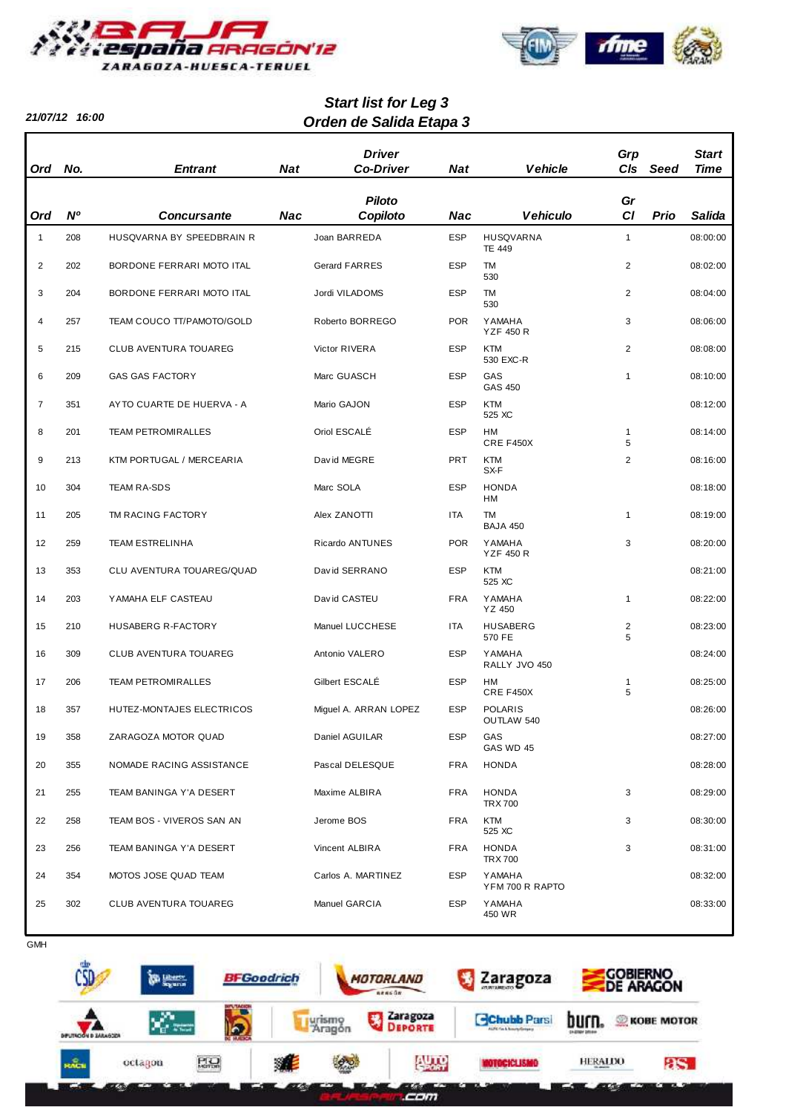

**21/07/12 16:00**



# **Orden de Salida Etapa 3 Start list for Leg 3**

| Ord            | No.       | <b>Entrant</b>            | <b>Nat</b> | <b>Driver</b><br><b>Co-Driver</b> | <b>Nat</b> | <b>Vehicle</b>                    | Grp<br>C/s          | Seed | <b>Start</b><br><b>Time</b> |
|----------------|-----------|---------------------------|------------|-----------------------------------|------------|-----------------------------------|---------------------|------|-----------------------------|
| Ord            | <b>N°</b> | <b>Concursante</b>        | Nac        | <b>Piloto</b><br>Copiloto         | Nac        | <b>Vehiculo</b>                   | Gr<br>CI            | Prio | Salida                      |
|                |           |                           |            |                                   |            |                                   |                     |      |                             |
| $\mathbf{1}$   | 208       | HUSQVARNA BY SPEEDBRAIN R |            | Joan BARREDA                      | <b>ESP</b> | <b>HUSQVARNA</b><br><b>TE 449</b> | $\mathbf{1}$        |      | 08:00:00                    |
| $\overline{2}$ | 202       | BORDONE FERRARI MOTO ITAL |            | <b>Gerard FARRES</b>              | <b>ESP</b> | <b>TM</b><br>530                  | 2                   |      | 08:02:00                    |
| 3              | 204       | BORDONE FERRARI MOTO ITAL |            | Jordi VILADOMS                    | <b>ESP</b> | <b>TM</b><br>530                  | 2                   |      | 08:04:00                    |
| 4              | 257       | TEAM COUCO TT/PAMOTO/GOLD |            | Roberto BORREGO                   | <b>POR</b> | <b>YAMAHA</b><br><b>YZF 450 R</b> | 3                   |      | 08:06:00                    |
| 5              | 215       | CLUB AVENTURA TOUAREG     |            | Victor RIVERA                     | <b>ESP</b> | <b>KTM</b><br>530 EXC-R           | 2                   |      | 08:08:00                    |
| 6              | 209       | <b>GAS GAS FACTORY</b>    |            | Marc GUASCH                       | <b>ESP</b> | GAS<br>GAS 450                    | $\mathbf{1}$        |      | 08:10:00                    |
| $\overline{7}$ | 351       | AYTO CUARTE DE HUERVA - A |            | Mario GAJON                       | <b>ESP</b> | <b>KTM</b><br>525 XC              |                     |      | 08:12:00                    |
| 8              | 201       | <b>TEAM PETROMIRALLES</b> |            | Oriol ESCALÉ                      | <b>ESP</b> | HM<br>CRE F450X                   | $\mathbf{1}$<br>5   |      | 08:14:00                    |
| 9              | 213       | KTM PORTUGAL / MERCEARIA  |            | David MEGRE                       | <b>PRT</b> | <b>KTM</b><br>SX-F                | 2                   |      | 08:16:00                    |
| 10             | 304       | <b>TEAM RA-SDS</b>        |            | Marc SOLA                         | <b>ESP</b> | <b>HONDA</b><br>HM                |                     |      | 08:18:00                    |
| 11             | 205       | TM RACING FACTORY         |            | Alex ZANOTTI                      | <b>ITA</b> | <b>TM</b><br><b>BAJA 450</b>      | $\mathbf{1}$        |      | 08:19:00                    |
| 12             | 259       | <b>TEAM ESTRELINHA</b>    |            | Ricardo ANTUNES                   | <b>POR</b> | <b>YAMAHA</b><br><b>YZF 450 R</b> | 3                   |      | 08:20:00                    |
| 13             | 353       | CLU AVENTURA TOUAREG/QUAD |            | David SERRANO                     | <b>ESP</b> | <b>KTM</b><br>525 XC              |                     |      | 08:21:00                    |
| 14             | 203       | YAMAHA ELF CASTEAU        |            | David CASTEU                      | <b>FRA</b> | <b>YAMAHA</b><br>YZ 450           | $\mathbf{1}$        |      | 08:22:00                    |
| 15             | 210       | HUSABERG R-FACTORY        |            | Manuel LUCCHESE                   | <b>ITA</b> | <b>HUSABERG</b><br>570 FE         | $\overline{c}$<br>5 |      | 08:23:00                    |
| 16             | 309       | CLUB AVENTURA TOUAREG     |            | Antonio VALERO                    | <b>ESP</b> | <b>YAMAHA</b><br>RALLY JVO 450    |                     |      | 08:24:00                    |
| 17             | 206       | <b>TEAM PETROMIRALLES</b> |            | Gilbert ESCALÉ                    | <b>ESP</b> | HМ<br>CRE F450X                   | $\mathbf{1}$<br>5   |      | 08:25:00                    |
| 18             | 357       | HUTEZ-MONTAJES ELECTRICOS |            | Miquel A. ARRAN LOPEZ             | <b>ESP</b> | <b>POLARIS</b><br>OUTLAW 540      |                     |      | 08:26:00                    |
| 19             | 358       | ZARAGOZA MOTOR QUAD       |            | Daniel AGUILAR                    | <b>ESP</b> | GAS<br>GAS WD 45                  |                     |      | 08:27:00                    |
| 20             | 355       | NOMADE RACING ASSISTANCE  |            | Pascal DELESQUE                   | <b>FRA</b> | <b>HONDA</b>                      |                     |      | 08:28:00                    |
| 21             | 255       | TEAM BANINGA Y'A DESERT   |            | Maxime ALBIRA                     | <b>FRA</b> | <b>HONDA</b><br><b>TRX 700</b>    | 3                   |      | 08:29:00                    |
| 22             | 258       | TEAM BOS - VIVEROS SAN AN |            | Jerome BOS                        | <b>FRA</b> | <b>KTM</b><br>525 XC              | 3                   |      | 08:30:00                    |
| 23             | 256       | TEAM BANINGA Y'A DESERT   |            | Vincent ALBIRA                    | <b>FRA</b> | HONDA<br><b>TRX 700</b>           | 3                   |      | 08:31:00                    |
| 24             | 354       | MOTOS JOSE QUAD TEAM      |            | Carlos A. MARTINEZ                | <b>ESP</b> | <b>YAMAHA</b><br>YFM 700 R RAPTO  |                     |      | 08:32:00                    |
| 25             | 302       | CLUB AVENTURA TOUAREG     |            | Manuel GARCIA                     | <b>ESP</b> | <b>YAMAHA</b><br>450 WR           |                     |      | 08:33:00                    |



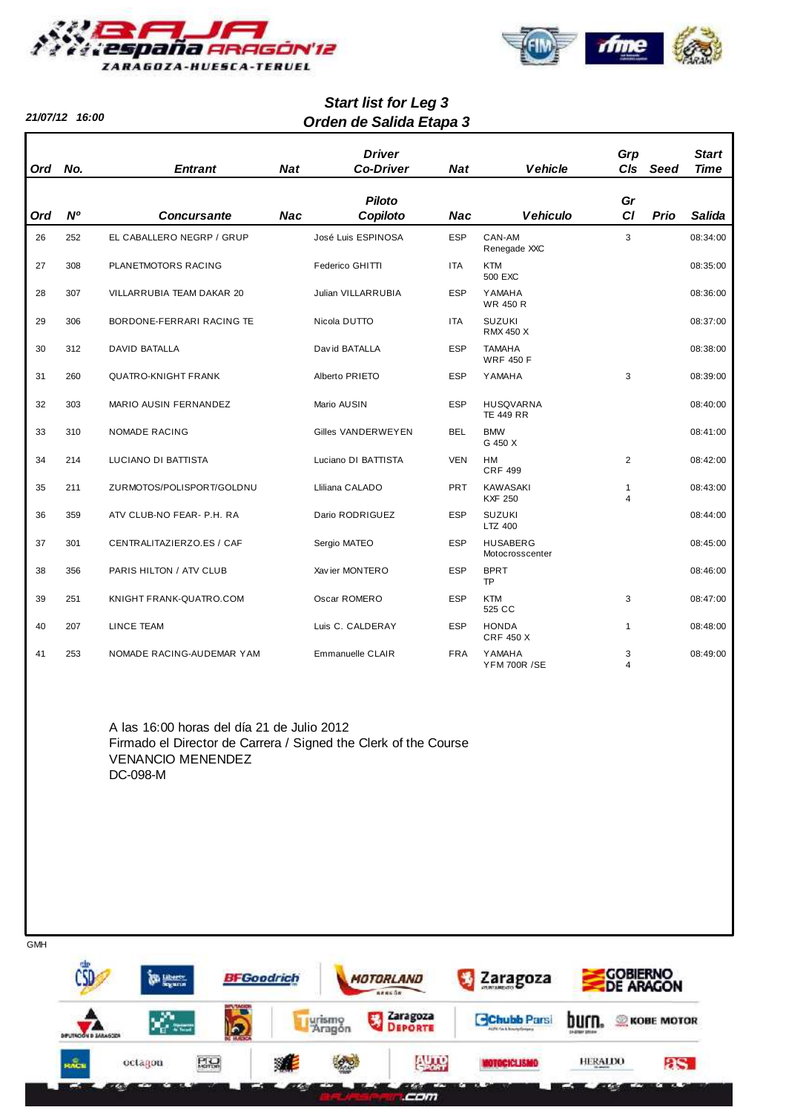

**21/07/12 16:00**



# **Orden de Salida Etapa 3 Start list for Leg 3**

| <b>Ord</b> | No.            | <b>Entrant</b>             | <b>Nat</b> | <b>Driver</b><br><b>Co-Driver</b> | <b>Nat</b> | <b>Vehicle</b>                       | Grp<br>C <sub>ls</sub>         | Seed | <b>Start</b><br><b>Time</b> |
|------------|----------------|----------------------------|------------|-----------------------------------|------------|--------------------------------------|--------------------------------|------|-----------------------------|
| <b>Ord</b> | N <sup>o</sup> | <b>Concursante</b>         | <b>Nac</b> | <b>Piloto</b><br>Copiloto         | <b>Nac</b> | <b>Vehiculo</b>                      | Gr<br>CI                       | Prio | <b>Salida</b>               |
| 26         | 252            | EL CABALLERO NEGRP / GRUP  |            | José Luis ESPINOSA                | <b>ESP</b> | CAN-AM<br>Renegade XXC               | 3                              |      | 08:34:00                    |
| 27         | 308            | PLANETMOTORS RACING        |            | Federico GHITTI                   | <b>ITA</b> | <b>KTM</b><br>500 EXC                |                                |      | 08:35:00                    |
| 28         | 307            | VILLARRUBIA TEAM DAKAR 20  |            | Julian VILLARRUBIA                | <b>ESP</b> | <b>YAMAHA</b><br><b>WR 450 R</b>     |                                |      | 08:36:00                    |
| 29         | 306            | BORDONE-FERRARI RACING TE  |            | Nicola DUTTO                      | <b>ITA</b> | <b>SUZUKI</b><br><b>RMX 450 X</b>    |                                |      | 08:37:00                    |
| 30         | 312            | <b>DAVID BATALLA</b>       |            | David BATALLA                     | <b>ESP</b> | <b>TAMAHA</b><br><b>WRF 450 F</b>    |                                |      | 08:38:00                    |
| 31         | 260            | <b>QUATRO-KNIGHT FRANK</b> |            | Alberto PRIETO                    | <b>ESP</b> | <b>YAMAHA</b>                        | 3                              |      | 08:39:00                    |
| 32         | 303            | MARIO AUSIN FERNANDEZ      |            | Mario AUSIN                       | <b>ESP</b> | HUSQVARNA<br><b>TE 449 RR</b>        |                                |      | 08:40:00                    |
| 33         | 310            | <b>NOMADE RACING</b>       |            | Gilles VANDERWEYEN                | <b>BEL</b> | <b>BMW</b><br>G 450 X                |                                |      | 08:41:00                    |
| 34         | 214            | LUCIANO DI BATTISTA        |            | Luciano DI BATTISTA               | <b>VEN</b> | <b>HM</b><br><b>CRF 499</b>          | 2                              |      | 08:42:00                    |
| 35         | 211            | ZURMOTOS/POLISPORT/GOLDNU  |            | Lliliana CALADO                   | <b>PRT</b> | <b>KAWASAKI</b><br><b>KXF 250</b>    | $\mathbf{1}$<br>$\overline{4}$ |      | 08:43:00                    |
| 36         | 359            | ATV CLUB-NO FEAR- P.H. RA  |            | Dario RODRIGUEZ                   | <b>ESP</b> | <b>SUZUKI</b><br>LTZ 400             |                                |      | 08:44:00                    |
| 37         | 301            | CENTRALITAZIERZO.ES / CAF  |            | Sergio MATEO                      | <b>ESP</b> | <b>HUSABERG</b><br>Motocrosscenter   |                                |      | 08:45:00                    |
| 38         | 356            | PARIS HILTON / ATV CLUB    |            | Xav ier MONTERO                   | <b>ESP</b> | <b>BPRT</b><br><b>TP</b>             |                                |      | 08:46:00                    |
| 39         | 251            | KNIGHT FRANK-QUATRO.COM    |            | Oscar ROMERO                      | <b>ESP</b> | <b>KTM</b><br>525 CC                 | 3                              |      | 08:47:00                    |
| 40         | 207            | <b>LINCE TEAM</b>          |            | Luis C. CALDERAY                  | <b>ESP</b> | <b>HONDA</b><br><b>CRF 450 X</b>     | $\mathbf{1}$                   |      | 08:48:00                    |
| 41         | 253            | NOMADE RACING-AUDEMAR YAM  |            | Emmanuelle CLAIR                  | <b>FRA</b> | <b>YAMAHA</b><br><b>YFM 700R /SE</b> | 3<br>$\overline{\mathbf{A}}$   |      | 08:49:00                    |

A las 16:00 horas del día 21 de Julio 2012 Firmado el Director de Carrera / Signed the Clerk of the Course VENANCIO MENENDEZ DC-098-M

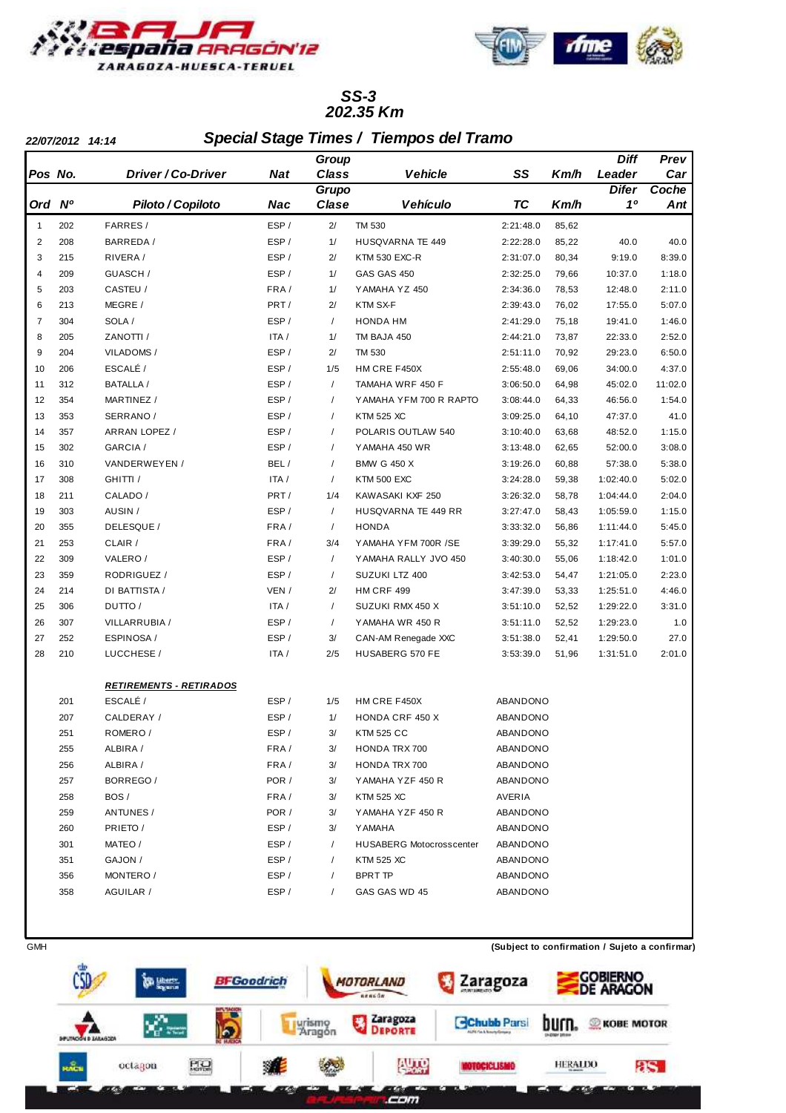



#### **202.35 Km SS-3**

**22/07/2012 14:14 Special Stage Times / Tiempos del Tramo**

|                |                |                                             |            | Group        |                                 |           |       | <b>Diff</b>  | Prev    |
|----------------|----------------|---------------------------------------------|------------|--------------|---------------------------------|-----------|-------|--------------|---------|
| Pos No.        |                | <b>Driver / Co-Driver</b>                   | <b>Nat</b> | <b>Class</b> | <b>Vehicle</b>                  | SS        | Km/h  | Leader       | Car     |
|                |                |                                             |            | Grupo        |                                 |           |       | <b>Difer</b> | Coche   |
| Ord            | N <sup>o</sup> | Piloto / Copiloto                           | Nac        | Clase        | <b>Vehículo</b>                 | <b>TC</b> | Km/h  | 10           | Ant     |
| $\mathbf{1}$   | 202            | FARRES /                                    | ESP/       | 2/           | TM 530                          | 2:21:48.0 | 85,62 |              |         |
| $\overline{c}$ | 208            | BARREDA /                                   | ESP/       | 1/           | HUSQVARNA TE 449                | 2:22:28.0 | 85,22 | 40.0         | 40.0    |
| 3              | 215            | RIVERA/                                     | ESP/       | 2/           | <b>KTM 530 EXC-R</b>            | 2:31:07.0 | 80,34 | 9:19.0       | 8:39.0  |
| 4              | 209            | GUASCH /                                    | ESP/       | 1/           | <b>GAS GAS 450</b>              | 2:32:25.0 | 79,66 | 10:37.0      | 1:18.0  |
| 5              | 203            | CASTEU /                                    | FRA/       | 1/           | YAMAHA YZ 450                   | 2:34:36.0 | 78,53 | 12:48.0      | 2:11.0  |
| 6              | 213            | MEGRE /                                     | PRT/       | 2/           | KTM SX-F                        | 2:39:43.0 | 76,02 | 17:55.0      | 5:07.0  |
| 7              | 304            | SOLA /                                      | ESP/       | $\prime$     | HONDA HM                        | 2:41:29.0 | 75,18 | 19:41.0      | 1:46.0  |
| 8              | 205            | ZANOTTI /                                   | ITA /      | 1/           | TM BAJA 450                     | 2:44:21.0 | 73,87 | 22:33.0      | 2:52.0  |
| 9              | 204            | VILADOMS /                                  | ESP/       | 2/           | TM 530                          | 2:51:11.0 | 70,92 | 29:23.0      | 6:50.0  |
| 10             | 206            | ESCALÉ /                                    | ESP/       | 1/5          | HM CRE F450X                    | 2:55:48.0 | 69,06 | 34:00.0      | 4:37.0  |
| 11             | 312            | BATALLA /                                   | ESP/       | $\prime$     | TAMAHA WRF 450 F                | 3:06:50.0 | 64,98 | 45:02.0      | 11:02.0 |
| 12             | 354            | MARTINEZ /                                  | ESP/       | $\sqrt{2}$   | YAMAHA YFM 700 R RAPTO          | 3:08:44.0 | 64,33 | 46:56.0      | 1:54.0  |
| 13             | 353            | SERRANO /                                   | ESP/       | $\sqrt{2}$   | <b>KTM 525 XC</b>               | 3:09:25.0 | 64,10 | 47:37.0      | 41.0    |
| 14             | 357            | ARRAN LOPEZ /                               | ESP/       | $\prime$     | POLARIS OUTLAW 540              | 3:10:40.0 | 63,68 | 48:52.0      | 1:15.0  |
| 15             | 302            | GARCIA /                                    | ESP/       | $\prime$     | YAMAHA 450 WR                   | 3:13:48.0 | 62,65 | 52:00.0      | 3:08.0  |
| 16             | 310            | VANDERWEYEN /                               | BEL/       | $\prime$     | <b>BMW G 450 X</b>              | 3:19:26.0 | 60,88 | 57:38.0      | 5:38.0  |
| 17             | 308            | GHITTI /                                    | ITA /      | $\prime$     | <b>KTM 500 EXC</b>              | 3:24:28.0 | 59,38 | 1:02:40.0    | 5:02.0  |
| 18             | 211            | CALADO /                                    | PRT/       | 1/4          | KAWASAKI KXF 250                | 3:26:32.0 | 58,78 | 1:04:44.0    | 2:04.0  |
| 19             | 303            | AUSIN /                                     | ESP/       | $\prime$     | HUSQVARNA TE 449 RR             | 3:27:47.0 | 58,43 | 1:05:59.0    | 1:15.0  |
| 20             | 355            | DELESQUE /                                  | FRA/       | $\prime$     | <b>HONDA</b>                    | 3:33:32.0 | 56,86 | 1:11:44.0    | 5:45.0  |
| 21             | 253            | CLAIR /                                     | FRA/       | 3/4          | YAMAHA YFM 700R /SE             | 3:39:29.0 | 55,32 | 1:17:41.0    | 5:57.0  |
| 22             | 309            | VALERO /                                    | ESP/       | $\prime$     | YAMAHA RALLY JVO 450            | 3:40:30.0 | 55,06 | 1:18:42.0    | 1:01.0  |
| 23             | 359            | RODRIGUEZ /                                 | ESP/       | $\prime$     | SUZUKI LTZ 400                  | 3:42:53.0 | 54,47 | 1:21:05.0    | 2:23.0  |
| 24             | 214            | DI BATTISTA /                               | VEN /      | 2/           | <b>HM CRF 499</b>               | 3:47:39.0 | 53,33 | 1:25:51.0    | 4:46.0  |
| 25             | 306            | DUTTO/                                      | ITA /      | $\prime$     | SUZUKI RMX 450 X                | 3:51:10.0 | 52,52 | 1:29:22.0    | 3:31.0  |
| 26             | 307            | VILLARRUBIA /                               | ESP/       | $\prime$     | YAMAHA WR 450 R                 | 3:51:11.0 | 52,52 | 1:29:23.0    | 1.0     |
| 27             | 252            | ESPINOSA /                                  | ESP/       | 3/           | CAN-AM Renegade XXC             | 3:51:38.0 | 52,41 | 1:29:50.0    | 27.0    |
| 28             | 210            | LUCCHESE /                                  | ITA /      | 2/5          | <b>HUSABERG 570 FE</b>          | 3:53:39.0 | 51,96 | 1:31:51.0    | 2:01.0  |
|                |                |                                             |            |              |                                 |           |       |              |         |
|                | 201            | <u> RETIREMENTS - RETIRADOS</u><br>ESCALÉ / | ESP/       | 1/5          | HM CRE F450X                    | ABANDONO  |       |              |         |
|                | 207            | CALDERAY /                                  | ESP/       | 1/           | <b>HONDA CRF 450 X</b>          | ABANDONO  |       |              |         |
|                | 251            | ROMERO/                                     | ESP/       | 3/           | <b>KTM 525 CC</b>               | ABANDONO  |       |              |         |
|                | 255            | ALBIRA /                                    | FRA/       | 3/           | HONDA TRX 700                   | ABANDONO  |       |              |         |
|                | 256            | ALBIRA /                                    | FRA/       | 3/           | HONDA TRX 700                   | ABANDONO  |       |              |         |
|                | 257            | BORREGO /                                   | POR /      | 3/           | YAMAHA YZF 450 R                | ABANDONO  |       |              |         |
|                | 258            | BOS /                                       | FRA/       | 3/           | <b>KTM 525 XC</b>               | AVERIA    |       |              |         |
|                | 259            | ANTUNES /                                   | POR /      | 3/           | YAMAHA YZF 450 R                | ABANDONO  |       |              |         |
|                | 260            | PRIETO /                                    | ESP/       | 3/           | YAMAHA                          | ABANDONO  |       |              |         |
|                | 301            | MATEO /                                     | ESP/       | $\sqrt{2}$   | <b>HUSABERG Motocrosscenter</b> | ABANDONO  |       |              |         |
|                | 351            | GAJON /                                     | ESP/       | $\sqrt{2}$   | <b>KTM 525 XC</b>               | ABANDONO  |       |              |         |
|                | 356            | MONTERO /                                   | ESP/       | $\sqrt{2}$   | BPRT TP                         | ABANDONO  |       |              |         |
|                | 358            | AGUILAR /                                   | ESP/       | $\sqrt{2}$   | GAS GAS WD 45                   | ABANDONO  |       |              |         |
|                |                |                                             |            |              |                                 |           |       |              |         |

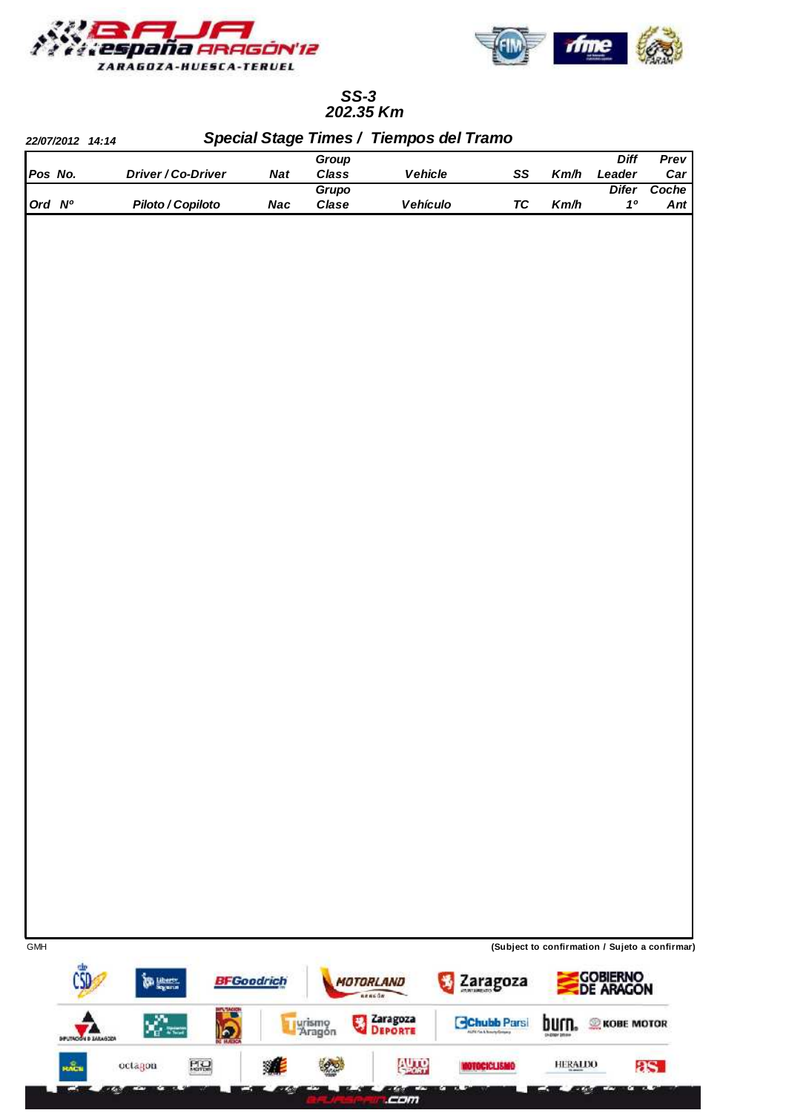



## **202.35 Km SS-3**

| Vehicle<br>Pos No.<br>Driver / Co-Driver<br>Class<br>Leader<br><b>Nat</b><br>SS<br>Km/h<br>Grupo<br><b>Difer</b><br>Ord Nº<br>Piloto / Copiloto<br>Clase<br>Vehículo<br>$\boldsymbol{\mathit{1}}^\mathit{o}$<br><b>Nac</b><br><b>TC</b><br>Km/h |            | 22/07/2012 14:14 |  |   | Group | Special Stage Times / Tiempos del Tramo |                          | <b>Diff</b> | Prev  |
|-------------------------------------------------------------------------------------------------------------------------------------------------------------------------------------------------------------------------------------------------|------------|------------------|--|---|-------|-----------------------------------------|--------------------------|-------------|-------|
|                                                                                                                                                                                                                                                 |            |                  |  |   |       |                                         |                          |             | Car   |
|                                                                                                                                                                                                                                                 |            |                  |  |   |       |                                         |                          |             | Coche |
|                                                                                                                                                                                                                                                 |            |                  |  |   |       |                                         |                          |             | Ant   |
|                                                                                                                                                                                                                                                 |            |                  |  |   |       |                                         |                          |             |       |
|                                                                                                                                                                                                                                                 |            |                  |  |   |       |                                         |                          |             |       |
|                                                                                                                                                                                                                                                 | <b>GMH</b> |                  |  |   |       |                                         |                          |             |       |
| (Subject to confirmation / Sujeto a confirmar)<br><b>BFGoodrich</b><br>MOTORLAND                                                                                                                                                                |            |                  |  | н |       | nencon                                  | AUTO Fach Nourty Grossey |             |       |
| Gobierno<br>De Aragon<br>Zaragoza<br><b>Contractor</b><br>Zaragoza<br>Deporte<br>vÇ≈.<br>€<br>urismo<br>Aragón<br><b>Chubb Parsi</b><br>pntu <sup>-</sup><br><b>KOBE MOTOR</b><br>$\overline{\mathbf{b}}$<br><b>DIFLITACIÓN D ZARAGOZA</b>      |            |                  |  |   |       |                                         |                          |             |       |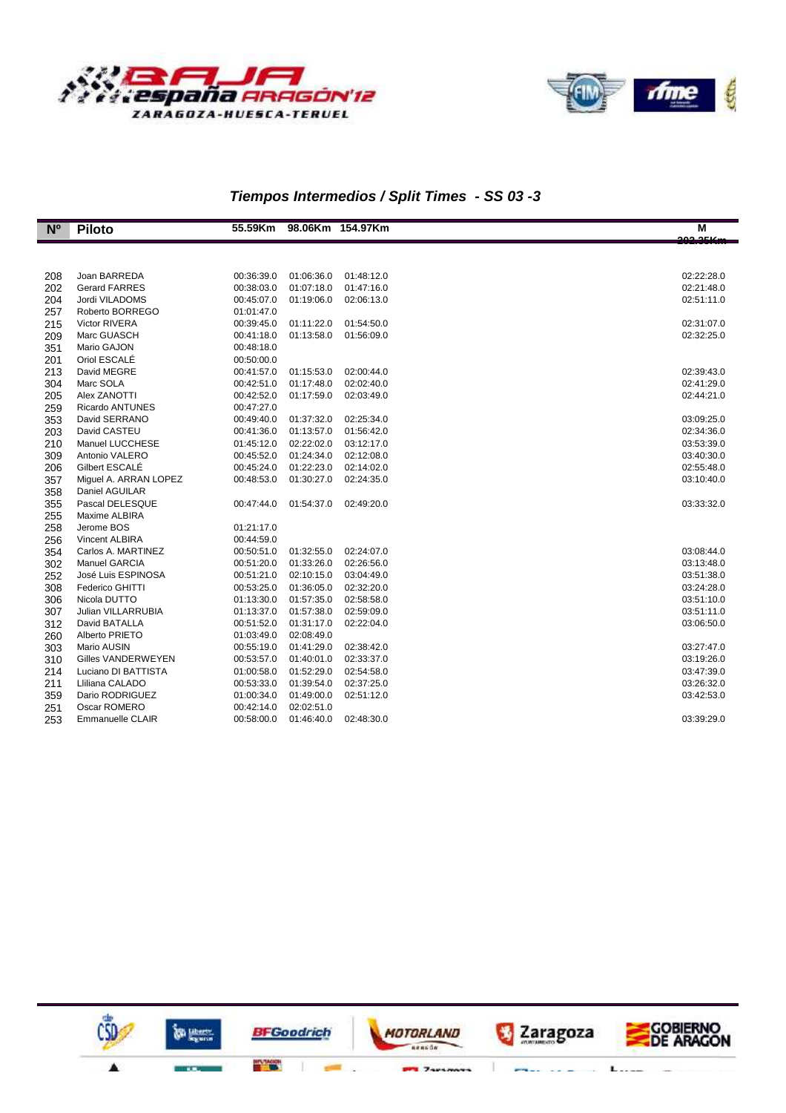



**GOBIERNO**<br>DE ARAGON

 $L =$ 

J.

Zaragoza

T

# **Tiempos Intermedios / Split Times - SS 03 -3**

| $N^{\circ}$ | <b>Piloto</b>           | 55.59Km    | 98.06Km 154.97Km |            | M          |
|-------------|-------------------------|------------|------------------|------------|------------|
|             |                         |            |                  |            | مسعمهم     |
|             |                         |            |                  |            |            |
| 208         | Joan BARREDA            | 00:36:39.0 | 01:06:36.0       | 01:48:12.0 | 02:22:28.0 |
| 202         | <b>Gerard FARRES</b>    | 00:38:03.0 | 01:07:18.0       | 01:47:16.0 | 02:21:48.0 |
| 204         | Jordi VILADOMS          | 00:45:07.0 | 01:19:06.0       | 02:06:13.0 | 02:51:11.0 |
| 257         | Roberto BORREGO         | 01:01:47.0 |                  |            |            |
| 215         | <b>Victor RIVERA</b>    | 00:39:45.0 | 01:11:22.0       | 01:54:50.0 | 02:31:07.0 |
| 209         | Marc GUASCH             | 00:41:18.0 | 01:13:58.0       | 01:56:09.0 | 02:32:25.0 |
| 351         | Mario GAJON             | 00:48:18.0 |                  |            |            |
| 201         | Oriol ESCALÉ            | 00:50:00.0 |                  |            |            |
| 213         | David MEGRE             | 00:41:57.0 | 01:15:53.0       | 02:00:44.0 | 02:39:43.0 |
| 304         | Marc SOLA               | 00:42:51.0 | 01:17:48.0       | 02:02:40.0 | 02:41:29.0 |
| 205         | Alex ZANOTTI            | 00:42:52.0 | 01:17:59.0       | 02:03:49.0 | 02:44:21.0 |
| 259         | Ricardo ANTUNES         | 00:47:27.0 |                  |            |            |
| 353         | David SERRANO           | 00:49:40.0 | 01:37:32.0       | 02:25:34.0 | 03:09:25.0 |
| 203         | David CASTEU            | 00:41:36.0 | 01:13:57.0       | 01:56:42.0 | 02:34:36.0 |
| 210         | Manuel LUCCHESE         | 01:45:12.0 | 02:22:02.0       | 03:12:17.0 | 03:53:39.0 |
| 309         | Antonio VALERO          | 00:45:52.0 | 01:24:34.0       | 02:12:08.0 | 03:40:30.0 |
| 206         | Gilbert ESCALE          | 00:45:24.0 | 01:22:23.0       | 02:14:02.0 | 02:55:48.0 |
| 357         | Miguel A. ARRAN LOPEZ   | 00:48:53.0 | 01:30:27.0       | 02:24:35.0 | 03:10:40.0 |
| 358         | Daniel AGUILAR          |            |                  |            |            |
| 355         | Pascal DELESQUE         | 00:47:44.0 | 01:54:37.0       | 02:49:20.0 | 03:33:32.0 |
| 255         | Maxime ALBIRA           |            |                  |            |            |
| 258         | Jerome BOS              | 01:21:17.0 |                  |            |            |
| 256         | <b>Vincent ALBIRA</b>   | 00:44:59.0 |                  |            |            |
| 354         | Carlos A. MARTINEZ      | 00:50:51.0 | 01:32:55.0       | 02:24:07.0 | 03:08:44.0 |
| 302         | Manuel GARCIA           | 00:51:20.0 | 01:33:26.0       | 02:26:56.0 | 03:13:48.0 |
| 252         | José Luis ESPINOSA      | 00:51:21.0 | 02:10:15.0       | 03:04:49.0 | 03:51:38.0 |
| 308         | Federico GHITTI         | 00:53:25.0 | 01:36:05.0       | 02:32:20.0 | 03:24:28.0 |
| 306         | Nicola DUTTO            | 01:13:30.0 | 01:57:35.0       | 02:58:58.0 | 03:51:10.0 |
| 307         | Julian VILLARRUBIA      | 01:13:37.0 | 01:57:38.0       | 02:59:09.0 | 03:51:11.0 |
| 312         | David BATALLA           | 00:51:52.0 | 01:31:17.0       | 02:22:04.0 | 03:06:50.0 |
| 260         | Alberto PRIETO          | 01:03:49.0 | 02:08:49.0       |            |            |
| 303         | Mario AUSIN             | 00:55:19.0 | 01:41:29.0       | 02:38:42.0 | 03:27:47.0 |
| 310         | Gilles VANDERWEYEN      | 00:53:57.0 | 01:40:01.0       | 02:33:37.0 | 03:19:26.0 |
| 214         | Luciano DI BATTISTA     | 01:00:58.0 | 01:52:29.0       | 02:54:58.0 | 03:47:39.0 |
| 211         | Lliliana CALADO         | 00:53:33.0 | 01:39:54.0       | 02:37:25.0 | 03:26:32.0 |
| 359         | Dario RODRIGUEZ         | 01:00:34.0 | 01:49:00.0       | 02:51:12.0 | 03:42:53.0 |
| 251         | Oscar ROMERO            | 00:42:14.0 | 02:02:51.0       |            |            |
| 253         | <b>Emmanuelle CLAIR</b> | 00:58:00.0 | 01:46:40.0       | 02:48:30.0 | 03:39:29.0 |



îs i

MOTORLAND

 $\overline{1}$  $r_1$ 

**BFGoodrich** 

**BITLE TACION**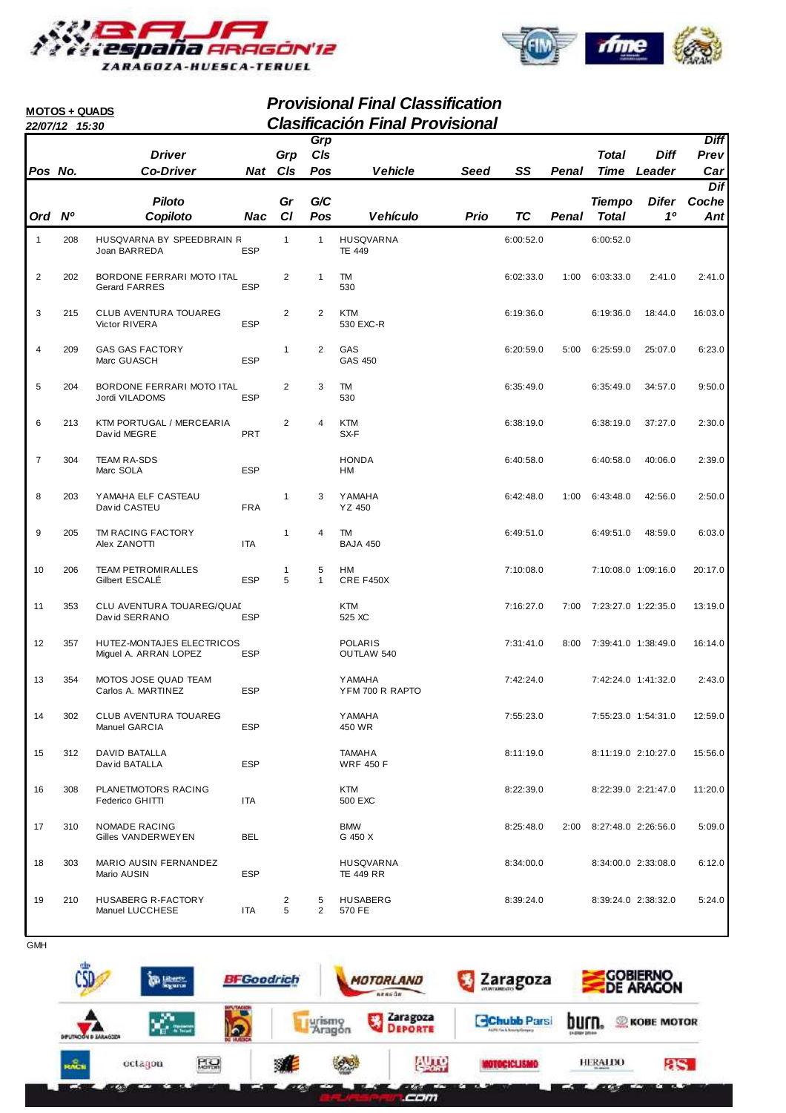



|                | <b>MOTOS + QUADS</b> |                                                    |            |                |                     | <b>Provisional Final Classification</b><br><b>Clasificación Final Provisional</b> |      |           |       |                          |                     |             |
|----------------|----------------------|----------------------------------------------------|------------|----------------|---------------------|-----------------------------------------------------------------------------------|------|-----------|-------|--------------------------|---------------------|-------------|
|                | 22/07/12 15:30       |                                                    |            |                | Grp                 |                                                                                   |      |           |       |                          |                     | <b>Diff</b> |
|                |                      | <b>Driver</b>                                      |            | Grp            | CIs                 |                                                                                   |      |           |       | <b>Total</b>             | <b>Diff</b>         | Prev        |
| Pos No.        |                      | <b>Co-Driver</b>                                   |            | Nat Cls        | Pos                 | <b>Vehicle</b>                                                                    | Seed | SS        | Penal | <b>Time</b>              | Leader              | Car         |
|                |                      |                                                    |            |                |                     |                                                                                   |      |           |       |                          |                     | Dif         |
|                |                      | <b>Piloto</b>                                      |            | Gr             | G/C                 |                                                                                   |      |           |       | <b>Tiempo</b>            | <b>Difer</b>        | Coche       |
| Ord Nº         |                      | Copiloto                                           | Nac        | C1             | Pos                 | Vehículo                                                                          | Prio | <b>TC</b> | Penal | <b>Total</b>             | 10                  | Ant         |
| 1              | 208                  | HUSQVARNA BY SPEEDBRAIN R<br>Joan BARREDA          | <b>ESP</b> | $\mathbf{1}$   | $\mathbf{1}$        | <b>HUSQVARNA</b><br><b>TE 449</b>                                                 |      | 6:00:52.0 |       | 6:00:52.0                |                     |             |
| $\overline{c}$ | 202                  | BORDONE FERRARI MOTO ITAL<br>Gerard FARRES         | <b>ESP</b> | 2              | $\mathbf{1}$        | TM<br>530                                                                         |      | 6:02:33.0 | 1:00  | 6:03:33.0                | 2:41.0              | 2:41.0      |
| 3              | 215                  | CLUB AVENTURA TOUAREG<br>Victor RIVERA             | <b>ESP</b> | 2              | 2                   | <b>KTM</b><br>530 EXC-R                                                           |      | 6:19:36.0 |       | 6:19:36.0                | 18:44.0             | 16:03.0     |
| 4              | 209                  | <b>GAS GAS FACTORY</b><br>Marc GUASCH              | <b>ESP</b> | 1              | 2                   | GAS<br>GAS 450                                                                    |      | 6:20:59.0 | 5:00  | 6:25:59.0                | 25:07.0             | 6:23.0      |
| 5              | 204                  | BORDONE FERRARI MOTO ITAL<br>Jordi VILADOMS        | <b>ESP</b> | 2              | 3                   | TM<br>530                                                                         |      | 6:35:49.0 |       | 6:35:49.0                | 34:57.0             | 9:50.0      |
| 6              | 213                  | KTM PORTUGAL / MERCEARIA<br>David MEGRE            | <b>PRT</b> | $\overline{2}$ | 4                   | <b>KTM</b><br>SX-F                                                                |      | 6:38:19.0 |       | 6:38:19.0                | 37:27.0             | 2:30.0      |
| $\overline{7}$ | 304                  | <b>TEAM RA-SDS</b><br>Marc SOLA                    | <b>ESP</b> |                |                     | <b>HONDA</b><br>НM                                                                |      | 6:40:58.0 |       | 6:40:58.0                | 40:06.0             | 2:39.0      |
| 8              | 203                  | YAMAHA ELF CASTEAU<br>David CASTEU                 | <b>FRA</b> | 1              | 3                   | YAMAHA<br>YZ 450                                                                  |      | 6:42:48.0 | 1:00  | 6:43:48.0                | 42:56.0             | 2:50.0      |
| 9              | 205                  | TM RACING FACTORY<br>Alex ZANOTTI                  | <b>ITA</b> | 1              | 4                   | TM<br><b>BAJA 450</b>                                                             |      | 6:49:51.0 |       | 6:49:51.0                | 48:59.0             | 6:03.0      |
| 10             | 206                  | <b>TEAM PETROMIRALLES</b><br>Gilbert ESCALE        | <b>ESP</b> | 1<br>5         | 5<br>1              | HМ<br>CRE F450X                                                                   |      | 7:10:08.0 |       | 7:10:08.0 1:09:16.0      |                     | 20:17.0     |
| 11             | 353                  | CLU AVENTURA TOUAREG/QUAL<br>David SERRANO         | <b>ESP</b> |                |                     | KTM<br>525 XC                                                                     |      | 7:16:27.0 | 7:00  | 7:23:27.0 1:22:35.0      |                     | 13:19.0     |
| 12             | 357                  | HUTEZ-MONTAJES ELECTRICOS<br>Miguel A. ARRAN LOPEZ | <b>ESP</b> |                |                     | <b>POLARIS</b><br>OUTLAW 540                                                      |      | 7:31:41.0 |       | 8:00 7:39:41.0 1:38:49.0 |                     | 16:14.0     |
| 13             | 354                  | MOTOS JOSE QUAD TEAM<br>Carlos A. MARTINEZ         | ESP        |                |                     | <b>YAMAHA</b><br>YFM 700 R RAPTO                                                  |      | 7:42:24.0 |       | 7:42:24.0 1:41:32.0      |                     | 2:43.0      |
| 14             | 302                  | <b>CLUB AVENTURA TOUAREG</b><br>Manuel GARCIA      | <b>ESP</b> |                |                     | <b>YAMAHA</b><br>450 WR                                                           |      | 7:55:23.0 |       | 7:55:23.0 1:54:31.0      |                     | 12:59.0     |
| 15             | 312                  | <b>DAVID BATALLA</b><br>David BATALLA              | <b>ESP</b> |                |                     | <b>TAMAHA</b><br><b>WRF 450 F</b>                                                 |      | 8:11:19.0 |       |                          | 8:11:19.0 2:10:27.0 | 15:56.0     |
| 16             | 308                  | PLANETMOTORS RACING<br>Federico GHITTI             | ITA        |                |                     | KTM<br>500 EXC                                                                    |      | 8:22:39.0 |       |                          | 8:22:39.0 2:21:47.0 | 11:20.0     |
| 17             | 310                  | NOMADE RACING<br>Gilles VANDERWEYEN                | <b>BEL</b> |                |                     | <b>BMW</b><br>G 450 X                                                             |      | 8:25:48.0 | 2:00  | 8:27:48.0 2:26:56.0      |                     | 5:09.0      |
| 18             | 303                  | MARIO AUSIN FERNANDEZ<br>Mario AUSIN               | <b>ESP</b> |                |                     | HUSQVARNA<br><b>TE 449 RR</b>                                                     |      | 8:34:00.0 |       |                          | 8:34:00.0 2:33:08.0 | 6:12.0      |
| 19             | 210                  | HUSABERG R-FACTORY<br>Manuel LUCCHESE              | ITA        | 2<br>5         | 5<br>$\overline{2}$ | <b>HUSABERG</b><br>570 FE                                                         |      | 8:39:24.0 |       |                          | 8:39:24.0 2:38:32.0 | 5:24.0      |

|                         |                                                  |                                      | <b>DE ARACON</b>  |
|-------------------------|--------------------------------------------------|--------------------------------------|-------------------|
| Zaragoza                | <b>Chubb Parsi</b><br>AUTO Fin & Rosetz/Grossing | burn.<br><b>EN DOEN DRIVEN</b>       | <b>KOBE MOTOR</b> |
| $\theta$<br><b>AUTO</b> | <b>NOTOCICLISMO</b>                              | <b>HERALINO</b><br><b>CA showing</b> | 8S.               |
|                         | urismo<br>Aragón                                 |                                      |                   |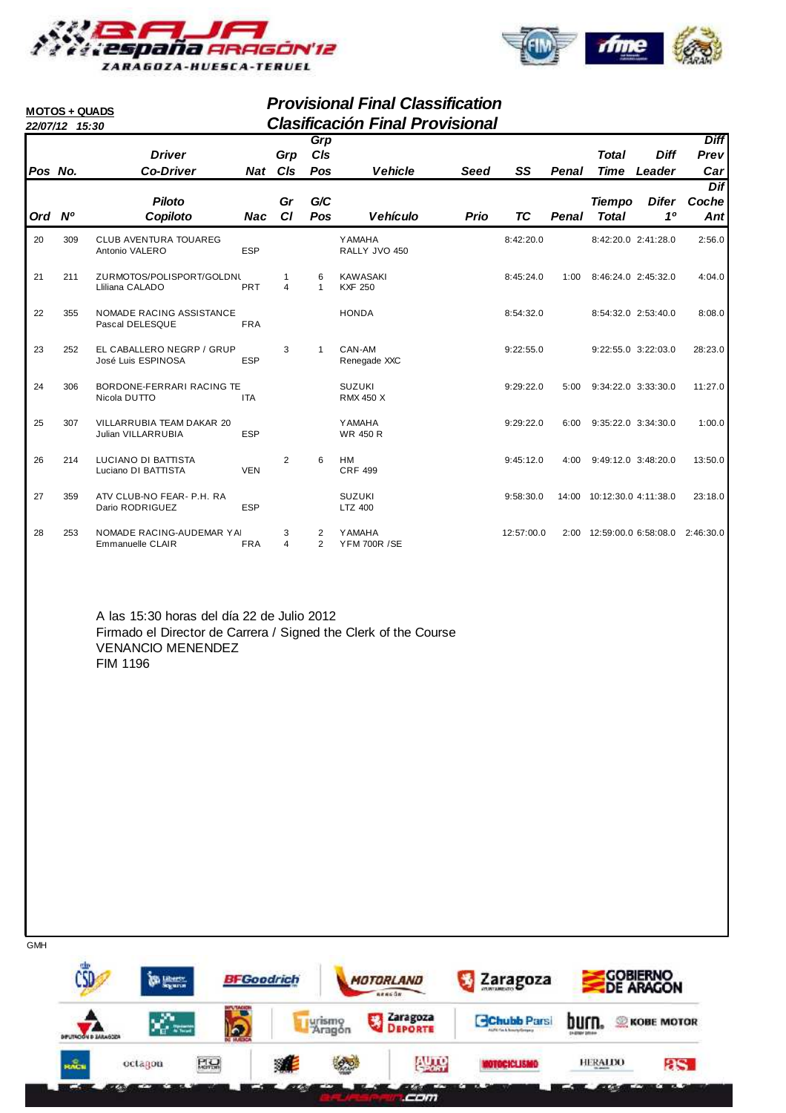



|         | <b>Provisional Final Classification</b><br><b>MOTOS + QUADS</b><br><b>Clasificación Final Provisional</b><br>22/07/12 15:30<br>Grp |                                                 |            |                              |                     |                                      |             |            |              |                               |                       |                            |  |  |
|---------|------------------------------------------------------------------------------------------------------------------------------------|-------------------------------------------------|------------|------------------------------|---------------------|--------------------------------------|-------------|------------|--------------|-------------------------------|-----------------------|----------------------------|--|--|
| Pos No. |                                                                                                                                    | <b>Driver</b><br><b>Co-Driver</b>               | Nat        | Grp<br>CIs                   | CIs<br>Pos          | <b>Vehicle</b>                       | <b>Seed</b> | SS         | <b>Penal</b> | <b>Total</b><br><b>Time</b>   | <b>Diff</b><br>Leader | <b>Diff</b><br>Prev<br>Car |  |  |
| Ord Nº  |                                                                                                                                    | <b>Piloto</b><br>Copiloto                       | Nac        | Gr<br>CI                     | G/C<br>Pos          | <b>Vehículo</b>                      | Prio        | TC         | Penal        | <b>Tiempo</b><br><b>Total</b> | Difer<br>10           | Dif<br>Coche<br>Ant        |  |  |
| 20      | 309                                                                                                                                | <b>CLUB AVENTURA TOUAREG</b><br>Antonio VALERO  | <b>ESP</b> |                              |                     | <b>YAMAHA</b><br>RALLY JVO 450       |             | 8:42:20.0  |              | 8:42:20.0 2:41:28.0           |                       | 2:56.0                     |  |  |
| 21      | 211                                                                                                                                | ZURMOTOS/POLISPORT/GOLDNL<br>Lliliana CALADO    | <b>PRT</b> | 1<br>$\overline{\mathbf{A}}$ | 6<br>$\mathbf{1}$   | <b>KAWASAKI</b><br><b>KXF 250</b>    |             | 8:45:24.0  | 1:00         | 8:46:24.0 2:45:32.0           |                       | 4:04.0                     |  |  |
| 22      | 355                                                                                                                                | NOMADE RACING ASSISTANCE<br>Pascal DELESQUE     | <b>FRA</b> |                              |                     | <b>HONDA</b>                         |             | 8:54:32.0  |              | 8:54:32.0 2:53:40.0           |                       | 8:08.0                     |  |  |
| 23      | 252                                                                                                                                | EL CABALLERO NEGRP / GRUP<br>José Luis ESPINOSA | <b>ESP</b> | 3                            | $\mathbf{1}$        | CAN-AM<br>Renegade XXC               |             | 9:22:55.0  |              | 9:22:55.0 3:22:03.0           |                       | 28:23.0                    |  |  |
| 24      | 306                                                                                                                                | BORDONE-FERRARI RACING TE<br>Nicola DUTTO       | <b>ITA</b> |                              |                     | <b>SUZUKI</b><br><b>RMX 450 X</b>    |             | 9:29:22.0  | 5:00         | 9:34:22.0 3:33:30.0           |                       | 11:27.0                    |  |  |
| 25      | 307                                                                                                                                | VILLARRUBIA TEAM DAKAR 20<br>Julian VILLARRUBIA | <b>ESP</b> |                              |                     | <b>YAMAHA</b><br><b>WR 450 R</b>     |             | 9:29:22.0  | 6:00         | $9:35:22.0$ $3:34:30.0$       |                       | 1:00.0                     |  |  |
| 26      | 214                                                                                                                                | LUCIANO DI BATTISTA<br>Luciano DI BATTISTA      | <b>VEN</b> | 2                            | 6                   | HM<br><b>CRF 499</b>                 |             | 9:45:12.0  | 4:00         | 9:49:12.0 3:48:20.0           |                       | 13:50.0                    |  |  |
| 27      | 359                                                                                                                                | ATV CLUB-NO FEAR- P.H. RA<br>Dario RODRIGUEZ    | <b>ESP</b> |                              |                     | <b>SUZUKI</b><br>LTZ 400             |             | 9:58:30.0  | 14:00        | 10:12:30.0 4:11:38.0          |                       | 23:18.0                    |  |  |
| 28      | 253                                                                                                                                | NOMADE RACING-AUDEMAR YAI<br>Emmanuelle CLAIR   | <b>FRA</b> | 3<br>$\overline{\mathbf{4}}$ | 2<br>$\mathfrak{p}$ | <b>YAMAHA</b><br><b>YFM 700R /SE</b> |             | 12:57:00.0 | 2:00         | 12:59:00.0 6:58:08.0          |                       | 2:46:30.0                  |  |  |

A las 15:30 horas del día 22 de Julio 2012 Firmado el Director de Carrera / Signed the Clerk of the Course VENANCIO MENENDEZ FIM 1196

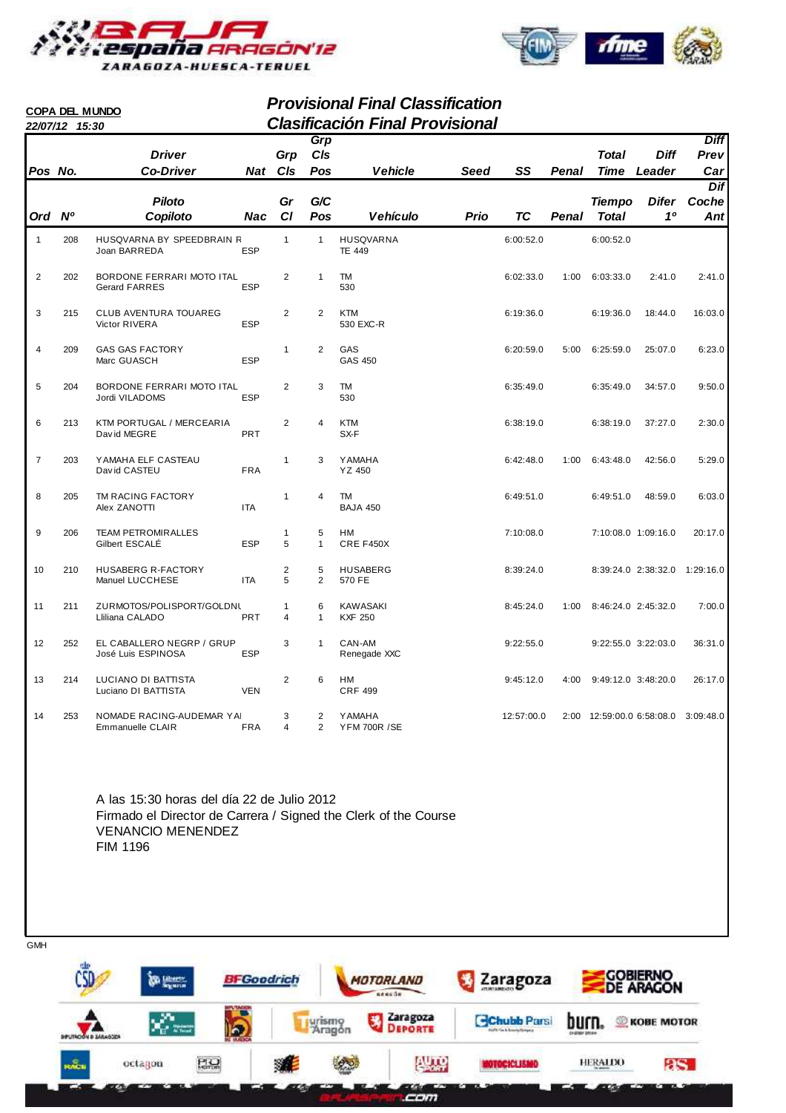



|                |                | <b>COPA DEL MUNDO</b>                             |            |                     |                                  | <b>Provisional Final Classification</b> |      |            |       |                     |                                     |                     |
|----------------|----------------|---------------------------------------------------|------------|---------------------|----------------------------------|-----------------------------------------|------|------------|-------|---------------------|-------------------------------------|---------------------|
|                | 22/07/12 15:30 |                                                   |            |                     |                                  | <b>Clasificación Final Provisional</b>  |      |            |       |                     |                                     |                     |
|                |                | <b>Driver</b>                                     |            | Grp                 | Grp<br>C/s                       |                                         |      |            |       | <b>Total</b>        | <b>Diff</b>                         | <b>Diff</b><br>Prev |
| Pos No.        |                | <b>Co-Driver</b>                                  | Nat        | CIs                 | Pos                              | <b>Vehicle</b>                          | Seed | SS         | Penal | Time                | Leader                              | Car                 |
|                |                |                                                   |            |                     |                                  |                                         |      |            |       |                     |                                     | Dif                 |
|                |                | <b>Piloto</b>                                     |            | Gr                  | G/C                              |                                         |      |            |       | <b>Tiempo</b>       | <b>Difer</b>                        | Coche               |
| Ord Nº         |                | Copiloto                                          | Nac        | <b>CI</b>           | Pos                              | <b>Vehículo</b>                         | Prio | ТC         | Penal | <b>Total</b>        | 10                                  | Ant                 |
| $\mathbf{1}$   | 208            | HUSQVARNA BY SPEEDBRAIN R<br>Joan BARREDA         | <b>ESP</b> | $\mathbf{1}$        | $\mathbf{1}$                     | <b>HUSQVARNA</b><br><b>TE 449</b>       |      | 6:00:52.0  |       | 6:00:52.0           |                                     |                     |
| $\overline{2}$ | 202            | BORDONE FERRARI MOTO ITAL<br><b>Gerard FARRES</b> | ESP        | 2                   | $\mathbf{1}$                     | <b>TM</b><br>530                        |      | 6:02:33.0  | 1:00  | 6:03:33.0           | 2:41.0                              | 2:41.0              |
| 3              | 215            | <b>CLUB AVENTURA TOUAREG</b><br>Victor RIVERA     | ESP        | 2                   | $\overline{2}$                   | <b>KTM</b><br>530 EXC-R                 |      | 6:19:36.0  |       | 6:19:36.0           | 18:44.0                             | 16:03.0             |
| 4              | 209            | <b>GAS GAS FACTORY</b><br>Marc GUASCH             | <b>ESP</b> | $\mathbf{1}$        | 2                                | GAS<br>GAS 450                          |      | 6:20:59.0  | 5:00  | 6:25:59.0           | 25:07.0                             | 6:23.0              |
| 5              | 204            | BORDONE FERRARI MOTO ITAL<br>Jordi VILADOMS       | <b>ESP</b> | 2                   | 3                                | <b>TM</b><br>530                        |      | 6:35:49.0  |       | 6:35:49.0           | 34:57.0                             | 9:50.0              |
| 6              | 213            | <b>KTM PORTUGAL / MERCEARIA</b><br>David MEGRE    | <b>PRT</b> | $\overline{2}$      | 4                                | <b>KTM</b><br>SX-F                      |      | 6:38:19.0  |       | 6:38:19.0           | 37:27.0                             | 2:30.0              |
| $\overline{7}$ | 203            | YAMAHA ELF CASTEAU<br>David CASTEU                | <b>FRA</b> | $\mathbf{1}$        | 3                                | <b>YAMAHA</b><br>YZ 450                 |      | 6:42:48.0  | 1:00  | 6:43:48.0           | 42:56.0                             | 5:29.0              |
| 8              | 205            | TM RACING FACTORY<br>Alex ZANOTTI                 | <b>ITA</b> | $\mathbf{1}$        | 4                                | <b>TM</b><br><b>BAJA 450</b>            |      | 6:49:51.0  |       | 6:49:51.0           | 48:59.0                             | 6:03.0              |
| 9              | 206            | <b>TEAM PETROMIRALLES</b><br>Gilbert ESCALÉ       | <b>ESP</b> | 1<br>5              | 5<br>$\mathbf{1}$                | <b>HM</b><br>CRE F450X                  |      | 7:10:08.0  |       | 7:10:08.0 1:09:16.0 |                                     | 20:17.0             |
| 10             | 210            | HUSABERG R-FACTORY<br>Manuel LUCCHESE             | <b>ITA</b> | $\overline{2}$<br>5 | 5<br>$\overline{2}$              | <b>HUSABERG</b><br>570 FE               |      | 8:39:24.0  |       |                     | 8:39:24.0 2:38:32.0                 | 1:29:16.0           |
| 11             | 211            | ZURMOTOS/POLISPORT/GOLDNL<br>Lliliana CALADO      | <b>PRT</b> | $\mathbf{1}$<br>4   | 6<br>$\mathbf{1}$                | <b>KAWASAKI</b><br><b>KXF 250</b>       |      | 8:45:24.0  | 1:00  | 8:46:24.0 2:45:32.0 |                                     | 7:00.0              |
| 12             | 252            | EL CABALLERO NEGRP / GRUP<br>José Luis ESPINOSA   | <b>ESP</b> | 3                   | $\mathbf{1}$                     | CAN-AM<br>Renegade XXC                  |      | 9:22:55.0  |       | 9:22:55.0 3:22:03.0 |                                     | 36:31.0             |
| 13             | 214            | LUCIANO DI BATTISTA<br>Luciano DI BATTISTA        | <b>VEN</b> | 2                   | 6                                | HM<br><b>CRF 499</b>                    |      | 9:45:12.0  | 4:00  | 9:49:12.0 3:48:20.0 |                                     | 26:17.0             |
| 14             | 253            | NOMADE RACING-AUDEMAR YAI<br>Emmanuelle CLAIR     | <b>FRA</b> | 3<br>$\overline{4}$ | $\overline{2}$<br>$\overline{2}$ | <b>YAMAHA</b><br><b>YFM 700R /SE</b>    |      | 12:57:00.0 |       |                     | 2:00 12:59:00.0 6:58:08.0 3:09:48.0 |                     |

A las 15:30 horas del día 22 de Julio 2012 Firmado el Director de Carrera / Signed the Clerk of the Course VENANCIO MENENDEZ FIM 1196



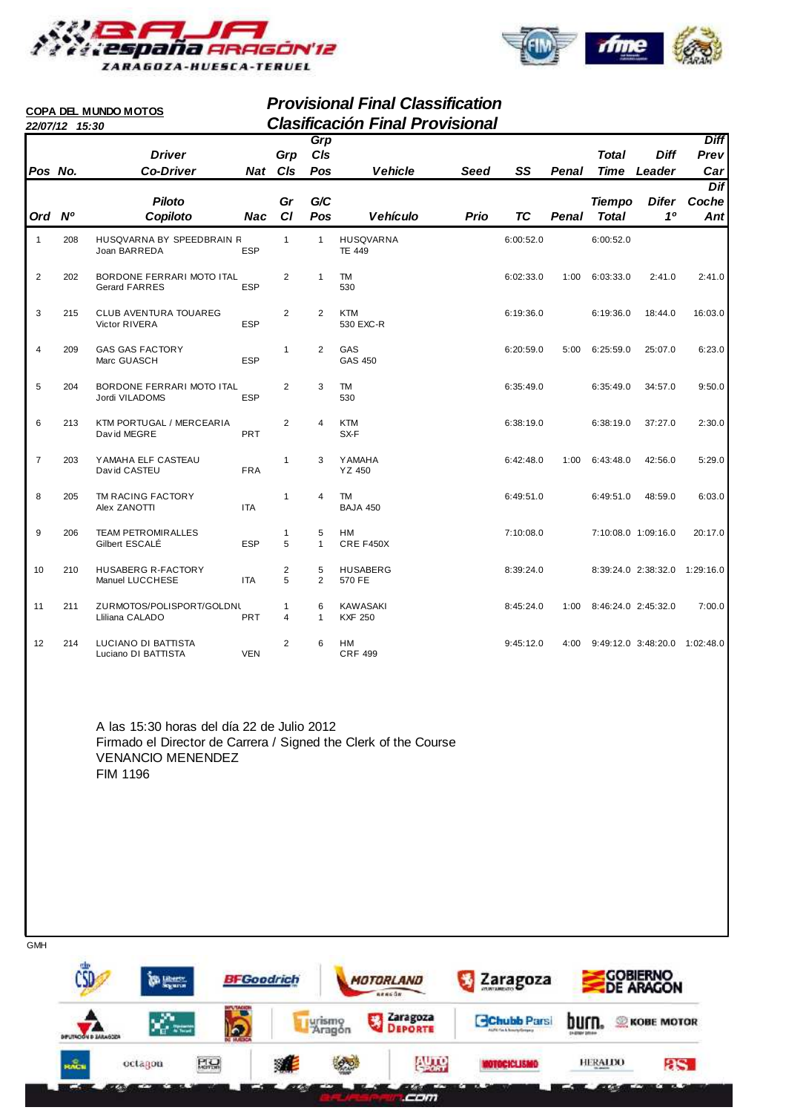

**COPA DEL MUNDO MOTOS**



# **Provisional Final Classification 22/07/12 15:30 Clasificación Final Provisional**

|                | 22/07/12 15:30 |                                                   |            |                   |                     | Giasincación Final Provisional    |             |           |       |               |                               |                     |
|----------------|----------------|---------------------------------------------------|------------|-------------------|---------------------|-----------------------------------|-------------|-----------|-------|---------------|-------------------------------|---------------------|
|                |                | <b>Driver</b>                                     |            | Grp               | Grp<br>CIs          |                                   |             |           |       | <b>Total</b>  | <b>Diff</b>                   | <b>Diff</b><br>Prev |
| Pos No.        |                | <b>Co-Driver</b>                                  |            | Nat CIs           | Pos                 | <b>Vehicle</b>                    | <b>Seed</b> | SS        | Penal | <b>Time</b>   | Leader                        | Car                 |
|                |                |                                                   |            |                   |                     |                                   |             |           |       |               |                               | Dif                 |
|                |                | <b>Piloto</b>                                     |            | Gr                | G/C                 |                                   |             |           |       | <b>Tiempo</b> | <b>Difer</b>                  | Coche               |
| Ord Nº         |                | Copiloto                                          | <b>Nac</b> | CI                | Pos                 | <b>Vehículo</b>                   | <b>Prio</b> | <b>TC</b> | Penal | <b>Total</b>  | 10                            | Ant                 |
|                |                |                                                   |            |                   |                     |                                   |             |           |       |               |                               |                     |
| $\mathbf{1}$   | 208            | HUSQVARNA BY SPEEDBRAIN R<br>Joan BARREDA         | <b>ESP</b> | $\mathbf{1}$      | $\mathbf{1}$        | <b>HUSQVARNA</b><br><b>TE 449</b> |             | 6:00:52.0 |       | 6:00:52.0     |                               |                     |
| $\overline{2}$ | 202            | BORDONE FERRARI MOTO ITAL<br><b>Gerard FARRES</b> | <b>ESP</b> | 2                 | 1                   | <b>TM</b><br>530                  |             | 6:02:33.0 | 1:00  | 6:03:33.0     | 2:41.0                        | 2:41.0              |
| 3              | 215            | <b>CLUB AVENTURA TOUAREG</b><br>Victor RIVERA     | <b>ESP</b> | 2                 | 2                   | <b>KTM</b><br>530 EXC-R           |             | 6:19:36.0 |       | 6:19:36.0     | 18:44.0                       | 16:03.0             |
| 4              | 209            | <b>GAS GAS FACTORY</b><br>Marc GUASCH             | <b>ESP</b> | $\mathbf{1}$      | $\overline{2}$      | GAS<br><b>GAS 450</b>             |             | 6:20:59.0 | 5:00  | 6:25:59.0     | 25:07.0                       | 6:23.0              |
| 5              | 204            | BORDONE FERRARI MOTO ITAL<br>Jordi VILADOMS       | <b>ESP</b> | 2                 | 3                   | <b>TM</b><br>530                  |             | 6:35:49.0 |       | 6:35:49.0     | 34:57.0                       | 9:50.0              |
| 6              | 213            | KTM PORTUGAL / MERCEARIA<br>David MEGRE           | PRT        | $\overline{2}$    | $\overline{4}$      | <b>KTM</b><br>SX-F                |             | 6:38:19.0 |       | 6:38:19.0     | 37:27.0                       | 2:30.0              |
| $\overline{7}$ | 203            | YAMAHA ELF CASTEAU<br>David CASTEU                | <b>FRA</b> | $\mathbf{1}$      | 3                   | <b>YAMAHA</b><br>YZ 450           |             | 6:42:48.0 | 1:00  | 6:43:48.0     | 42:56.0                       | 5:29.0              |
| 8              | 205            | TM RACING FACTORY<br>Alex ZANOTTI                 | <b>ITA</b> | $\mathbf{1}$      | 4                   | TM<br><b>BAJA 450</b>             |             | 6:49:51.0 |       | 6:49:51.0     | 48:59.0                       | 6:03.0              |
| 9              | 206            | <b>TEAM PETROMIRALLES</b><br>Gilbert ESCALÉ       | <b>ESP</b> | $\mathbf{1}$<br>5 | 5<br>$\mathbf{1}$   | <b>HM</b><br>CRE F450X            |             | 7:10:08.0 |       |               | 7:10:08.0 1:09:16.0           | 20:17.0             |
| 10             | 210            | <b>HUSABERG R-FACTORY</b><br>Manuel LUCCHESE      | <b>ITA</b> | 2<br>5            | 5<br>$\overline{2}$ | <b>HUSABERG</b><br>570 FE         |             | 8:39:24.0 |       |               | 8:39:24.0 2:38:32.0 1:29:16.0 |                     |
| 11             | 211            | ZURMOTOS/POLISPORT/GOLDNL<br>Lliliana CALADO      | <b>PRT</b> | 1<br>4            | 6<br>$\mathbf{1}$   | <b>KAWASAKI</b><br><b>KXF 250</b> |             | 8:45:24.0 | 1:00  |               | 8:46:24.0 2:45:32.0           | 7:00.0              |
| 12             | 214            | LUCIANO DI BATTISTA<br>Luciano DI BATTISTA        | <b>VEN</b> | 2                 | 6                   | <b>HM</b><br><b>CRF 499</b>       |             | 9:45:12.0 | 4:00  |               | 9:49:12.0 3:48:20.0 1:02:48.0 |                     |

A las 15:30 horas del día 22 de Julio 2012 Firmado el Director de Carrera / Signed the Clerk of the Course VENANCIO MENENDEZ FIM 1196

| <b>ulp</b><br>CSD            | <b>Bill Liberty</b><br>Segreton | <b>BFGoodrich</b>                |   |                  | MOTORLAND<br>nencon | Zaragoza                                         |                       | <b>GOBIERNO</b><br><b>DE ARAGON</b> |
|------------------------------|---------------------------------|----------------------------------|---|------------------|---------------------|--------------------------------------------------|-----------------------|-------------------------------------|
| <b>DIFUTACIÓN D'EARAGODA</b> | 204                             | <b>BUTL'SACION</b><br><u>(b)</u> |   | urismo<br>Aragón | Zaragoza            | <b>Chubb Parsi</b><br>AUTO Fin & Rose to Grossey | <b>ENDINGY DRIVER</b> | <b>KOBE MOTOR</b>                   |
| $m_{\text{max}}^2$           | octagon                         | <b>PIQ</b>                       | 鸂 |                  | <b>AUTO</b>         | <b>MOTOCICLISMO</b>                              | HERALDO               | as.                                 |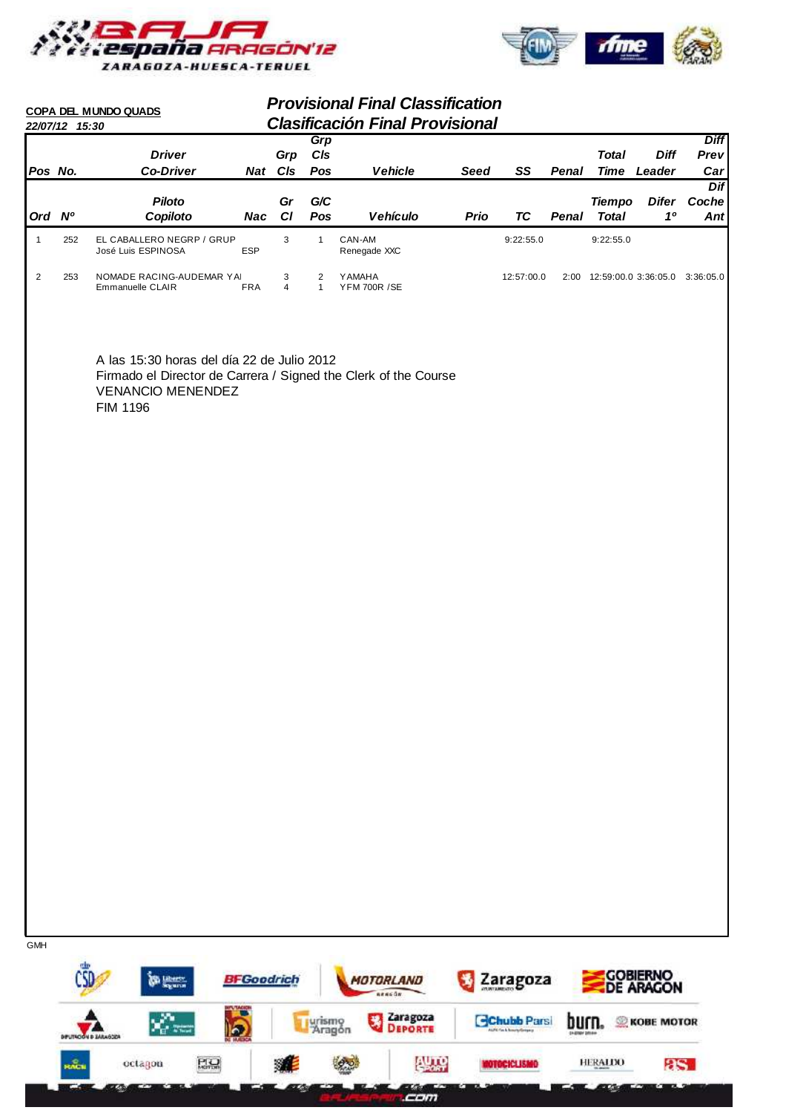



HERALDO

EG1

 $8S$ 

. .

|                | 22/07/12 15:30 | COPA DEL MUNDO QUADS                                                                                                                                  |                   |                     |                                | <b>Provisional Final Classification</b><br><b>Clasificación Final Provisional</b> |             |                    |                               |                               |                                     |                     |
|----------------|----------------|-------------------------------------------------------------------------------------------------------------------------------------------------------|-------------------|---------------------|--------------------------------|-----------------------------------------------------------------------------------|-------------|--------------------|-------------------------------|-------------------------------|-------------------------------------|---------------------|
|                |                | <b>Driver</b>                                                                                                                                         |                   | Grp                 | Grp<br>C/s                     |                                                                                   |             |                    |                               | <b>Total</b>                  | <b>Diff</b>                         | <b>Diff</b><br>Prev |
| Pos No.        |                | <b>Co-Driver</b>                                                                                                                                      |                   | Nat Cls             | Pos                            | <b>Vehicle</b>                                                                    | <b>Seed</b> | SS                 | Penal                         |                               | Time Leader                         | Car                 |
|                |                |                                                                                                                                                       |                   |                     |                                |                                                                                   |             |                    |                               |                               |                                     | Dif                 |
| Ord Nº         |                | <b>Piloto</b><br>Copiloto                                                                                                                             | Nac               | Gr<br>CI            | G/C<br>Pos                     | Vehículo                                                                          | Prio        | <b>TC</b>          | Penal                         | <b>Tiempo</b><br><b>Total</b> | <b>Difer</b><br>1 <sup>0</sup>      | Coche<br>Ant        |
|                |                |                                                                                                                                                       |                   |                     |                                |                                                                                   |             |                    |                               |                               |                                     |                     |
| $\mathbf{1}$   | 252            | EL CABALLERO NEGRP / GRUP<br>José Luis ESPINOSA                                                                                                       | ESP               | 3                   | $\mathbf{1}$                   | CAN-AM<br>Renegade XXC                                                            |             | 9:22:55.0          |                               | 9:22:55.0                     |                                     |                     |
| $\overline{c}$ | 253            | NOMADE RACING-AUDEMAR YAI<br>Emmanuelle CLAIR                                                                                                         | <b>FRA</b>        | 3<br>$\overline{4}$ | $\overline{2}$<br>$\mathbf{1}$ | <b>YAMAHA</b><br><b>YFM 700R /SE</b>                                              |             | 12:57:00.0         |                               |                               | 2:00 12:59:00.0 3:36:05.0 3:36:05.0 |                     |
|                |                | A las 15:30 horas del día 22 de Julio 2012<br>Firmado el Director de Carrera / Signed the Clerk of the Course<br><b>VENANCIO MENENDEZ</b><br>FIM 1196 |                   |                     |                                |                                                                                   |             |                    |                               |                               |                                     |                     |
|                |                |                                                                                                                                                       |                   |                     |                                |                                                                                   |             |                    |                               |                               |                                     |                     |
|                |                |                                                                                                                                                       |                   |                     |                                |                                                                                   |             |                    |                               |                               |                                     |                     |
|                |                |                                                                                                                                                       |                   |                     |                                |                                                                                   |             |                    |                               |                               |                                     |                     |
|                |                |                                                                                                                                                       |                   |                     |                                |                                                                                   |             |                    |                               |                               |                                     |                     |
|                |                |                                                                                                                                                       |                   |                     |                                |                                                                                   |             |                    |                               |                               |                                     |                     |
|                |                |                                                                                                                                                       |                   |                     |                                |                                                                                   |             |                    |                               |                               |                                     |                     |
|                |                |                                                                                                                                                       |                   |                     |                                |                                                                                   |             |                    |                               |                               |                                     |                     |
|                |                |                                                                                                                                                       |                   |                     |                                |                                                                                   |             |                    |                               |                               |                                     |                     |
|                |                |                                                                                                                                                       |                   |                     |                                |                                                                                   |             |                    |                               |                               |                                     |                     |
|                |                |                                                                                                                                                       |                   |                     |                                |                                                                                   |             |                    |                               |                               |                                     |                     |
| <b>GMH</b>     |                | <b>Six Liberty</b>                                                                                                                                    | <b>BFGoodrich</b> |                     |                                | MOTORLAND                                                                         |             | Zaragoza           |                               |                               | <b>COBIERNO</b><br>DE ARAGON        |                     |
|                |                |                                                                                                                                                       |                   |                     |                                | nencon                                                                            |             |                    |                               |                               |                                     |                     |
|                |                | $\mathbf{x}^{\prime}_{\mathbf{c}}$ and<br>lo.<br><b>DIFUTACIÓN DI ZARAGOZA</b>                                                                        |                   |                     | Li vrismo<br>Aragón            | Zaragoza<br>男<br>DEPORTE                                                          |             | <b>Chubb Parsi</b> | burn.<br><b>CHONEY DRIVER</b> |                               | <b>KOBE MOTOR</b>                   |                     |

 $RQ$ **BOO AUTO** ※ **MOTOCICLISMO KACH**  $octagon$ **Com** œ en la p **Con** Ø.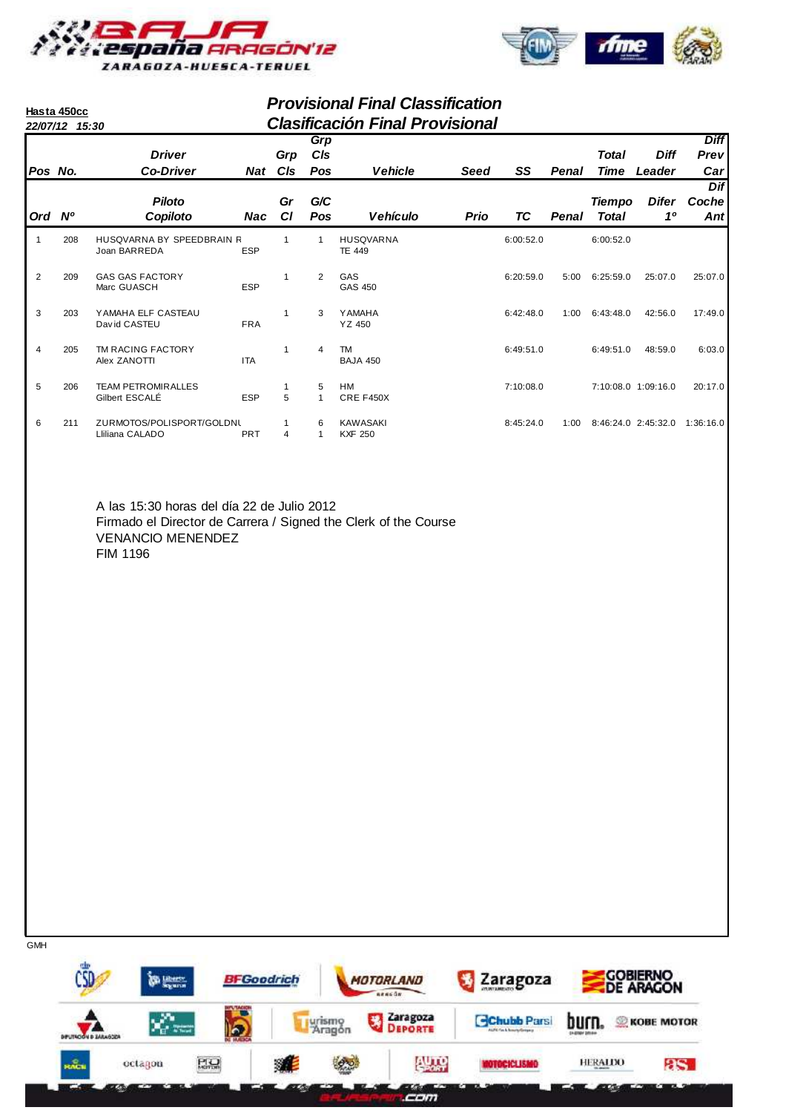

**Hasta 450cc**



# **Provisional Final Classification 22/07/12 15:30 Clasificación Final Provisional**

|                | <i>LL</i> /ui/il 10.00 |                                              |            |             |            |                                   | ,,,,,,,,,,, |           |       |               |                     |                     |
|----------------|------------------------|----------------------------------------------|------------|-------------|------------|-----------------------------------|-------------|-----------|-------|---------------|---------------------|---------------------|
|                |                        | <b>Driver</b>                                |            |             | Grp        |                                   |             |           |       |               | <b>Diff</b>         | <b>Diff</b><br>Prev |
| Pos No.        |                        | <b>Co-Driver</b>                             | Nat        | Grp<br>CIs  | CIs<br>Pos | <b>Vehicle</b>                    | Seed        | SS        | Penal | Total<br>Time | Leader              | Car                 |
|                |                        |                                              |            |             |            |                                   |             |           |       |               |                     | <b>Dif</b>          |
|                |                        | <b>Piloto</b>                                |            | Gr          | G/C        |                                   |             |           |       | <b>Tiempo</b> | Difer<br>10         | Coche               |
| Ord Nº         |                        | Copiloto                                     | Nac        | <b>CI</b>   | <b>Pos</b> | <b>Vehículo</b>                   | Prio        | ТC        | Penal | Total         |                     | Ant                 |
|                | 208                    | HUSQVARNA BY SPEEDBRAIN R<br>Joan BARREDA    | <b>ESP</b> |             |            | <b>HUSQVARNA</b><br><b>TE 449</b> |             | 6:00:52.0 |       | 6:00:52.0     |                     |                     |
| 2              | 209                    | <b>GAS GAS FACTORY</b><br>Marc GUASCH        | <b>ESP</b> |             | 2          | GAS<br>GAS 450                    |             | 6:20:59.0 | 5:00  | 6:25:59.0     | 25:07.0             | 25:07.0             |
| 3              | 203                    | YAMAHA ELF CASTEAU<br>David CASTEU           | <b>FRA</b> | $\mathbf 1$ | 3          | <b>YAMAHA</b><br>YZ 450           |             | 6:42:48.0 | 1:00  | 6:43:48.0     | 42:56.0             | 17:49.0             |
| $\overline{4}$ | 205                    | TM RACING FACTORY<br>Alex ZANOTTI            | <b>ITA</b> |             | 4          | TM<br><b>BAJA 450</b>             |             | 6:49:51.0 |       | 6:49:51.0     | 48:59.0             | 6:03.0              |
| 5              | 206                    | <b>TEAM PETROMIRALLES</b><br>Gilbert ESCALÉ  | <b>ESP</b> | 5           | 5          | <b>HM</b><br>CRE F450X            |             | 7:10:08.0 |       |               | 7:10:08.0 1:09:16.0 | 20:17.0             |
| 6              | 211                    | ZURMOTOS/POLISPORT/GOLDNL<br>Lliliana CALADO | <b>PRT</b> | 4           | 6          | <b>KAWASAKI</b><br><b>KXF 250</b> |             | 8:45:24.0 | 1:00  |               | 8:46:24.0 2:45:32.0 | 1:36:16.0           |

A las 15:30 horas del día 22 de Julio 2012 Firmado el Director de Carrera / Signed the Clerk of the Course VENANCIO MENENDEZ FIM 1196

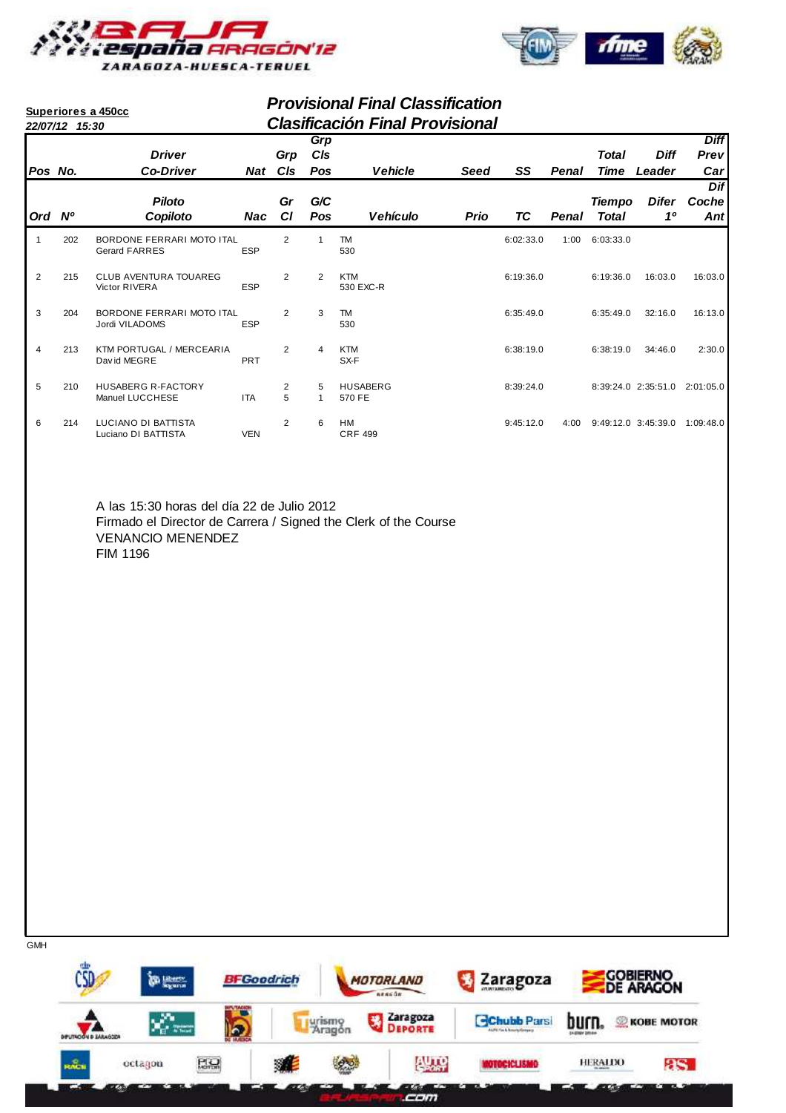



|                | <b>Provisional Final Classification</b><br>Superiores a 450cc<br><b>Clasificación Final Provisional</b><br>22/07/12 15:30 |                                                   |            |                |                   |                           |             |           |       |                               |                               |                                          |
|----------------|---------------------------------------------------------------------------------------------------------------------------|---------------------------------------------------|------------|----------------|-------------------|---------------------------|-------------|-----------|-------|-------------------------------|-------------------------------|------------------------------------------|
| Pos No.        |                                                                                                                           | <b>Driver</b><br><b>Co-Driver</b>                 | Nat        | Grp<br>CIs     | Grp<br>CIs<br>Pos | <b>Vehicle</b>            | <b>Seed</b> | SS        | Penal | <b>Total</b><br><b>Time</b>   | <b>Diff</b><br>Leader         | <b>Diff</b><br>Prevl<br>Car <sub>l</sub> |
| Ord Nº         |                                                                                                                           | <b>Piloto</b><br>Copiloto                         | <b>Nac</b> | Gr<br>CI       | G/C<br>Pos        | <b>Vehículo</b>           | <b>Prio</b> | ТC        | Penal | <b>Tiempo</b><br><b>Total</b> | Difer<br>1 <sup>0</sup>       | Dif<br>Coche<br>Ant                      |
| 1              | 202                                                                                                                       | BORDONE FERRARI MOTO ITAL<br><b>Gerard FARRES</b> | <b>ESP</b> | $\overline{2}$ | 1                 | <b>TM</b><br>530          |             | 6:02:33.0 | 1:00  | 6:03:33.0                     |                               |                                          |
| 2              | 215                                                                                                                       | <b>CLUB AVENTURA TOUAREG</b><br>Victor RIVERA     | <b>ESP</b> | $\overline{2}$ | 2                 | <b>KTM</b><br>530 EXC-R   |             | 6:19:36.0 |       | 6:19:36.0                     | 16:03.0                       | 16:03.0                                  |
| 3              | 204                                                                                                                       | BORDONE FERRARI MOTO ITAL<br>Jordi VILADOMS       | <b>ESP</b> | 2              | 3                 | <b>TM</b><br>530          |             | 6:35:49.0 |       | 6:35:49.0                     | 32:16.0                       | 16:13.0                                  |
| $\overline{4}$ | 213                                                                                                                       | KTM PORTUGAL / MERCEARIA<br>David MEGRE           | PRT        | $\overline{2}$ | $\overline{4}$    | <b>KTM</b><br>SX-F        |             | 6:38:19.0 |       | 6:38:19.0                     | 34:46.0                       | 2:30.0                                   |
| 5              | 210                                                                                                                       | <b>HUSABERG R-FACTORY</b><br>Manuel LUCCHESE      | <b>ITA</b> | 2<br>5         | 5<br>$\mathbf{1}$ | <b>HUSABERG</b><br>570 FE |             | 8:39:24.0 |       |                               | 8:39:24.0 2:35:51.0 2:01:05.0 |                                          |
| 6              | 214                                                                                                                       | LUCIANO DI BATTISTA<br>Luciano DI BATTISTA        | <b>VEN</b> | $\overline{2}$ | 6                 | HM<br><b>CRF 499</b>      |             | 9:45:12.0 | 4:00  |                               | 9:49:12.0 3:45:39.0 1:09:48.0 |                                          |
|                |                                                                                                                           |                                                   |            |                |                   |                           |             |           |       |                               |                               |                                          |
|                |                                                                                                                           | A las 15:30 horas del día 22 de Julio 2012        |            |                |                   |                           |             |           |       |                               |                               |                                          |

A las 15:30 horas del día 22 de Julio 2012 Firmado el Director de Carrera / Signed the Clerk of the Course VENANCIO MENENDEZ FIM 1196

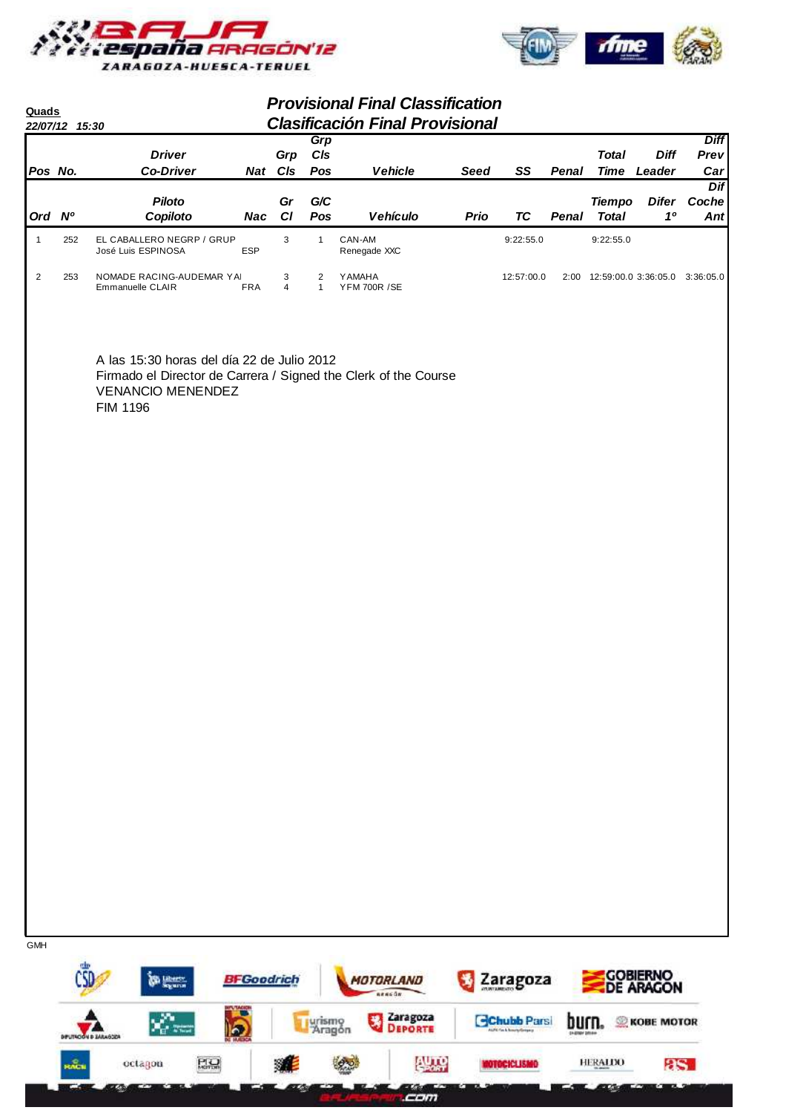



| <b>Quads</b>   | 22/07/12 15:30 |                                                                                                                                                       |                   |                     |                                | <b>Provisional Final Classification</b><br><b>Clasificación Final Provisional</b> |             |                                                 |              |                               |                                     |                            |
|----------------|----------------|-------------------------------------------------------------------------------------------------------------------------------------------------------|-------------------|---------------------|--------------------------------|-----------------------------------------------------------------------------------|-------------|-------------------------------------------------|--------------|-------------------------------|-------------------------------------|----------------------------|
| Pos No.        |                | <b>Driver</b><br><b>Co-Driver</b>                                                                                                                     |                   | Grp<br>Nat CIs      | Grp<br>C/s<br>Pos              | <b>Vehicle</b>                                                                    | <b>Seed</b> | SS                                              | Penal        | <b>Total</b>                  | <b>Diff</b><br><b>Time Leader</b>   | <b>Diff</b><br>Prev<br>Car |
|                | Ord Nº         | <b>Piloto</b><br>Copiloto                                                                                                                             | Nac               | Gr<br>CI            | G/C<br>Pos                     | Vehículo                                                                          | Prio        | <b>TC</b>                                       | <b>Penal</b> | <b>Tiempo</b><br><b>Total</b> | <b>Difer</b><br>10                  | Dif<br>Coche<br>Ant        |
| $\mathbf{1}$   | 252            | EL CABALLERO NEGRP / GRUP<br>José Luis ESPINOSA                                                                                                       | <b>ESP</b>        | 3                   | $\mathbf{1}$                   | CAN-AM<br>Renegade XXC                                                            |             | 9:22:55.0                                       |              | 9:22:55.0                     |                                     |                            |
| $\overline{2}$ | 253            | NOMADE RACING-AUDEMAR YAI<br>Emmanuelle CLAIR                                                                                                         | <b>FRA</b>        | 3<br>$\overline{4}$ | $\overline{2}$<br>$\mathbf{1}$ | YAMAHA<br><b>YFM 700R /SE</b>                                                     |             | 12:57:00.0                                      |              |                               | 2:00 12:59:00.0 3:36:05.0 3:36:05.0 |                            |
|                |                | A las 15:30 horas del día 22 de Julio 2012<br>Firmado el Director de Carrera / Signed the Clerk of the Course<br><b>VENANCIO MENENDEZ</b><br>FIM 1196 |                   |                     |                                |                                                                                   |             |                                                 |              |                               |                                     |                            |
|                |                |                                                                                                                                                       |                   |                     |                                |                                                                                   |             |                                                 |              |                               |                                     |                            |
|                |                |                                                                                                                                                       |                   |                     |                                |                                                                                   |             |                                                 |              |                               |                                     |                            |
|                |                |                                                                                                                                                       |                   |                     |                                |                                                                                   |             |                                                 |              |                               |                                     |                            |
|                |                |                                                                                                                                                       |                   |                     |                                |                                                                                   |             |                                                 |              |                               |                                     |                            |
|                |                |                                                                                                                                                       |                   |                     |                                |                                                                                   |             |                                                 |              |                               |                                     |                            |
|                |                |                                                                                                                                                       |                   |                     |                                |                                                                                   |             |                                                 |              |                               |                                     |                            |
|                |                |                                                                                                                                                       |                   |                     |                                |                                                                                   |             |                                                 |              |                               |                                     |                            |
| <b>GMH</b>     |                |                                                                                                                                                       |                   |                     |                                |                                                                                   |             |                                                 |              |                               |                                     |                            |
|                |                | <b>Congress</b>                                                                                                                                       | <b>BFGoodrich</b> |                     |                                | MOTORLAND<br>nencon                                                               |             | Zaragoza                                        |              |                               | <b>COBIERNO</b><br>DE ARAGON        |                            |
|                |                | $\chi^{\alpha}_{\mu\nu\mu}$<br>lo.<br><b>DIFUTACIÓN DI ZARAGOZA</b>                                                                                   |                   |                     | urismo<br>Aragón               | Zaragoza<br>男<br>DEPORTE                                                          |             | <b>Chubb Parsi</b><br>AUTO Fin & Rosety/Grossiy | burn.        | ⅏                             | <b>KOBE MOTOR</b>                   |                            |

 $PQ$ 难 **Project AUTO** HERALDO  $8S$ **MOTOCICLISMO KACH** octagon **Cem Take** . . æ mana an Z.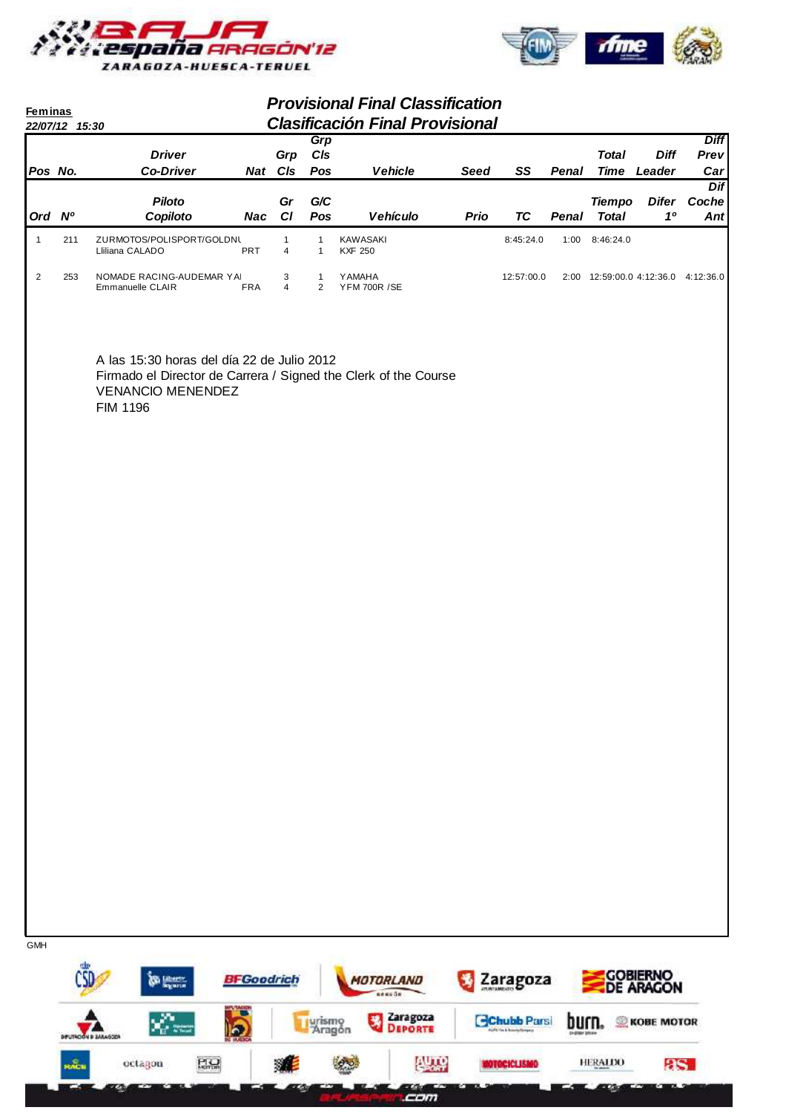



| <b>Feminas</b> | 22/07/12 15:30 |                                                                                                                                                       |                   |                     |                                | <b>Provisional Final Classification</b><br><b>Clasificación Final Provisional</b> |             |                                                            |                              |                                     |                                |                            |
|----------------|----------------|-------------------------------------------------------------------------------------------------------------------------------------------------------|-------------------|---------------------|--------------------------------|-----------------------------------------------------------------------------------|-------------|------------------------------------------------------------|------------------------------|-------------------------------------|--------------------------------|----------------------------|
| Pos No.        |                | <b>Driver</b><br><b>Co-Driver</b>                                                                                                                     |                   | Grp<br>Nat Cls      | Grp<br>CIs<br>Pos              | <b>Vehicle</b>                                                                    | <b>Seed</b> | SS                                                         | Penal                        | <b>Total</b>                        | <b>Diff</b><br>Time Leader     | <b>Diff</b><br>Prev<br>Car |
| Ord Nº         |                | <b>Piloto</b><br>Copiloto                                                                                                                             | Nac               | Gr<br>C1            | G/C<br>Pos                     | <b>Vehículo</b>                                                                   | <b>Prio</b> | TC                                                         | Penal                        | <b>Tiempo</b><br><b>Total</b>       | <b>Difer</b><br>1 <sup>0</sup> | <b>Dif</b><br>Coche<br>Ant |
| $\mathbf{1}$   | 211            | ZURMOTOS/POLISPORT/GOLDNL<br>Lliliana CALADO                                                                                                          | PRT               | $\mathbf{1}$<br>4   | $\mathbf{1}$<br>$\mathbf{1}$   | KAWASAKI<br><b>KXF 250</b>                                                        |             | 8:45:24.0                                                  |                              | 1:00 8:46:24.0                      |                                |                            |
| $\overline{c}$ | 253            | NOMADE RACING-AUDEMAR YAI<br>Emmanuelle CLAIR                                                                                                         | <b>FRA</b>        | 3<br>$\overline{4}$ | $\mathbf{1}$<br>$\overline{2}$ | <b>YAMAHA</b><br><b>YFM 700R /SE</b>                                              |             | 12:57:00.0                                                 |                              | 2:00 12:59:00.0 4:12:36.0 4:12:36.0 |                                |                            |
|                |                | A las 15:30 horas del día 22 de Julio 2012<br>Firmado el Director de Carrera / Signed the Clerk of the Course<br><b>VENANCIO MENENDEZ</b><br>FIM 1196 |                   |                     |                                |                                                                                   |             |                                                            |                              |                                     |                                |                            |
|                |                |                                                                                                                                                       |                   |                     |                                |                                                                                   |             |                                                            |                              |                                     |                                |                            |
|                |                |                                                                                                                                                       |                   |                     |                                |                                                                                   |             |                                                            |                              |                                     |                                |                            |
|                |                |                                                                                                                                                       |                   |                     |                                |                                                                                   |             |                                                            |                              |                                     |                                |                            |
|                |                |                                                                                                                                                       |                   |                     |                                |                                                                                   |             |                                                            |                              |                                     |                                |                            |
|                |                |                                                                                                                                                       |                   |                     |                                |                                                                                   |             |                                                            |                              |                                     |                                |                            |
|                |                |                                                                                                                                                       |                   |                     |                                |                                                                                   |             |                                                            |                              |                                     |                                |                            |
|                |                |                                                                                                                                                       |                   |                     |                                |                                                                                   |             |                                                            |                              |                                     |                                |                            |
|                |                |                                                                                                                                                       |                   |                     |                                |                                                                                   |             |                                                            |                              |                                     |                                |                            |
| <b>GMH</b>     |                |                                                                                                                                                       |                   |                     |                                |                                                                                   |             |                                                            |                              |                                     |                                |                            |
|                |                | <b>Sing Liberty</b>                                                                                                                                   | <b>BFGoodrich</b> |                     |                                | MOTORLAND<br>nencūn                                                               |             | Zaragoza                                                   |                              |                                     | <b>COBIERNO</b><br>DE ARAGON   |                            |
|                |                | <b>BITLE TACK</b><br>$\mathbb{Z}_{\mathbb{C}}$ and<br>$\overline{\mathbf{p}}$<br><b>DIFUTACIÓN D ZARAGOZA</b>                                         |                   |                     | Lurismo<br>Aragón              | Zaragoza<br>礁<br><b>DEPORTE</b>                                                   |             | <b>Chubb Parsi</b><br><b>AUTO Fin &amp; Rourty Grossey</b> | burn.<br><b>ENDING DRIVE</b> |                                     | <b>KOBE MOTOR</b>              |                            |

 $PQ$ 建 **Project AUTO** HERALDO **MOTOCICLISMO**  $8S$ **KACH** octagon **Cem** œ. **Take** . . mana an Z.